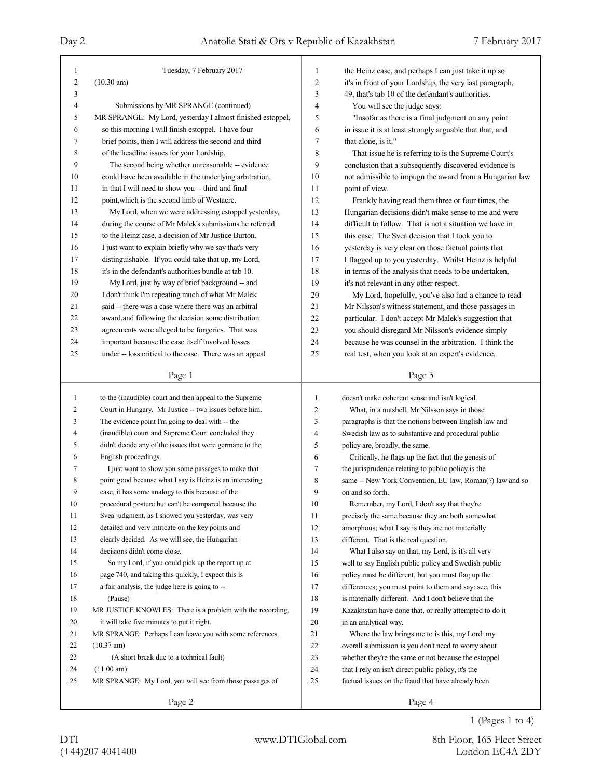| 1              | Tuesday, 7 February 2017                                               | $\mathbf{1}$   | the Heinz case, and perhaps I can just take it up so         |
|----------------|------------------------------------------------------------------------|----------------|--------------------------------------------------------------|
| $\overline{c}$ | $(10.30 \text{ am})$                                                   | $\overline{c}$ | it's in front of your Lordship, the very last paragraph,     |
| 3              |                                                                        | 3              | 49, that's tab 10 of the defendant's authorities.            |
| 4              | Submissions by MR SPRANGE (continued)                                  | 4              | You will see the judge says:                                 |
| 5              | MR SPRANGE: My Lord, yesterday I almost finished estoppel,             | 5              | "Insofar as there is a final judgment on any point           |
| 6              | so this morning I will finish estoppel. I have four                    | 6              | in issue it is at least strongly arguable that that, and     |
| 7              | brief points, then I will address the second and third                 | 7              | that alone, is it."                                          |
| 8              | of the headline issues for your Lordship.                              | 8              | That issue he is referring to is the Supreme Court's         |
| 9              | The second being whether unreasonable -- evidence                      | 9              | conclusion that a subsequently discovered evidence is        |
| 10             | could have been available in the underlying arbitration,               | 10             | not admissible to impugn the award from a Hungarian law      |
| 11             | in that I will need to show you -- third and final                     | 11             | point of view.                                               |
| 12             | point, which is the second limb of Westacre.                           | 12             | Frankly having read them three or four times, the            |
| 13             | My Lord, when we were addressing estoppel yesterday,                   | 13             | Hungarian decisions didn't make sense to me and were         |
| 14             | during the course of Mr Malek's submissions he referred                | 14             | difficult to follow. That is not a situation we have in      |
| 15             | to the Heinz case, a decision of Mr Justice Burton.                    | 15             | this case. The Svea decision that I took you to              |
| 16             | I just want to explain briefly why we say that's very                  | 16             | yesterday is very clear on those factual points that         |
| 17             | distinguishable. If you could take that up, my Lord,                   | 17             | I flagged up to you yesterday. Whilst Heinz is helpful       |
| 18             | it's in the defendant's authorities bundle at tab 10.                  | 18             | in terms of the analysis that needs to be undertaken,        |
| 19             | My Lord, just by way of brief background -- and                        | 19             | it's not relevant in any other respect.                      |
| 20             | I don't think I'm repeating much of what Mr Malek                      | 20             | My Lord, hopefully, you've also had a chance to read         |
| 21             | said -- there was a case where there was an arbitral                   | 21             | Mr Nilsson's witness statement, and those passages in        |
| 22             | award, and following the decision some distribution                    | 22             | particular. I don't accept Mr Malek's suggestion that        |
| 23             | agreements were alleged to be forgeries. That was                      | 23             | you should disregard Mr Nilsson's evidence simply            |
| 24             | important because the case itself involved losses                      | 24             | because he was counsel in the arbitration. I think the       |
| 25             | under -- loss critical to the case. There was an appeal                | 25             | real test, when you look at an expert's evidence,            |
|                |                                                                        |                |                                                              |
|                | Page 1                                                                 |                | Page 3                                                       |
|                |                                                                        |                |                                                              |
| $\mathbf{1}$   | to the (inaudible) court and then appeal to the Supreme                | 1              | doesn't make coherent sense and isn't logical.               |
| $\overline{c}$ | Court in Hungary. Mr Justice -- two issues before him.                 | 2              | What, in a nutshell, Mr Nilsson says in those                |
| 3              | The evidence point I'm going to deal with -- the                       | 3              | paragraphs is that the notions between English law and       |
| 4              | (inaudible) court and Supreme Court concluded they                     | 4              | Swedish law as to substantive and procedural public          |
| 5              | didn't decide any of the issues that were germane to the               | 5              | policy are, broadly, the same.                               |
| 6              | English proceedings.                                                   | 6              | Critically, he flags up the fact that the genesis of         |
| 7              | I just want to show you some passages to make that                     | 7              | the jurisprudence relating to public policy is the           |
| 8              | point good because what I say is Heinz is an interesting               | 8              | same -- New York Convention, EU law, Roman(?) law and so     |
| 9              | case, it has some analogy to this because of the                       | 9              | on and so forth.                                             |
| 10             | procedural posture but can't be compared because the                   | $10\,$         | Remember, my Lord, I don't say that they're                  |
| 11             | Svea judgment, as I showed you yesterday, was very                     | 11             | precisely the same because they are both somewhat            |
| 12             | detailed and very intricate on the key points and                      | 12             | amorphous; what I say is they are not materially             |
| 13             | clearly decided. As we will see, the Hungarian                         | 13             | different. That is the real question.                        |
| 14             | decisions didn't come close.                                           | 14             | What I also say on that, my Lord, is it's all very           |
| 15             | So my Lord, if you could pick up the report up at                      | 15             | well to say English public policy and Swedish public         |
| 16             | page 740, and taking this quickly, I expect this is                    | 16             |                                                              |
| 17             |                                                                        |                | policy must be different, but you must flag up the           |
| 18             | a fair analysis, the judge here is going to --                         | 17             | differences; you must point to them and say: see, this       |
| 19             | (Pause)<br>MR JUSTICE KNOWLES: There is a problem with the recording,  | 18<br>19       | is materially different. And I don't believe that the        |
|                |                                                                        |                | Kazakhstan have done that, or really attempted to do it      |
| $20\,$<br>21   | it will take five minutes to put it right.                             | 20             | in an analytical way.                                        |
| 22             | MR SPRANGE: Perhaps I can leave you with some references.              | 21             | Where the law brings me to is this, my Lord: my              |
| 23             | (10.37 am)                                                             | 22             | overall submission is you don't need to worry about          |
| 24             | (A short break due to a technical fault)                               | 23             | whether they're the same or not because the estoppel         |
| 25             | (11.00 am)<br>MR SPRANGE: My Lord, you will see from those passages of | 24<br>25       | that I rely on isn't direct public policy, it's the          |
|                | Page 2                                                                 |                | factual issues on the fraud that have already been<br>Page 4 |

1 (Pages 1 to 4)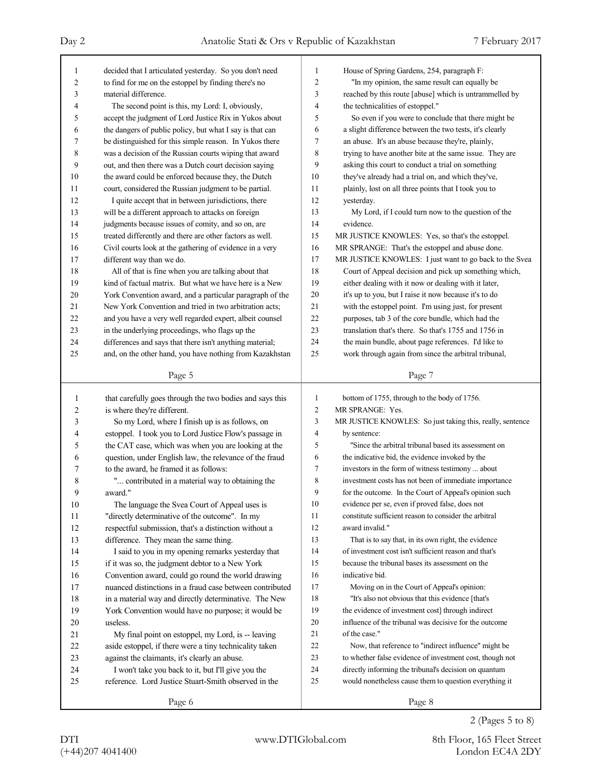| 1              | decided that I articulated yesterday. So you don't need                                                        | 1                       | House of Spring Gardens, 254, paragraph F:                       |
|----------------|----------------------------------------------------------------------------------------------------------------|-------------------------|------------------------------------------------------------------|
| $\overline{2}$ | to find for me on the estoppel by finding there's no                                                           | $\overline{\mathbf{c}}$ | "In my opinion, the same result can equally be                   |
| 3              | material difference.                                                                                           | 3                       | reached by this route [abuse] which is untrammelled by           |
| 4              | The second point is this, my Lord: I, obviously,                                                               | 4                       | the technicalities of estoppel."                                 |
| 5              | accept the judgment of Lord Justice Rix in Yukos about                                                         | 5                       | So even if you were to conclude that there might be              |
| 6              | the dangers of public policy, but what I say is that can                                                       | 6                       | a slight difference between the two tests, it's clearly          |
| 7              | be distinguished for this simple reason. In Yukos there                                                        | 7                       | an abuse. It's an abuse because they're, plainly,                |
| 8              | was a decision of the Russian courts wiping that award                                                         | 8                       | trying to have another bite at the same issue. They are          |
| 9              | out, and then there was a Dutch court decision saying                                                          | 9                       | asking this court to conduct a trial on something                |
| 10             | the award could be enforced because they, the Dutch                                                            | 10                      | they've already had a trial on, and which they've,               |
| 11             | court, considered the Russian judgment to be partial.                                                          | 11                      | plainly, lost on all three points that I took you to             |
| 12             | I quite accept that in between jurisdictions, there                                                            | 12                      | yesterday.                                                       |
| 13             | will be a different approach to attacks on foreign                                                             | 13                      | My Lord, if I could turn now to the question of the              |
| 14             | judgments because issues of comity, and so on, are                                                             | 14                      | evidence.                                                        |
| 15             | treated differently and there are other factors as well.                                                       | 15                      | MR JUSTICE KNOWLES: Yes, so that's the estoppel.                 |
| 16             | Civil courts look at the gathering of evidence in a very                                                       | 16                      | MR SPRANGE: That's the estoppel and abuse done.                  |
| 17             | different way than we do.                                                                                      | 17                      | MR JUSTICE KNOWLES: I just want to go back to the Svea           |
| 18             | All of that is fine when you are talking about that                                                            | 18                      | Court of Appeal decision and pick up something which,            |
| 19             | kind of factual matrix. But what we have here is a New                                                         | 19                      | either dealing with it now or dealing with it later,             |
| 20             | York Convention award, and a particular paragraph of the                                                       | 20                      | it's up to you, but I raise it now because it's to do            |
| 21             | New York Convention and tried in two arbitration acts;                                                         | 21                      | with the estoppel point. I'm using just, for present             |
| 22             | and you have a very well regarded expert, albeit counsel                                                       | 22                      | purposes, tab 3 of the core bundle, which had the                |
| 23             | in the underlying proceedings, who flags up the                                                                | 23                      | translation that's there. So that's 1755 and 1756 in             |
| 24             | differences and says that there isn't anything material;                                                       | 24                      | the main bundle, about page references. I'd like to              |
| 25             | and, on the other hand, you have nothing from Kazakhstan                                                       | 25                      | work through again from since the arbitral tribunal,             |
|                |                                                                                                                |                         |                                                                  |
|                | Page 5                                                                                                         |                         | Page 7                                                           |
|                |                                                                                                                |                         |                                                                  |
| 1              |                                                                                                                | 1                       |                                                                  |
| 2              | that carefully goes through the two bodies and says this                                                       | $\overline{c}$          | bottom of 1755, through to the body of 1756.<br>MR SPRANGE: Yes. |
| 3              | is where they're different.<br>So my Lord, where I finish up is as follows, on                                 | 3                       | MR JUSTICE KNOWLES: So just taking this, really, sentence        |
| 4              | estoppel. I took you to Lord Justice Flow's passage in                                                         | 4                       | by sentence:                                                     |
| 5              |                                                                                                                | 5                       | "Since the arbitral tribunal based its assessment on             |
| 6              | the CAT case, which was when you are looking at the                                                            | 6                       | the indicative bid, the evidence invoked by the                  |
| 7              | question, under English law, the relevance of the fraud<br>to the award, he framed it as follows:              | 7                       | investors in the form of witness testimony  about                |
| 8              |                                                                                                                | 8                       | investment costs has not been of immediate importance            |
| 9              | " contributed in a material way to obtaining the                                                               | 9                       | for the outcome. In the Court of Appeal's opinion such           |
| 10             | award."                                                                                                        | 10                      | evidence per se, even if proved false, does not                  |
| 11             | The language the Svea Court of Appeal uses is<br>"directly determinative of the outcome". In my                | 11                      | constitute sufficient reason to consider the arbitral            |
| 12             | respectful submission, that's a distinction without a                                                          | 12                      | award invalid."                                                  |
| 13             | difference. They mean the same thing.                                                                          | 13                      | That is to say that, in its own right, the evidence              |
| 14             | I said to you in my opening remarks yesterday that                                                             | 14                      | of investment cost isn't sufficient reason and that's            |
| 15             | if it was so, the judgment debtor to a New York                                                                | 15                      | because the tribunal bases its assessment on the                 |
| 16             |                                                                                                                | 16                      | indicative bid.                                                  |
| 17             | Convention award, could go round the world drawing<br>nuanced distinctions in a fraud case between contributed | 17                      | Moving on in the Court of Appeal's opinion:                      |
| 18             | in a material way and directly determinative. The New                                                          | 18                      | "It's also not obvious that this evidence [that's                |
| 19             | York Convention would have no purpose; it would be                                                             | 19                      | the evidence of investment cost] through indirect                |
| 20             | useless.                                                                                                       | 20                      | influence of the tribunal was decisive for the outcome           |
| 21             | My final point on estoppel, my Lord, is -- leaving                                                             | 21                      | of the case."                                                    |
| 22             | aside estoppel, if there were a tiny technicality taken                                                        | 22                      | Now, that reference to "indirect influence" might be             |
| 23             | against the claimants, it's clearly an abuse.                                                                  | 23                      | to whether false evidence of investment cost, though not         |
| 24             | I won't take you back to it, but I'll give you the                                                             | 24                      | directly informing the tribunal's decision on quantum            |
| 25             | reference. Lord Justice Stuart-Smith observed in the                                                           | 25                      | would nonetheless cause them to question everything it           |
|                | Page 6                                                                                                         |                         | Page 8                                                           |

2 (Pages 5 to 8)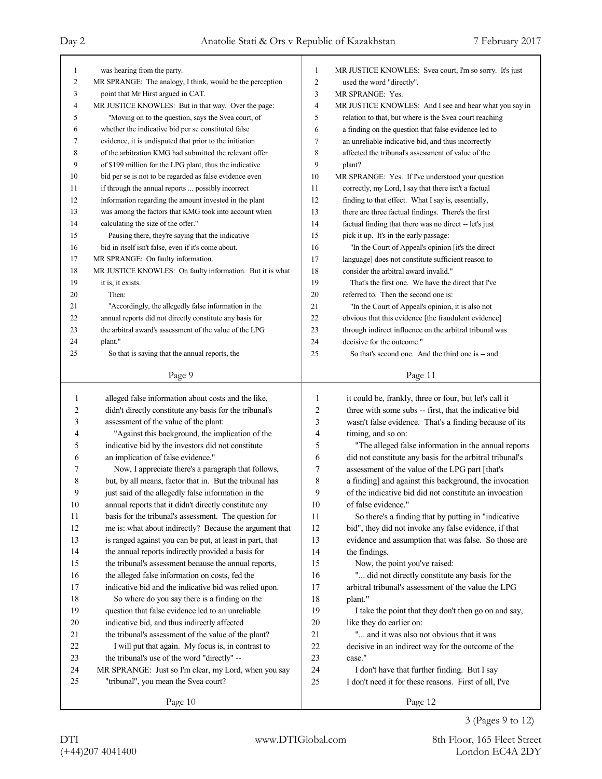| $\mathbf{1}$ | was hearing from the party.                               | 1              | MR JUSTICE KNOWLES: Svea court, I'm so sorry. It's just  |
|--------------|-----------------------------------------------------------|----------------|----------------------------------------------------------|
| 2            | MR SPRANGE: The analogy, I think, would be the perception | $\overline{c}$ | used the word "directly".                                |
| 3            | point that Mr Hirst argued in CAT.                        | 3              | MR SPRANGE: Yes.                                         |
| 4            | MR JUSTICE KNOWLES: But in that way. Over the page:       | $\overline{4}$ | MR JUSTICE KNOWLES: And I see and hear what you say in   |
| 5            | "Moving on to the question, says the Svea court, of       | 5              | relation to that, but where is the Svea court reaching   |
| 6            | whether the indicative bid per se constituted false       | 6              | a finding on the question that false evidence led to     |
| 7            | evidence, it is undisputed that prior to the initiation   | $\tau$         | an unreliable indicative bid, and thus incorrectly       |
| 8            | of the arbitration KMG had submitted the relevant offer   | 8              | affected the tribunal's assessment of value of the       |
| 9            | of \$199 million for the LPG plant, thus the indicative   | 9              | plant?                                                   |
| 10           | bid per se is not to be regarded as false evidence even   | 10             | MR SPRANGE: Yes. If I've understood your question        |
| 11           | if through the annual reports  possibly incorrect         | 11             | correctly, my Lord, I say that there isn't a factual     |
| 12           | information regarding the amount invested in the plant    | 12             | finding to that effect. What I say is, essentially,      |
| 13           | was among the factors that KMG took into account when     | 13             | there are three factual findings. There's the first      |
| 14           | calculating the size of the offer."                       | 14             | factual finding that there was no direct -- let's just   |
| 15           | Pausing there, they're saying that the indicative         | 15             | pick it up. It's in the early passage:                   |
| 16           | bid in itself isn't false, even if it's come about.       | 16             | "In the Court of Appeal's opinion [it's the direct       |
| 17           | MR SPRANGE: On faulty information.                        | 17             | language] does not constitute sufficient reason to       |
| 18           | MR JUSTICE KNOWLES: On faulty information. But it is what | 18             | consider the arbitral award invalid."                    |
| 19           |                                                           | 19             | That's the first one. We have the direct that I've       |
| 20           | it is, it exists.<br>Then:                                |                |                                                          |
|              |                                                           | 20             | referred to. Then the second one is:                     |
| 21           | "Accordingly, the allegedly false information in the      | 21             | "In the Court of Appeal's opinion, it is also not        |
| 22           | annual reports did not directly constitute any basis for  | 22             | obvious that this evidence [the fraudulent evidence]     |
| 23           | the arbitral award's assessment of the value of the LPG   | 23             | through indirect influence on the arbitral tribunal was  |
| 24           | plant."                                                   | 24             | decisive for the outcome."                               |
| 25           | So that is saying that the annual reports, the            | 25             | So that's second one. And the third one is - and         |
|              | Page 9                                                    |                | Page 11                                                  |
|              |                                                           |                |                                                          |
|              |                                                           |                |                                                          |
| 1            | alleged false information about costs and the like,       | 1              | it could be, frankly, three or four, but let's call it   |
| 2            | didn't directly constitute any basis for the tribunal's   | 2              | three with some subs -- first, that the indicative bid   |
| 3            | assessment of the value of the plant:                     | 3              | wasn't false evidence. That's a finding because of its   |
| 4            | "Against this background, the implication of the          | 4              | timing, and so on:                                       |
| 5            | indicative bid by the investors did not constitute        | 5              | "The alleged false information in the annual reports     |
| 6            | an implication of false evidence."                        | 6              | did not constitute any basis for the arbitral tribunal's |
| 7            | Now, I appreciate there's a paragraph that follows,       | 7              | assessment of the value of the LPG part [that's          |
| 8            | but, by all means, factor that in. But the tribunal has   | 8              | a finding] and against this background, the invocation   |
| 9            | just said of the allegedly false information in the       | 9              | of the indicative bid did not constitute an invocation   |
|              |                                                           | 10             |                                                          |
| 10<br>11     | annual reports that it didn't directly constitute any     | 11             | of false evidence."                                      |
|              | basis for the tribunal's assessment. The question for     | 12             | So there's a finding that by putting in "indicative      |
| 12<br>13     | me is: what about indirectly? Because the argument that   | 13             | bid", they did not invoke any false evidence, if that    |
|              | is ranged against you can be put, at least in part, that  | 14             | evidence and assumption that was false. So those are     |
| 14           | the annual reports indirectly provided a basis for        |                | the findings.                                            |
| 15           | the tribunal's assessment because the annual reports,     | 15             | Now, the point you've raised:                            |
| 16           | the alleged false information on costs, fed the           | 16             | " did not directly constitute any basis for the          |
| 17           | indicative bid and the indicative bid was relied upon.    | 17             | arbitral tribunal's assessment of the value the LPG      |
| 18           | So where do you say there is a finding on the             | 18             | plant."                                                  |
| 19           | question that false evidence led to an unreliable         | 19             | I take the point that they don't then go on and say,     |
| 20           | indicative bid, and thus indirectly affected              | 20             | like they do earlier on:                                 |
| 21           | the tribunal's assessment of the value of the plant?      | 21             | " and it was also not obvious that it was                |
| 22           | I will put that again. My focus is, in contrast to        | 22             | decisive in an indirect way for the outcome of the       |
| 23           | the tribunal's use of the word "directly" --              | 23             | case."                                                   |
| 24           | MR SPRANGE: Just so I'm clear, my Lord, when you say      | 24             | I don't have that further finding. But I say             |
| 25           | "tribunal", you mean the Svea court?                      | 25             | I don't need it for these reasons. First of all, I've    |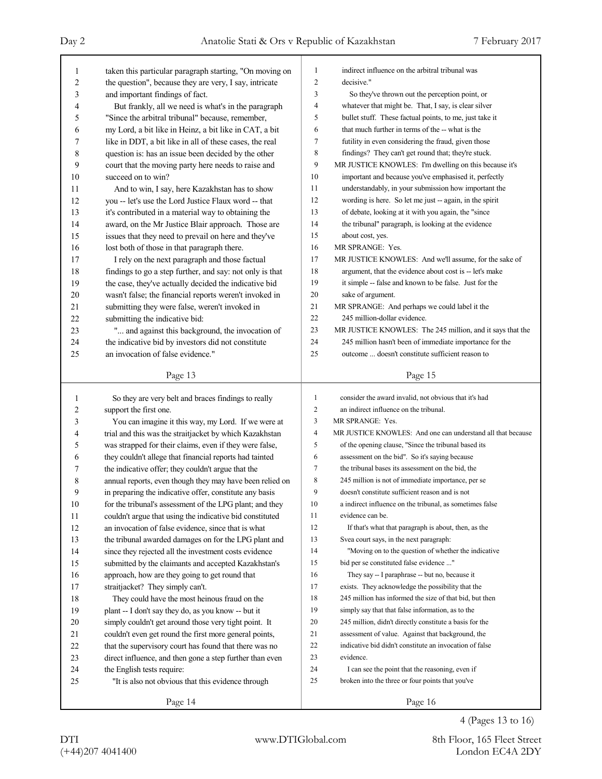٦

| 1                       | taken this particular paragraph starting, "On moving on  | 1              | indirect influence on the arbitral tribunal was             |
|-------------------------|----------------------------------------------------------|----------------|-------------------------------------------------------------|
| 2                       | the question", because they are very, I say, intricate   | 2              | decisive."                                                  |
| 3                       | and important findings of fact.                          | 3              | So they've thrown out the perception point, or              |
| 4                       | But frankly, all we need is what's in the paragraph      | 4              | whatever that might be. That, I say, is clear silver        |
| 5                       | "Since the arbitral tribunal" because, remember,         | 5              | bullet stuff. These factual points, to me, just take it     |
| 6                       | my Lord, a bit like in Heinz, a bit like in CAT, a bit   | 6              | that much further in terms of the -- what is the            |
| 7                       | like in DDT, a bit like in all of these cases, the real  | 7              | futility in even considering the fraud, given those         |
| 8                       | question is: has an issue been decided by the other      | 8              | findings? They can't get round that; they're stuck.         |
| 9                       | court that the moving party here needs to raise and      | 9              | MR JUSTICE KNOWLES: I'm dwelling on this because it's       |
| 10                      | succeed on to win?                                       | 10             | important and because you've emphasised it, perfectly       |
| 11                      | And to win, I say, here Kazakhstan has to show           | 11             | understandably, in your submission how important the        |
| 12                      | you -- let's use the Lord Justice Flaux word -- that     | 12             | wording is here. So let me just -- again, in the spirit     |
| 13                      | it's contributed in a material way to obtaining the      | 13             | of debate, looking at it with you again, the "since         |
| 14                      | award, on the Mr Justice Blair approach. Those are       | 14             | the tribunal" paragraph, is looking at the evidence         |
| 15                      | issues that they need to prevail on here and they've     | 15             | about cost, yes.                                            |
| 16                      | lost both of those in that paragraph there.              | 16             | MR SPRANGE: Yes.                                            |
| 17                      | I rely on the next paragraph and those factual           | 17             | MR JUSTICE KNOWLES: And we'll assume, for the sake of       |
| 18                      | findings to go a step further, and say: not only is that | 18             | argument, that the evidence about cost is -- let's make     |
| 19                      | the case, they've actually decided the indicative bid    | 19             | it simple -- false and known to be false. Just for the      |
| 20                      | wasn't false; the financial reports weren't invoked in   | 20             | sake of argument.                                           |
| 21                      | submitting they were false, weren't invoked in           | 21             | MR SPRANGE: And perhaps we could label it the               |
| 22                      | submitting the indicative bid:                           | 22             | 245 million-dollar evidence.                                |
| 23                      | " and against this background, the invocation of         | 23             | MR JUSTICE KNOWLES: The 245 million, and it says that the   |
| 24                      | the indicative bid by investors did not constitute       | 24             | 245 million hasn't been of immediate importance for the     |
| 25                      | an invocation of false evidence."                        | 25             | outcome  doesn't constitute sufficient reason to            |
|                         |                                                          |                |                                                             |
|                         | Page 13                                                  |                | Page 15                                                     |
|                         |                                                          |                |                                                             |
| 1                       | So they are very belt and braces findings to really      | $\mathbf{1}$   | consider the award invalid, not obvious that it's had       |
| $\overline{\mathbf{c}}$ | support the first one.                                   | $\overline{c}$ | an indirect influence on the tribunal.                      |
| 3                       | You can imagine it this way, my Lord. If we were at      | 3              | MR SPRANGE: Yes.                                            |
| 4                       | trial and this was the straitjacket by which Kazakhstan  | 4              | MR JUSTICE KNOWLES: And one can understand all that because |
| 5                       | was strapped for their claims, even if they were false,  | 5              | of the opening clause, "Since the tribunal based its        |
| 6                       | they couldn't allege that financial reports had tainted  | 6              | assessment on the bid". So it's saying because              |
| 7                       | the indicative offer; they couldn't argue that the       | 7              | the tribunal bases its assessment on the bid, the           |
| 8                       | annual reports, even though they may have been relied on | 8              | 245 million is not of immediate importance, per se          |
| 9                       | in preparing the indicative offer, constitute any basis  | 9              | doesn't constitute sufficient reason and is not             |
| $10\,$                  | for the tribunal's assessment of the LPG plant; and they | $10\,$         | a indirect influence on the tribunal, as sometimes false    |
| 11                      | couldn't argue that using the indicative bid constituted | 11             | evidence can be.                                            |
| 12                      | an invocation of false evidence, since that is what      | 12             | If that's what that paragraph is about, then, as the        |
| 13                      | the tribunal awarded damages on for the LPG plant and    | 13             | Svea court says, in the next paragraph:                     |
| 14                      | since they rejected all the investment costs evidence    | 14             | "Moving on to the question of whether the indicative        |
| 15                      | submitted by the claimants and accepted Kazakhstan's     | 15             | bid per se constituted false evidence "                     |
| 16                      | approach, how are they going to get round that           | 16             | They say -- I paraphrase -- but no, because it              |
| 17                      | straitjacket? They simply can't.                         | 17             | exists. They acknowledge the possibility that the           |
| 18                      | They could have the most heinous fraud on the            | 18             | 245 million has informed the size of that bid, but then     |
| 19                      | plant -- I don't say they do, as you know -- but it      | 19             | simply say that that false information, as to the           |
| $20\,$                  | simply couldn't get around those very tight point. It    | 20             | 245 million, didn't directly constitute a basis for the     |
| 21                      | couldn't even get round the first more general points,   | 21             | assessment of value. Against that background, the           |
| 22                      | that the supervisory court has found that there was no   | 22             | indicative bid didn't constitute an invocation of false     |
| 23                      | direct influence, and then gone a step further than even | 23             | evidence.                                                   |
| 24                      | the English tests require:                               | 24             | I can see the point that the reasoning, even if             |
| $25\,$                  | "It is also not obvious that this evidence through       | 25             | broken into the three or four points that you've            |

4 (Pages 13 to 16)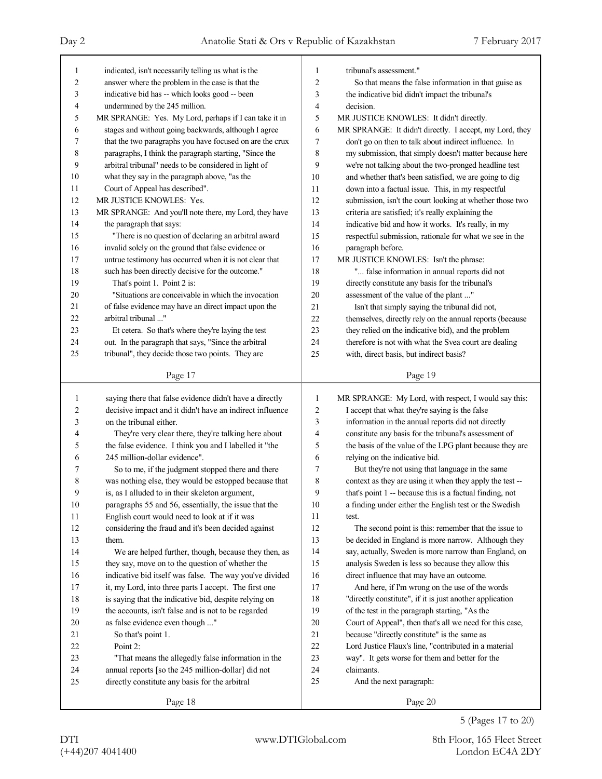| 1      | indicated, isn't necessarily telling us what is the      | $\mathbf{1}$   | tribunal's assessment."                                  |
|--------|----------------------------------------------------------|----------------|----------------------------------------------------------|
| 2      | answer where the problem in the case is that the         | $\sqrt{2}$     | So that means the false information in that guise as     |
| 3      | indicative bid has -- which looks good -- been           | 3              | the indicative bid didn't impact the tribunal's          |
| 4      | undermined by the 245 million.                           | $\overline{4}$ | decision.                                                |
| 5      | MR SPRANGE: Yes. My Lord, perhaps if I can take it in    | 5              | MR JUSTICE KNOWLES: It didn't directly.                  |
| 6      | stages and without going backwards, although I agree     | 6              | MR SPRANGE: It didn't directly. I accept, my Lord, they  |
| 7      | that the two paragraphs you have focused on are the crux | $\overline{7}$ | don't go on then to talk about indirect influence. In    |
| 8      | paragraphs, I think the paragraph starting, "Since the   | 8              | my submission, that simply doesn't matter because here   |
| 9      | arbitral tribunal" needs to be considered in light of    | 9              | we're not talking about the two-pronged headline test    |
| 10     | what they say in the paragraph above, "as the            | 10             | and whether that's been satisfied, we are going to dig   |
| 11     | Court of Appeal has described".                          | 11             | down into a factual issue. This, in my respectful        |
| 12     | MR JUSTICE KNOWLES: Yes.                                 | 12             | submission, isn't the court looking at whether those two |
| 13     | MR SPRANGE: And you'll note there, my Lord, they have    | 13             | criteria are satisfied; it's really explaining the       |
| 14     | the paragraph that says:                                 | 14             | indicative bid and how it works. It's really, in my      |
| 15     | "There is no question of declaring an arbitral award     | 15             | respectful submission, rationale for what we see in the  |
| 16     | invalid solely on the ground that false evidence or      | 16             | paragraph before.                                        |
| 17     | untrue testimony has occurred when it is not clear that  | 17             | MR JUSTICE KNOWLES: Isn't the phrase:                    |
| 18     | such has been directly decisive for the outcome."        | 18             | " false information in annual reports did not            |
| 19     | That's point 1. Point 2 is:                              | 19             | directly constitute any basis for the tribunal's         |
| 20     | "Situations are conceivable in which the invocation      | 20             | assessment of the value of the plant "                   |
| 21     | of false evidence may have an direct impact upon the     | 21             | Isn't that simply saying the tribunal did not,           |
| 22     | arbitral tribunal "                                      | 22             | themselves, directly rely on the annual reports (because |
| 23     | Et cetera. So that's where they're laying the test       | 23             | they relied on the indicative bid), and the problem      |
| 24     | out. In the paragraph that says, "Since the arbitral     | 24             | therefore is not with what the Svea court are dealing    |
| 25     | tribunal", they decide those two points. They are        | 25             | with, direct basis, but indirect basis?                  |
|        |                                                          |                |                                                          |
|        | Page 17                                                  |                | Page 19                                                  |
|        |                                                          |                |                                                          |
|        |                                                          |                |                                                          |
| 1      | saying there that false evidence didn't have a directly  | $\mathbf{1}$   | MR SPRANGE: My Lord, with respect, I would say this:     |
| 2      | decisive impact and it didn't have an indirect influence | $\sqrt{2}$     | I accept that what they're saying is the false           |
| 3      | on the tribunal either.                                  | $\mathfrak{Z}$ | information in the annual reports did not directly       |
| 4      | They're very clear there, they're talking here about     | $\overline{4}$ | constitute any basis for the tribunal's assessment of    |
| 5      | the false evidence. I think you and I labelled it "the   | 5              | the basis of the value of the LPG plant because they are |
| 6      | 245 million-dollar evidence".                            | 6              | relying on the indicative bid.                           |
| 7      | So to me, if the judgment stopped there and there        | 7              | But they're not using that language in the same          |
| 8      | was nothing else, they would be estopped because that    | 8              | context as they are using it when they apply the test -- |
| 9      | is, as I alluded to in their skeleton argument,          | 9              | that's point 1 -- because this is a factual finding, not |
| $10\,$ | paragraphs 55 and 56, essentially, the issue that the    | 10             | a finding under either the English test or the Swedish   |
| 11     | English court would need to look at if it was            | 11             | test.                                                    |
| 12     | considering the fraud and it's been decided against      | 12             | The second point is this: remember that the issue to     |
| 13     | them.                                                    | 13             | be decided in England is more narrow. Although they      |
| 14     | We are helped further, though, because they then, as     | 14             | say, actually, Sweden is more narrow than England, on    |
| 15     | they say, move on to the question of whether the         | 15             | analysis Sweden is less so because they allow this       |
| 16     | indicative bid itself was false. The way you've divided  | 16             | direct influence that may have an outcome.               |
| 17     | it, my Lord, into three parts I accept. The first one    | 17             | And here, if I'm wrong on the use of the words           |
| 18     | is saying that the indicative bid, despite relying on    | 18             | "directly constitute", if it is just another application |
| 19     | the accounts, isn't false and is not to be regarded      | 19             | of the test in the paragraph starting, "As the           |
| 20     | as false evidence even though "                          | 20             | Court of Appeal", then that's all we need for this case, |
| 21     | So that's point 1.                                       | 21             | because "directly constitute" is the same as             |
| 22     | Point 2:                                                 | 22             | Lord Justice Flaux's line, "contributed in a material    |
| 23     | "That means the allegedly false information in the       | 23             | way". It gets worse for them and better for the          |
| 24     | annual reports [so the 245 million-dollar] did not       | 24             | claimants.                                               |
| 25     | directly constitute any basis for the arbitral           | 25             | And the next paragraph:                                  |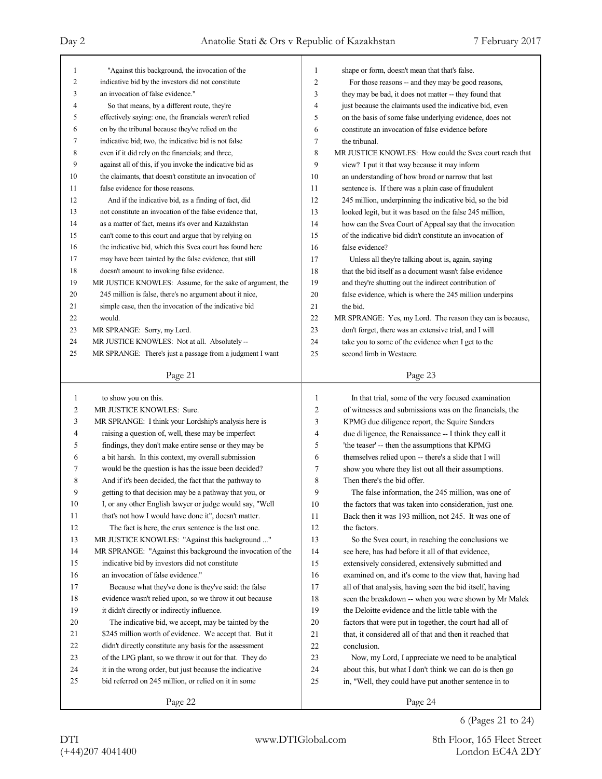| $\mathbf{1}$   |                                                            |                |                                                           |
|----------------|------------------------------------------------------------|----------------|-----------------------------------------------------------|
|                | "Against this background, the invocation of the            | 1              | shape or form, doesn't mean that that's false.            |
| $\overline{2}$ | indicative bid by the investors did not constitute         | $\overline{2}$ | For those reasons -- and they may be good reasons,        |
| 3              | an invocation of false evidence."                          | 3              | they may be bad, it does not matter -- they found that    |
| 4              | So that means, by a different route, they're               | $\overline{4}$ | just because the claimants used the indicative bid, even  |
| 5              | effectively saying: one, the financials weren't relied     | 5              | on the basis of some false underlying evidence, does not  |
| 6              | on by the tribunal because they've relied on the           | 6              | constitute an invocation of false evidence before         |
| 7              | indicative bid; two, the indicative bid is not false       | $\overline{7}$ | the tribunal.                                             |
| 8              | even if it did rely on the financials; and three,          | 8              | MR JUSTICE KNOWLES: How could the Svea court reach that   |
| 9              | against all of this, if you invoke the indicative bid as   | 9              | view? I put it that way because it may inform             |
| 10             | the claimants, that doesn't constitute an invocation of    | 10             | an understanding of how broad or narrow that last         |
| 11             | false evidence for those reasons.                          | 11             | sentence is. If there was a plain case of fraudulent      |
| 12             | And if the indicative bid, as a finding of fact, did       | 12             | 245 million, underpinning the indicative bid, so the bid  |
| 13             | not constitute an invocation of the false evidence that,   | 13             | looked legit, but it was based on the false 245 million,  |
| 14             | as a matter of fact, means it's over and Kazakhstan        | 14             | how can the Svea Court of Appeal say that the invocation  |
| 15             | can't come to this court and argue that by relying on      | 15             | of the indicative bid didn't constitute an invocation of  |
| 16             | the indicative bid, which this Svea court has found here   | 16             | false evidence?                                           |
| 17             | may have been tainted by the false evidence, that still    | 17             | Unless all they're talking about is, again, saying        |
| 18             | doesn't amount to invoking false evidence.                 | 18             | that the bid itself as a document wasn't false evidence   |
| 19             | MR JUSTICE KNOWLES: Assume, for the sake of argument, the  | 19             | and they're shutting out the indirect contribution of     |
| 20             | 245 million is false, there's no argument about it nice,   | 20             | false evidence, which is where the 245 million underpins  |
| 21             | simple case, then the invocation of the indicative bid     | 21             | the bid.                                                  |
| 22             | would.                                                     | 22             | MR SPRANGE: Yes, my Lord. The reason they can is because, |
| 23             | MR SPRANGE: Sorry, my Lord.                                | 23             | don't forget, there was an extensive trial, and I will    |
| 24             | MR JUSTICE KNOWLES: Not at all. Absolutely --              | 24             | take you to some of the evidence when I get to the        |
| 25             | MR SPRANGE: There's just a passage from a judgment I want  | 25             | second limb in Westacre.                                  |
|                |                                                            |                |                                                           |
|                | Page 21                                                    |                | Page 23                                                   |
|                | to show you on this.                                       |                |                                                           |
| 1              |                                                            |                |                                                           |
|                |                                                            | 1              | In that trial, some of the very focused examination       |
| 2              | MR JUSTICE KNOWLES: Sure.                                  | 2              | of witnesses and submissions was on the financials, the   |
| 3              | MR SPRANGE: I think your Lordship's analysis here is       | 3              | KPMG due diligence report, the Squire Sanders             |
| 4              | raising a question of, well, these may be imperfect        | 4              | due diligence, the Renaissance -- I think they call it    |
| 5              | findings, they don't make entire sense or they may be      | 5              | 'the teaser' -- then the assumptions that KPMG            |
| 6              | a bit harsh. In this context, my overall submission        | 6              | themselves relied upon -- there's a slide that I will     |
| 7              | would be the question is has the issue been decided?       | 7              | show you where they list out all their assumptions.       |
| 8              | And if it's been decided, the fact that the pathway to     | 8              | Then there's the bid offer.                               |
| 9              | getting to that decision may be a pathway that you, or     | 9              | The false information, the 245 million, was one of        |
| $10\,$         | I, or any other English lawyer or judge would say, "Well   | $10\,$         | the factors that was taken into consideration, just one.  |
| 11             | that's not how I would have done it", doesn't matter.      | 11             | Back then it was 193 million, not 245. It was one of      |
| 12             | The fact is here, the crux sentence is the last one.       | 12             | the factors.                                              |
| 13             | MR JUSTICE KNOWLES: "Against this background "             | 13             | So the Svea court, in reaching the conclusions we         |
| 14             | MR SPRANGE: "Against this background the invocation of the | 14             | see here, has had before it all of that evidence,         |
| 15             | indicative bid by investors did not constitute             | 15             | extensively considered, extensively submitted and         |
| 16             | an invocation of false evidence."                          | 16             | examined on, and it's come to the view that, having had   |
| 17             | Because what they've done is they've said: the false       | 17             | all of that analysis, having seen the bid itself, having  |
| 18             | evidence wasn't relied upon, so we throw it out because    | 18             | seen the breakdown -- when you were shown by Mr Malek     |
| 19             | it didn't directly or indirectly influence.                | 19             | the Deloitte evidence and the little table with the       |
| 20             | The indicative bid, we accept, may be tainted by the       | 20             | factors that were put in together, the court had all of   |
| 21             | \$245 million worth of evidence. We accept that. But it    | 21             | that, it considered all of that and then it reached that  |
| 22             | didn't directly constitute any basis for the assessment    | 22             | conclusion.                                               |
| 23             | of the LPG plant, so we throw it out for that. They do     | 23             | Now, my Lord, I appreciate we need to be analytical       |
| 24             | it in the wrong order, but just because the indicative     | 24             | about this, but what I don't think we can do is then go   |
| 25             | bid referred on 245 million, or relied on it in some       | 25             | in, "Well, they could have put another sentence in to     |
|                | Page 22                                                    |                | Page 24                                                   |

6 (Pages 21 to 24)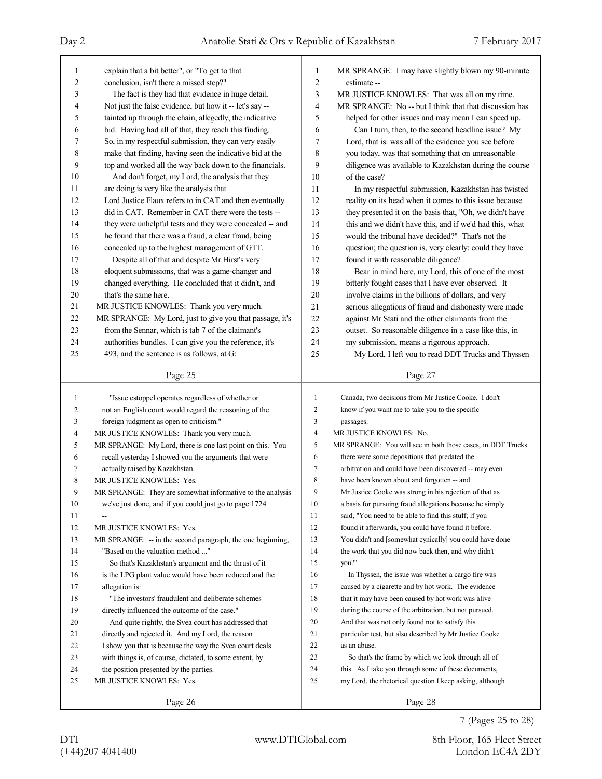| 1              | explain that a bit better", or "To get to that                     | 1              | MR SPRANGE: I may have slightly blown my 90-minute                                                               |
|----------------|--------------------------------------------------------------------|----------------|------------------------------------------------------------------------------------------------------------------|
| 2              | conclusion, isn't there a missed step?"                            | $\overline{2}$ | estimate --                                                                                                      |
| 3              | The fact is they had that evidence in huge detail.                 | 3              | MR JUSTICE KNOWLES: That was all on my time.                                                                     |
| 4              | Not just the false evidence, but how it -- let's say --            | 4              | MR SPRANGE: No -- but I think that that discussion has                                                           |
| 5              | tainted up through the chain, allegedly, the indicative            | 5              | helped for other issues and may mean I can speed up.                                                             |
| 6              | bid. Having had all of that, they reach this finding.              | 6              | Can I turn, then, to the second headline issue? My                                                               |
| 7              | So, in my respectful submission, they can very easily              | 7              | Lord, that is: was all of the evidence you see before                                                            |
| 8              | make that finding, having seen the indicative bid at the           | 8              | you today, was that something that on unreasonable                                                               |
| 9              | top and worked all the way back down to the financials.            | 9              | diligence was available to Kazakhstan during the course                                                          |
| 10             | And don't forget, my Lord, the analysis that they                  | 10             | of the case?                                                                                                     |
| 11             | are doing is very like the analysis that                           | 11             | In my respectful submission, Kazakhstan has twisted                                                              |
| 12             | Lord Justice Flaux refers to in CAT and then eventually            | 12             | reality on its head when it comes to this issue because                                                          |
| 13             | did in CAT. Remember in CAT there were the tests --                | 13             | they presented it on the basis that, "Oh, we didn't have                                                         |
| 14             | they were unhelpful tests and they were concealed -- and           | 14             | this and we didn't have this, and if we'd had this, what                                                         |
| 15             | he found that there was a fraud, a clear fraud, being              | 15             | would the tribunal have decided?" That's not the                                                                 |
| 16             | concealed up to the highest management of GTT.                     | 16             | question; the question is, very clearly: could they have                                                         |
| 17             | Despite all of that and despite Mr Hirst's very                    | 17             | found it with reasonable diligence?                                                                              |
| 18             | eloquent submissions, that was a game-changer and                  | 18             | Bear in mind here, my Lord, this of one of the most                                                              |
| 19             | changed everything. He concluded that it didn't, and               | 19             | bitterly fought cases that I have ever observed. It                                                              |
| 20             | that's the same here.                                              | 20             | involve claims in the billions of dollars, and very                                                              |
| 21             | MR JUSTICE KNOWLES: Thank you very much.                           | 21             | serious allegations of fraud and dishonesty were made                                                            |
| 22             | MR SPRANGE: My Lord, just to give you that passage, it's           | 22             | against Mr Stati and the other claimants from the                                                                |
| 23             | from the Sennar, which is tab 7 of the claimant's                  | 23             | outset. So reasonable diligence in a case like this, in                                                          |
| 24             | authorities bundles. I can give you the reference, it's            | 24             | my submission, means a rigorous approach.                                                                        |
| 25             | 493, and the sentence is as follows, at G:                         | 25             | My Lord, I left you to read DDT Trucks and Thyssen                                                               |
|                | Page 25                                                            |                | Page 27                                                                                                          |
|                |                                                                    |                |                                                                                                                  |
|                |                                                                    |                |                                                                                                                  |
| 1              | "Issue estoppel operates regardless of whether or                  | 1              | Canada, two decisions from Mr Justice Cooke. I don't                                                             |
| 2              | not an English court would regard the reasoning of the             | 2              | know if you want me to take you to the specific                                                                  |
| 3              | foreign judgment as open to criticism."                            | 3              | passages.                                                                                                        |
| $\overline{4}$ | MR JUSTICE KNOWLES: Thank you very much.                           | 4              | MR JUSTICE KNOWLES: No.                                                                                          |
| 5              | MR SPRANGE: My Lord, there is one last point on this. You          | 5              | MR SPRANGE: You will see in both those cases, in DDT Trucks                                                      |
| 6              | recall yesterday I showed you the arguments that were              | 6              | there were some depositions that predated the                                                                    |
| 7              | actually raised by Kazakhstan.                                     | 7              | arbitration and could have been discovered -- may even                                                           |
| 8              | MR JUSTICE KNOWLES: Yes.                                           | 8              | have been known about and forgotten -- and                                                                       |
| 9              | MR SPRANGE: They are somewhat informative to the analysis          | 9              | Mr Justice Cooke was strong in his rejection of that as                                                          |
| $10\,$         | we've just done, and if you could just go to page 1724             | $10\,$         | a basis for pursuing fraud allegations because he simply                                                         |
| 11             |                                                                    | 11             | said, "You need to be able to find this stuff; if you                                                            |
| 12             | MR JUSTICE KNOWLES: Yes.                                           | 12             | found it afterwards, you could have found it before.                                                             |
| 13             | MR SPRANGE: - in the second paragraph, the one beginning,          | 13             | You didn't and [somewhat cynically] you could have done                                                          |
| 14             | "Based on the valuation method "                                   | 14             | the work that you did now back then, and why didn't                                                              |
| 15             | So that's Kazakhstan's argument and the thrust of it               | 15             | you?"                                                                                                            |
| 16             | is the LPG plant value would have been reduced and the             | 16             | In Thyssen, the issue was whether a cargo fire was                                                               |
| 17             | allegation is:                                                     | 17             | caused by a cigarette and by hot work. The evidence                                                              |
| 18             | "The investors' fraudulent and deliberate schemes                  | 18             | that it may have been caused by hot work was alive                                                               |
| 19             | directly influenced the outcome of the case."                      | 19             | during the course of the arbitration, but not pursued.                                                           |
| 20             | And quite rightly, the Svea court has addressed that               | 20             | And that was not only found not to satisfy this                                                                  |
| 21             | directly and rejected it. And my Lord, the reason                  | 21             | particular test, but also described by Mr Justice Cooke                                                          |
| 22             | I show you that is because the way the Svea court deals            | 22             | as an abuse.                                                                                                     |
| 23             | with things is, of course, dictated, to some extent, by            | 23             | So that's the frame by which we look through all of                                                              |
| 24<br>25       | the position presented by the parties.<br>MR JUSTICE KNOWLES: Yes. | 24<br>25       | this. As I take you through some of these documents,<br>my Lord, the rhetorical question I keep asking, although |
|                | Page 26                                                            |                | Page 28                                                                                                          |

7 (Pages 25 to 28)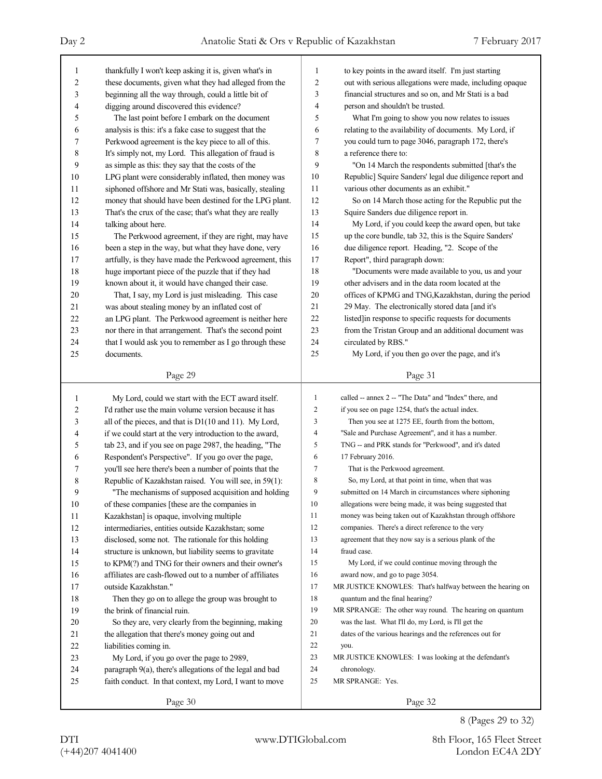| 1                       | thankfully I won't keep asking it is, given what's in    | $\mathbf{1}$   | to key points in the award itself. I'm just starting      |
|-------------------------|----------------------------------------------------------|----------------|-----------------------------------------------------------|
| $\overline{\mathbf{c}}$ | these documents, given what they had alleged from the    | $\overline{c}$ | out with serious allegations were made, including opaque  |
| 3                       | beginning all the way through, could a little bit of     | 3              | financial structures and so on, and Mr Stati is a bad     |
| 4                       | digging around discovered this evidence?                 | 4              | person and shouldn't be trusted.                          |
| 5                       | The last point before I embark on the document           | 5              | What I'm going to show you now relates to issues          |
| 6                       | analysis is this: it's a fake case to suggest that the   | 6              | relating to the availability of documents. My Lord, if    |
| 7                       | Perkwood agreement is the key piece to all of this.      | 7              | you could turn to page 3046, paragraph 172, there's       |
| 8                       | It's simply not, my Lord. This allegation of fraud is    | 8              | a reference there to:                                     |
| 9                       | as simple as this: they say that the costs of the        | 9              | "On 14 March the respondents submitted [that's the        |
| 10                      | LPG plant were considerably inflated, then money was     | 10             | Republic] Squire Sanders' legal due diligence report and  |
| 11                      | siphoned offshore and Mr Stati was, basically, stealing  | 11             | various other documents as an exhibit."                   |
| 12                      | money that should have been destined for the LPG plant.  | 12             | So on 14 March those acting for the Republic put the      |
| 13                      | That's the crux of the case; that's what they are really | 13             | Squire Sanders due diligence report in.                   |
| 14                      | talking about here.                                      | 14             | My Lord, if you could keep the award open, but take       |
| 15                      | The Perkwood agreement, if they are right, may have      | 15             | up the core bundle, tab 32, this is the Squire Sanders'   |
| 16                      | been a step in the way, but what they have done, very    | 16             | due diligence report. Heading, "2. Scope of the           |
| 17                      | artfully, is they have made the Perkwood agreement, this | 17             | Report", third paragraph down:                            |
| 18                      | huge important piece of the puzzle that if they had      | 18             | "Documents were made available to you, us and your        |
| 19                      | known about it, it would have changed their case.        | 19             | other advisers and in the data room located at the        |
| 20                      | That, I say, my Lord is just misleading. This case       | 20             | offices of KPMG and TNG, Kazakhstan, during the period    |
| 21                      | was about stealing money by an inflated cost of          | 21             | 29 May. The electronically stored data [and it's          |
| 22                      | an LPG plant. The Perkwood agreement is neither here     | 22             | listed]in response to specific requests for documents     |
| 23                      | nor there in that arrangement. That's the second point   | 23             | from the Tristan Group and an additional document was     |
| 24                      | that I would ask you to remember as I go through these   | 24             | circulated by RBS."                                       |
| 25                      | documents.                                               | 25             | My Lord, if you then go over the page, and it's           |
|                         |                                                          |                |                                                           |
|                         | Page 29                                                  |                | Page 31                                                   |
|                         |                                                          |                |                                                           |
|                         |                                                          |                |                                                           |
| 1                       | My Lord, could we start with the ECT award itself.       | 1              | called -- annex 2 -- "The Data" and "Index" there, and    |
| 2                       | I'd rather use the main volume version because it has    | $\overline{2}$ | if you see on page 1254, that's the actual index.         |
| 3                       | all of the pieces, and that is D1(10 and 11). My Lord,   | 3              | Then you see at 1275 EE, fourth from the bottom,          |
| 4                       | if we could start at the very introduction to the award, | $\overline{4}$ | "Sale and Purchase Agreement", and it has a number.       |
| 5                       | tab 23, and if you see on page 2987, the heading, "The   | 5              | TNG -- and PRK stands for "Perkwood", and it's dated      |
| 6                       | Respondent's Perspective". If you go over the page,      | 6              | 17 February 2016.                                         |
| 7                       | you'll see here there's been a number of points that the | 7              | That is the Perkwood agreement.                           |
| 8                       | Republic of Kazakhstan raised. You will see, in 59(1):   | 8              | So, my Lord, at that point in time, when that was         |
| 9                       | "The mechanisms of supposed acquisition and holding      | 9              | submitted on 14 March in circumstances where siphoning    |
| 10                      | of these companies [these are the companies in           | 10             | allegations were being made, it was being suggested that  |
| 11                      | Kazakhstan] is opaque, involving multiple                | 11             | money was being taken out of Kazakhstan through offshore  |
| 12                      | intermediaries, entities outside Kazakhstan; some        | 12             | companies. There's a direct reference to the very         |
| 13                      | disclosed, some not. The rationale for this holding      | 13             | agreement that they now say is a serious plank of the     |
| 14                      | structure is unknown, but liability seems to gravitate   | 14             | fraud case.                                               |
| 15                      | to KPM(?) and TNG for their owners and their owner's     | 15             | My Lord, if we could continue moving through the          |
| 16                      | affiliates are cash-flowed out to a number of affiliates | 16             | award now, and go to page 3054.                           |
| 17                      | outside Kazakhstan."                                     | 17             | MR JUSTICE KNOWLES: That's halfway between the hearing on |
| 18                      | Then they go on to allege the group was brought to       | 18             | quantum and the final hearing?                            |
| 19                      | the brink of financial ruin.                             | 19             | MR SPRANGE: The other way round. The hearing on quantum   |
| 20                      | So they are, very clearly from the beginning, making     | 20             | was the last. What I'll do, my Lord, is I'll get the      |
| 21                      | the allegation that there's money going out and          | 21             | dates of the various hearings and the references out for  |
| 22                      | liabilities coming in.                                   | 22             | you.                                                      |
| 23                      | My Lord, if you go over the page to 2989,                | 23             | MR JUSTICE KNOWLES: I was looking at the defendant's      |
| 24                      | paragraph 9(a), there's allegations of the legal and bad | 24             | chronology.                                               |
| 25                      | faith conduct. In that context, my Lord, I want to move  | 25             | MR SPRANGE: Yes.                                          |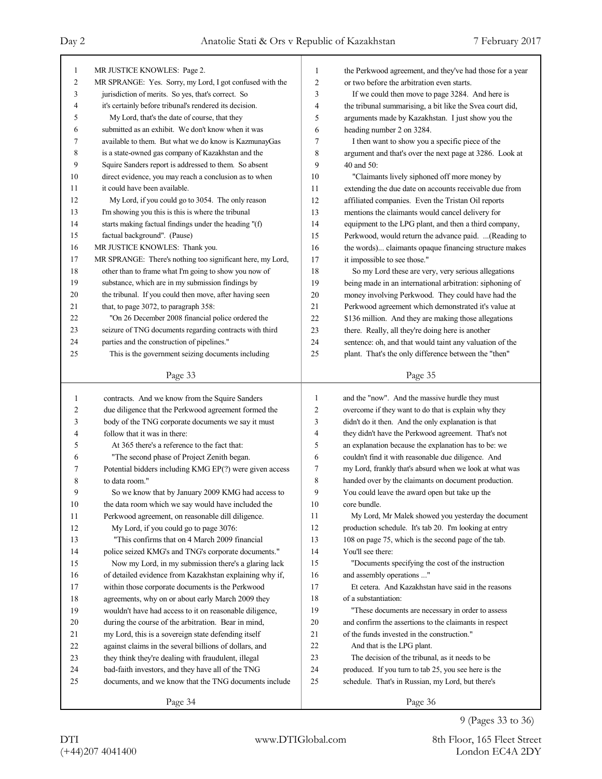| 1              | MR JUSTICE KNOWLES: Page 2.                                                                                | 1      | the Perkwood agreement, and they've had those for a year                                                       |
|----------------|------------------------------------------------------------------------------------------------------------|--------|----------------------------------------------------------------------------------------------------------------|
| $\overline{c}$ | MR SPRANGE: Yes. Sorry, my Lord, I got confused with the                                                   | 2      | or two before the arbitration even starts.                                                                     |
| 3              | jurisdiction of merits. So yes, that's correct. So                                                         | 3      | If we could then move to page 3284. And here is                                                                |
| 4              | it's certainly before tribunal's rendered its decision.                                                    | 4      | the tribunal summarising, a bit like the Svea court did,                                                       |
| 5              | My Lord, that's the date of course, that they                                                              | 5      | arguments made by Kazakhstan. I just show you the                                                              |
| 6              | submitted as an exhibit. We don't know when it was                                                         | 6      | heading number 2 on 3284.                                                                                      |
| 7              | available to them. But what we do know is KazmunayGas                                                      | 7      | I then want to show you a specific piece of the                                                                |
| 8              | is a state-owned gas company of Kazakhstan and the                                                         | 8      | argument and that's over the next page at 3286. Look at                                                        |
| 9              | Squire Sanders report is addressed to them. So absent                                                      | 9      | 40 and $50$ :                                                                                                  |
| 10             | direct evidence, you may reach a conclusion as to when                                                     | 10     | "Claimants lively siphoned off more money by                                                                   |
| 11             | it could have been available.                                                                              | 11     | extending the due date on accounts receivable due from                                                         |
| 12             | My Lord, if you could go to 3054. The only reason                                                          | 12     | affiliated companies. Even the Tristan Oil reports                                                             |
| 13             | I'm showing you this is this is where the tribunal                                                         | 13     | mentions the claimants would cancel delivery for                                                               |
| 14             | starts making factual findings under the heading "(f)                                                      | 14     | equipment to the LPG plant, and then a third company,                                                          |
| 15             | factual background". (Pause)                                                                               | 15     | Perkwood, would return the advance paid.  (Reading to                                                          |
| 16             | MR JUSTICE KNOWLES: Thank you.                                                                             | 16     | the words) claimants opaque financing structure makes                                                          |
| 17             | MR SPRANGE: There's nothing too significant here, my Lord,                                                 | 17     | it impossible to see those."                                                                                   |
| 18             | other than to frame what I'm going to show you now of                                                      | 18     | So my Lord these are very, very serious allegations                                                            |
| 19             | substance, which are in my submission findings by                                                          | 19     | being made in an international arbitration: siphoning of                                                       |
| 20             | the tribunal. If you could then move, after having seen                                                    | 20     | money involving Perkwood. They could have had the                                                              |
| 21             | that, to page 3072, to paragraph 358:                                                                      | 21     | Perkwood agreement which demonstrated it's value at                                                            |
| 22             | "On 26 December 2008 financial police ordered the                                                          | 22     | \$136 million. And they are making those allegations                                                           |
| 23             | seizure of TNG documents regarding contracts with third                                                    | 23     | there. Really, all they're doing here is another                                                               |
| 24             | parties and the construction of pipelines."                                                                | 24     | sentence: oh, and that would taint any valuation of the                                                        |
| 25             | This is the government seizing documents including                                                         | 25     | plant. That's the only difference between the "then"                                                           |
|                |                                                                                                            |        |                                                                                                                |
|                | Page 33                                                                                                    |        | Page 35                                                                                                        |
|                |                                                                                                            |        |                                                                                                                |
|                |                                                                                                            |        |                                                                                                                |
| 1              | contracts. And we know from the Squire Sanders                                                             | 1      | and the "now". And the massive hurdle they must                                                                |
| 2              | due diligence that the Perkwood agreement formed the                                                       | 2<br>3 | overcome if they want to do that is explain why they                                                           |
| 3              | body of the TNG corporate documents we say it must                                                         | 4      | didn't do it then. And the only explanation is that                                                            |
| 4<br>5         | follow that it was in there:                                                                               | 5      | they didn't have the Perkwood agreement. That's not                                                            |
| 6              | At 365 there's a reference to the fact that:                                                               | 6      | an explanation because the explanation has to be: we                                                           |
| 7              | "The second phase of Project Zenith began.                                                                 | 7      | couldn't find it with reasonable due diligence. And                                                            |
|                | Potential bidders including KMG EP(?) were given access<br>to data room."                                  | 8      | my Lord, frankly that's absurd when we look at what was                                                        |
| 8<br>9         |                                                                                                            | 9      | handed over by the claimants on document production.                                                           |
|                | So we know that by January 2009 KMG had access to                                                          | 10     | You could leave the award open but take up the<br>core bundle.                                                 |
| 10<br>11       | the data room which we say would have included the<br>Perkwood agreement, on reasonable dill diligence.    | 11     | My Lord, Mr Malek showed you yesterday the document                                                            |
| 12             |                                                                                                            | 12     |                                                                                                                |
| 13             | My Lord, if you could go to page 3076:<br>"This confirms that on 4 March 2009 financial                    | 13     | production schedule. It's tab 20. I'm looking at entry<br>108 on page 75, which is the second page of the tab. |
| 14             |                                                                                                            | 14     | You'll see there:                                                                                              |
| 15             | police seized KMG's and TNG's corporate documents."                                                        | 15     |                                                                                                                |
| 16             | Now my Lord, in my submission there's a glaring lack                                                       | 16     | "Documents specifying the cost of the instruction                                                              |
| 17             | of detailed evidence from Kazakhstan explaining why if,                                                    | 17     | and assembly operations "<br>Et cetera. And Kazakhstan have said in the reasons                                |
| 18             | within those corporate documents is the Perkwood<br>agreements, why on or about early March 2009 they      | 18     | of a substantiation:                                                                                           |
| 19             | wouldn't have had access to it on reasonable diligence,                                                    | 19     | "These documents are necessary in order to assess                                                              |
| 20             |                                                                                                            | 20     | and confirm the assertions to the claimants in respect                                                         |
| 21             | during the course of the arbitration. Bear in mind,<br>my Lord, this is a sovereign state defending itself | 21     | of the funds invested in the construction."                                                                    |
| 22             | against claims in the several billions of dollars, and                                                     | 22     | And that is the LPG plant.                                                                                     |
| 23             | they think they're dealing with fraudulent, illegal                                                        | 23     | The decision of the tribunal, as it needs to be                                                                |
| 24             | bad-faith investors, and they have all of the TNG                                                          | 24     | produced. If you turn to tab 25, you see here is the                                                           |
| 25             | documents, and we know that the TNG documents include                                                      | 25     | schedule. That's in Russian, my Lord, but there's                                                              |
|                | Page 34                                                                                                    |        | Page 36                                                                                                        |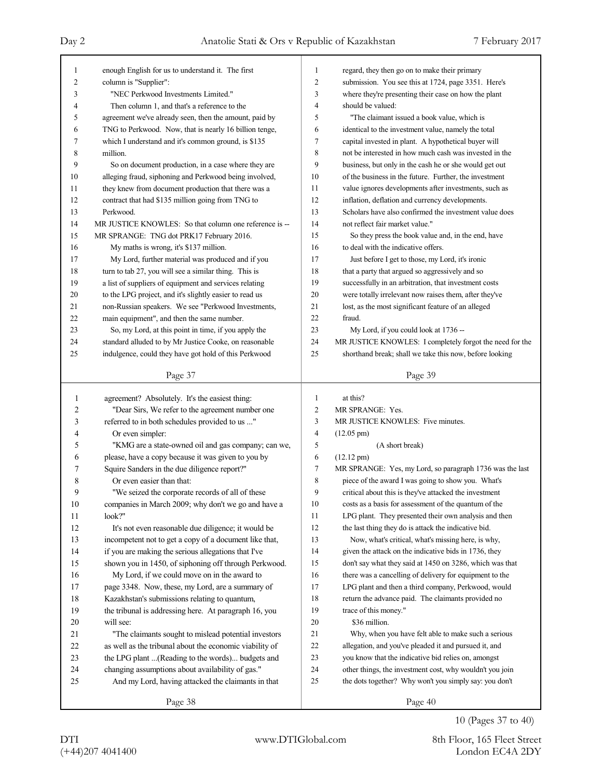| 1      | enough English for us to understand it. The first             | 1              | regard, they then go on to make their primary                                                                      |
|--------|---------------------------------------------------------------|----------------|--------------------------------------------------------------------------------------------------------------------|
| 2      | column is "Supplier":                                         | 2              | submission. You see this at 1724, page 3351. Here's                                                                |
| 3      | "NEC Perkwood Investments Limited."                           | 3              | where they're presenting their case on how the plant                                                               |
| 4      | Then column 1, and that's a reference to the                  | 4              | should be valued:                                                                                                  |
| 5      | agreement we've already seen, then the amount, paid by        | 5              | "The claimant issued a book value, which is                                                                        |
| 6      | TNG to Perkwood. Now, that is nearly 16 billion tenge,        | 6              | identical to the investment value, namely the total                                                                |
| 7      | which I understand and it's common ground, is \$135           | 7              | capital invested in plant. A hypothetical buyer will                                                               |
| 8      | million.                                                      | 8              | not be interested in how much cash was invested in the                                                             |
| 9      | So on document production, in a case where they are           | 9              | business, but only in the cash he or she would get out                                                             |
| 10     | alleging fraud, siphoning and Perkwood being involved,        | 10             | of the business in the future. Further, the investment                                                             |
| 11     | they knew from document production that there was a           | 11             | value ignores developments after investments, such as                                                              |
| 12     | contract that had \$135 million going from TNG to             | 12             | inflation, deflation and currency developments.                                                                    |
| 13     | Perkwood.                                                     | 13             | Scholars have also confirmed the investment value does                                                             |
| 14     | MR JUSTICE KNOWLES: So that column one reference is --        | 14             | not reflect fair market value."                                                                                    |
| 15     | MR SPRANGE: TNG dot PRK17 February 2016.                      | 15             | So they press the book value and, in the end, have                                                                 |
| 16     | My maths is wrong, it's \$137 million.                        | 16             | to deal with the indicative offers.                                                                                |
| 17     | My Lord, further material was produced and if you             | 17             | Just before I get to those, my Lord, it's ironic                                                                   |
| 18     | turn to tab 27, you will see a similar thing. This is         | 18             | that a party that argued so aggressively and so                                                                    |
| 19     | a list of suppliers of equipment and services relating        | 19             | successfully in an arbitration, that investment costs                                                              |
| 20     | to the LPG project, and it's slightly easier to read us       | 20             | were totally irrelevant now raises them, after they've                                                             |
| 21     | non-Russian speakers. We see "Perkwood Investments,           | 21             | lost, as the most significant feature of an alleged                                                                |
| 22     | main equipment", and then the same number.                    | 22             | fraud.                                                                                                             |
| 23     | So, my Lord, at this point in time, if you apply the          | 23             | My Lord, if you could look at 1736 --                                                                              |
| 24     | standard alluded to by Mr Justice Cooke, on reasonable        | 24             | MR JUSTICE KNOWLES: I completely forgot the need for the                                                           |
| 25     | indulgence, could they have got hold of this Perkwood         | 25             | shorthand break; shall we take this now, before looking                                                            |
|        |                                                               |                |                                                                                                                    |
|        | Page 37                                                       |                | Page 39                                                                                                            |
|        |                                                               |                |                                                                                                                    |
|        |                                                               |                |                                                                                                                    |
| 1      | agreement? Absolutely. It's the easiest thing:                | 1              | at this?                                                                                                           |
| 2      | "Dear Sirs, We refer to the agreement number one              | $\overline{c}$ | MR SPRANGE: Yes.                                                                                                   |
| 3      | referred to in both schedules provided to us "                | 3              | MR JUSTICE KNOWLES: Five minutes.                                                                                  |
| 4      | Or even simpler:                                              | $\overline{4}$ | $(12.05 \text{ pm})$                                                                                               |
| 5      | "KMG are a state-owned oil and gas company; can we,           | 5              | (A short break)                                                                                                    |
| 6      | please, have a copy because it was given to you by            | 6              | $(12.12 \text{ pm})$                                                                                               |
| 7      | Squire Sanders in the due diligence report?"                  | 7              | MR SPRANGE: Yes, my Lord, so paragraph 1736 was the last                                                           |
| 8      | Or even easier than that:                                     | 8              | piece of the award I was going to show you. What's                                                                 |
| 9      | "We seized the corporate records of all of these              | 9              | critical about this is they've attacked the investment                                                             |
| $10\,$ | companies in March 2009; why don't we go and have a           | 10             | costs as a basis for assessment of the quantum of the                                                              |
| 11     | look?"                                                        | 11             | LPG plant. They presented their own analysis and then                                                              |
| 12     | It's not even reasonable due diligence; it would be           | 12             | the last thing they do is attack the indicative bid.                                                               |
| 13     | incompetent not to get a copy of a document like that,        | 13             | Now, what's critical, what's missing here, is why,                                                                 |
| 14     | if you are making the serious allegations that I've           | 14             | given the attack on the indicative bids in 1736, they                                                              |
| 15     | shown you in 1450, of siphoning off through Perkwood.         | 15             | don't say what they said at 1450 on 3286, which was that                                                           |
| 16     | My Lord, if we could move on in the award to                  | 16             | there was a cancelling of delivery for equipment to the                                                            |
| $17\,$ | page 3348. Now, these, my Lord, are a summary of              | 17             | LPG plant and then a third company, Perkwood, would                                                                |
| $18\,$ | Kazakhstan's submissions relating to quantum,                 | 18             | return the advance paid. The claimants provided no                                                                 |
| 19     | the tribunal is addressing here. At paragraph 16, you         | 19             | trace of this money."                                                                                              |
| $20\,$ | will see:                                                     | 20             | \$36 million.                                                                                                      |
| 21     | "The claimants sought to mislead potential investors          | 21             | Why, when you have felt able to make such a serious                                                                |
| 22     | as well as the tribunal about the economic viability of       | 22             | allegation, and you've pleaded it and pursued it, and                                                              |
| 23     |                                                               | 23             | you know that the indicative bid relies on, amongst                                                                |
|        | the LPG plant  (Reading to the words) budgets and             | 24             |                                                                                                                    |
| 24     | changing assumptions about availability of gas."              | 25             | other things, the investment cost, why wouldn't you join<br>the dots together? Why won't you simply say: you don't |
| 25     | And my Lord, having attacked the claimants in that<br>Page 38 |                | Page 40                                                                                                            |

10 (Pages 37 to 40)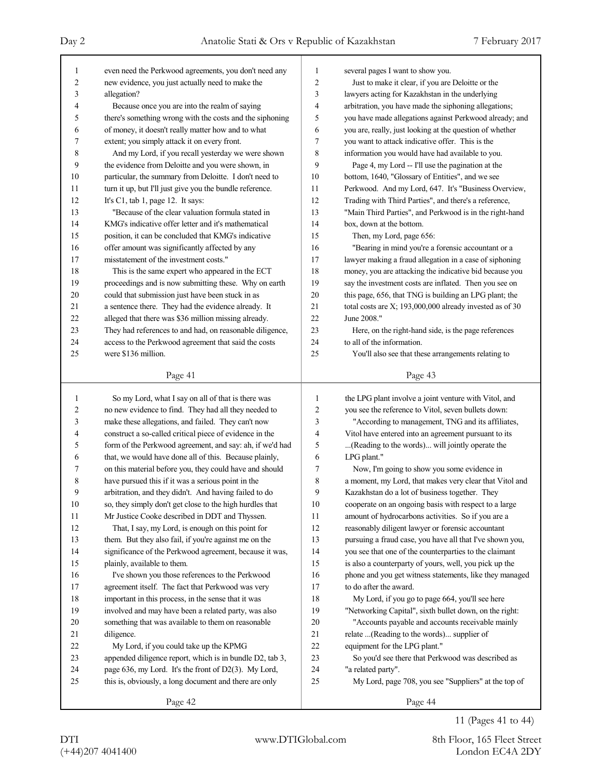| 1              | even need the Perkwood agreements, you don't need any    | 1              | several pages I want to show you.                        |
|----------------|----------------------------------------------------------|----------------|----------------------------------------------------------|
| $\overline{c}$ | new evidence, you just actually need to make the         | 2              | Just to make it clear, if you are Deloitte or the        |
| 3              | allegation?                                              | 3              | lawyers acting for Kazakhstan in the underlying          |
| 4              | Because once you are into the realm of saying            | 4              | arbitration, you have made the siphoning allegations;    |
| 5              | there's something wrong with the costs and the siphoning | 5              | you have made allegations against Perkwood already; and  |
| 6              | of money, it doesn't really matter how and to what       | 6              | you are, really, just looking at the question of whether |
| 7              | extent; you simply attack it on every front.             | 7              | you want to attack indicative offer. This is the         |
| 8              | And my Lord, if you recall yesterday we were shown       | 8              | information you would have had available to you.         |
| 9              | the evidence from Deloitte and you were shown, in        | 9              | Page 4, my Lord -- I'll use the pagination at the        |
| 10             | particular, the summary from Deloitte. I don't need to   | 10             | bottom, 1640, "Glossary of Entities", and we see         |
| 11             | turn it up, but I'll just give you the bundle reference. | 11             | Perkwood. And my Lord, 647. It's "Business Overview,     |
| 12             | It's $C1$ , tab 1, page 12. It says:                     | 12             | Trading with Third Parties", and there's a reference,    |
| 13             | "Because of the clear valuation formula stated in        | 13             | "Main Third Parties", and Perkwood is in the right-hand  |
| 14             | KMG's indicative offer letter and it's mathematical      | 14             | box, down at the bottom.                                 |
| 15             | position, it can be concluded that KMG's indicative      | 15             | Then, my Lord, page 656:                                 |
| 16             | offer amount was significantly affected by any           | 16             | "Bearing in mind you're a forensic accountant or a       |
| 17             | misstatement of the investment costs."                   | 17             | lawyer making a fraud allegation in a case of siphoning  |
| 18             | This is the same expert who appeared in the ECT          | 18             | money, you are attacking the indicative bid because you  |
| 19             | proceedings and is now submitting these. Why on earth    | 19             | say the investment costs are inflated. Then you see on   |
| 20             | could that submission just have been stuck in as         | 20             | this page, 656, that TNG is building an LPG plant; the   |
| 21             | a sentence there. They had the evidence already. It      | 21             | total costs are X; 193,000,000 already invested as of 30 |
| 22             | alleged that there was \$36 million missing already.     | 22             | June 2008."                                              |
| 23             | They had references to and had, on reasonable diligence, | 23             | Here, on the right-hand side, is the page references     |
| 24             | access to the Perkwood agreement that said the costs     | 24             | to all of the information.                               |
| 25             | were \$136 million.                                      | 25             | You'll also see that these arrangements relating to      |
|                |                                                          |                |                                                          |
|                | Page 41                                                  |                | Page 43                                                  |
|                |                                                          |                |                                                          |
|                |                                                          |                |                                                          |
| 1              | So my Lord, what I say on all of that is there was       | $\mathbf{1}$   | the LPG plant involve a joint venture with Vitol, and    |
| 2              | no new evidence to find. They had all they needed to     | $\overline{c}$ | you see the reference to Vitol, seven bullets down:      |
| 3              | make these allegations, and failed. They can't now       | $\mathfrak{Z}$ | "According to management, TNG and its affiliates,        |
| 4              | construct a so-called critical piece of evidence in the  | 4              | Vitol have entered into an agreement pursuant to its     |
| 5              | form of the Perkwood agreement, and say: ah, if we'd had | 5              | (Reading to the words) will jointly operate the          |
| 6              | that, we would have done all of this. Because plainly,   | 6              | LPG plant."                                              |
| 7              | on this material before you, they could have and should  | 7              | Now, I'm going to show you some evidence in              |
| 8              | have pursued this if it was a serious point in the       | 8              | a moment, my Lord, that makes very clear that Vitol and  |
| 9              | arbitration, and they didn't. And having failed to do    | 9              | Kazakhstan do a lot of business together. They           |
| 10             | so, they simply don't get close to the high hurdles that | 10             | cooperate on an ongoing basis with respect to a large    |
| 11             | Mr Justice Cooke described in DDT and Thyssen.           | 11             | amount of hydrocarbons activities. So if you are a       |
| 12             | That, I say, my Lord, is enough on this point for        | 12             | reasonably diligent lawyer or forensic accountant        |
| 13             | them. But they also fail, if you're against me on the    | 13             | pursuing a fraud case, you have all that I've shown you, |
| 14             | significance of the Perkwood agreement, because it was,  | 14             | you see that one of the counterparties to the claimant   |
| 15             | plainly, available to them.                              | 15             | is also a counterparty of yours, well, you pick up the   |
| 16             | I've shown you those references to the Perkwood          | 16             | phone and you get witness statements, like they managed  |
| 17             | agreement itself. The fact that Perkwood was very        | 17             | to do after the award.                                   |
| 18             | important in this process, in the sense that it was      | 18             | My Lord, if you go to page 664, you'll see here          |
| 19             | involved and may have been a related party, was also     | 19             | "Networking Capital", sixth bullet down, on the right:   |
| 20             | something that was available to them on reasonable       | 20             | "Accounts payable and accounts receivable mainly         |
| 21             | diligence.                                               | 21             | relate  (Reading to the words) supplier of               |
| 22             | My Lord, if you could take up the KPMG                   | 22             | equipment for the LPG plant."                            |
| 23             | appended diligence report, which is in bundle D2, tab 3, | 23             | So you'd see there that Perkwood was described as        |
| 24             | page 636, my Lord. It's the front of D2(3). My Lord,     | 24             | "a related party".                                       |
| 25             | this is, obviously, a long document and there are only   | 25             | My Lord, page 708, you see "Suppliers" at the top of     |

11 (Pages 41 to 44)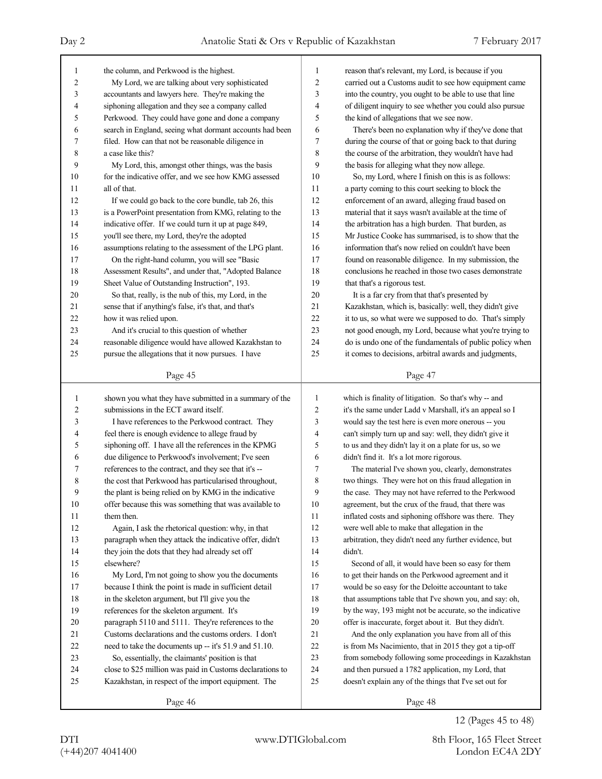| 1              | the column, and Perkwood is the highest.                  | 1                       | reason that's relevant, my Lord, is because if you       |
|----------------|-----------------------------------------------------------|-------------------------|----------------------------------------------------------|
| $\overline{c}$ | My Lord, we are talking about very sophisticated          | $\overline{c}$          | carried out a Customs audit to see how equipment came    |
| 3              | accountants and lawyers here. They're making the          | 3                       | into the country, you ought to be able to use that line  |
| 4              | siphoning allegation and they see a company called        | 4                       | of diligent inquiry to see whether you could also pursue |
| 5              | Perkwood. They could have gone and done a company         | 5                       | the kind of allegations that we see now.                 |
| 6              | search in England, seeing what dormant accounts had been  | 6                       | There's been no explanation why if they've done that     |
| 7              | filed. How can that not be reasonable diligence in        | 7                       | during the course of that or going back to that during   |
| 8              | a case like this?                                         | 8                       | the course of the arbitration, they wouldn't have had    |
| 9              | My Lord, this, amongst other things, was the basis        | 9                       | the basis for alleging what they now allege.             |
| 10             | for the indicative offer, and we see how KMG assessed     | 10                      | So, my Lord, where I finish on this is as follows:       |
| 11             | all of that.                                              | 11                      | a party coming to this court seeking to block the        |
| 12             | If we could go back to the core bundle, tab 26, this      | 12                      | enforcement of an award, alleging fraud based on         |
| 13             | is a PowerPoint presentation from KMG, relating to the    | 13                      | material that it says wasn't available at the time of    |
| 14             | indicative offer. If we could turn it up at page 849,     | 14                      | the arbitration has a high burden. That burden, as       |
| 15             | you'll see there, my Lord, they're the adopted            | 15                      | Mr Justice Cooke has summarised, is to show that the     |
| 16             | assumptions relating to the assessment of the LPG plant.  | 16                      | information that's now relied on couldn't have been      |
| 17             | On the right-hand column, you will see "Basic             | 17                      | found on reasonable diligence. In my submission, the     |
| 18             | Assessment Results", and under that, "Adopted Balance     | 18                      | conclusions he reached in those two cases demonstrate    |
| 19             | Sheet Value of Outstanding Instruction", 193.             | 19                      | that that's a rigorous test.                             |
| 20             | So that, really, is the nub of this, my Lord, in the      | 20                      | It is a far cry from that that's presented by            |
| 21             | sense that if anything's false, it's that, and that's     | 21                      | Kazakhstan, which is, basically: well, they didn't give  |
| $22\,$         | how it was relied upon.                                   | 22                      | it to us, so what were we supposed to do. That's simply  |
| 23             | And it's crucial to this question of whether              | 23                      | not good enough, my Lord, because what you're trying to  |
| 24             | reasonable diligence would have allowed Kazakhstan to     | 24                      | do is undo one of the fundamentals of public policy when |
| 25             | pursue the allegations that it now pursues. I have        | 25                      | it comes to decisions, arbitral awards and judgments,    |
|                | Page 45                                                   |                         | Page 47                                                  |
|                |                                                           |                         |                                                          |
|                |                                                           |                         |                                                          |
| $\mathbf{1}$   | shown you what they have submitted in a summary of the    | $\mathbf{1}$            | which is finality of litigation. So that's why -- and    |
| 2              | submissions in the ECT award itself.                      | $\overline{\mathbf{c}}$ | it's the same under Ladd v Marshall, it's an appeal so I |
| 3              | I have references to the Perkwood contract. They          | 3                       | would say the test here is even more onerous -- you      |
| 4              | feel there is enough evidence to allege fraud by          | 4                       | can't simply turn up and say: well, they didn't give it  |
| 5              | siphoning off. I have all the references in the KPMG      | 5                       | to us and they didn't lay it on a plate for us, so we    |
| 6              | due diligence to Perkwood's involvement; I've seen        | 6                       | didn't find it. It's a lot more rigorous.                |
| 7              | references to the contract, and they see that it's --     | 7                       | The material I've shown you, clearly, demonstrates       |
| 8              | the cost that Perkwood has particularised throughout,     | 8                       | two things. They were hot on this fraud allegation in    |
| 9              | the plant is being relied on by KMG in the indicative     | 9                       | the case. They may not have referred to the Perkwood     |
| $10\,$         | offer because this was something that was available to    | $10$                    | agreement, but the crux of the fraud, that there was     |
| 11             | them then.                                                | 11                      | inflated costs and siphoning offshore was there. They    |
| 12             | Again, I ask the rhetorical question: why, in that        | 12                      | were well able to make that allegation in the            |
| 13             | paragraph when they attack the indicative offer, didn't   | 13                      | arbitration, they didn't need any further evidence, but  |
| 14             | they join the dots that they had already set off          | 14                      | didn't.                                                  |
| 15             | elsewhere?                                                | 15                      | Second of all, it would have been so easy for them       |
| 16             | My Lord, I'm not going to show you the documents          | 16                      | to get their hands on the Perkwood agreement and it      |
| 17             | because I think the point is made in sufficient detail    | 17                      | would be so easy for the Deloitte accountant to take     |
| $18\,$         | in the skeleton argument, but I'll give you the           | $18\,$                  | that assumptions table that I've shown you, and say: oh, |
| 19             | references for the skeleton argument. It's                | 19                      | by the way, 193 might not be accurate, so the indicative |
| $20\,$         | paragraph 5110 and 5111. They're references to the        | $20\,$                  | offer is inaccurate, forget about it. But they didn't.   |
| 21             | Customs declarations and the customs orders. I don't      | $21\,$                  | And the only explanation you have from all of this       |
| $22\,$         | need to take the documents up -- it's 51.9 and 51.10.     | $22\,$                  | is from Ms Nacimiento, that in 2015 they got a tip-off   |
| $23\,$         | So, essentially, the claimants' position is that          | 23                      | from somebody following some proceedings in Kazakhstan   |
| 24             | close to \$25 million was paid in Customs declarations to | 24                      | and then pursued a 1782 application, my Lord, that       |
| 25             | Kazakhstan, in respect of the import equipment. The       | 25                      | doesn't explain any of the things that I've set out for  |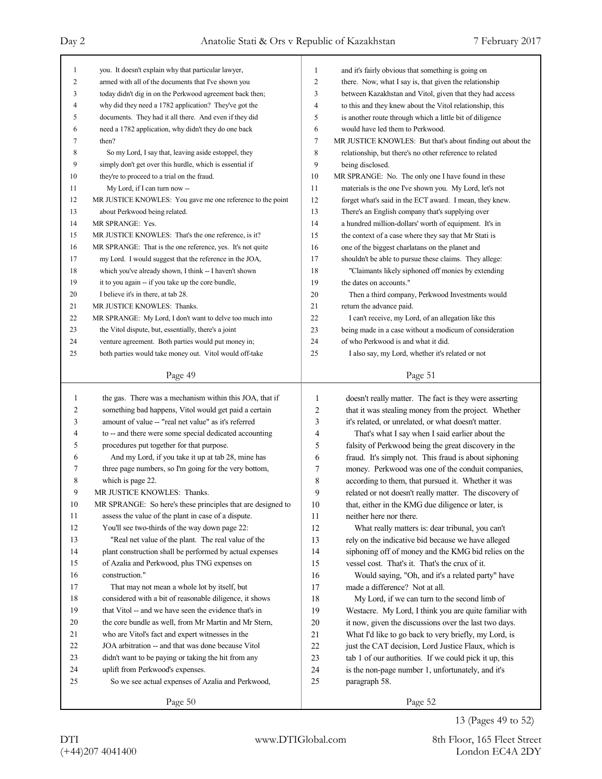| 1              | you. It doesn't explain why that particular lawyer,         | 1              | and it's fairly obvious that something is going on         |
|----------------|-------------------------------------------------------------|----------------|------------------------------------------------------------|
| $\overline{c}$ | armed with all of the documents that I've shown you         | $\overline{c}$ | there. Now, what I say is, that given the relationship     |
| 3              | today didn't dig in on the Perkwood agreement back then;    | 3              | between Kazakhstan and Vitol, given that they had access   |
| 4              | why did they need a 1782 application? They've got the       | 4              | to this and they knew about the Vitol relationship, this   |
| 5              | documents. They had it all there. And even if they did      | 5              | is another route through which a little bit of diligence   |
| 6              | need a 1782 application, why didn't they do one back        | 6              | would have led them to Perkwood.                           |
| 7              | then?                                                       | $\overline{7}$ | MR JUSTICE KNOWLES: But that's about finding out about the |
| 8              | So my Lord, I say that, leaving aside estoppel, they        | 8              | relationship, but there's no other reference to related    |
| 9              | simply don't get over this hurdle, which is essential if    | 9              | being disclosed.                                           |
| 10             | they're to proceed to a trial on the fraud.                 | 10             | MR SPRANGE: No. The only one I have found in these         |
| 11             | My Lord, if I can turn now --                               | 11             | materials is the one I've shown you. My Lord, let's not    |
| 12             | MR JUSTICE KNOWLES: You gave me one reference to the point  | 12             | forget what's said in the ECT award. I mean, they knew.    |
| 13             | about Perkwood being related.                               | 13             | There's an English company that's supplying over           |
| 14             | MR SPRANGE: Yes.                                            | 14             | a hundred million-dollars' worth of equipment. It's in     |
| 15             | MR JUSTICE KNOWLES: That's the one reference, is it?        | 15             | the context of a case where they say that Mr Stati is      |
| 16             | MR SPRANGE: That is the one reference, yes. It's not quite  | 16             | one of the biggest charlatans on the planet and            |
| 17             | my Lord. I would suggest that the reference in the JOA,     | 17             | shouldn't be able to pursue these claims. They allege:     |
| 18             | which you've already shown, I think -- I haven't shown      | 18             | "Claimants likely siphoned off monies by extending         |
| 19             | it to you again -- if you take up the core bundle,          | 19             | the dates on accounts."                                    |
| 20             | I believe it's in there, at tab 28.                         | 20             | Then a third company, Perkwood Investments would           |
| 21             | MR JUSTICE KNOWLES: Thanks.                                 | 21             | return the advance paid.                                   |
| 22             | MR SPRANGE: My Lord, I don't want to delve too much into    | 22             | I can't receive, my Lord, of an allegation like this       |
| 23             | the Vitol dispute, but, essentially, there's a joint        | 23             | being made in a case without a modicum of consideration    |
| 24             | venture agreement. Both parties would put money in;         | 24             | of who Perkwood is and what it did.                        |
| 25             | both parties would take money out. Vitol would off-take     | 25             | I also say, my Lord, whether it's related or not           |
|                | Page 49                                                     |                | Page 51                                                    |
|                |                                                             |                |                                                            |
|                |                                                             |                |                                                            |
| $\mathbf{1}$   | the gas. There was a mechanism within this JOA, that if     | $\mathbf{1}$   | doesn't really matter. The fact is they were asserting     |
| 2              | something bad happens, Vitol would get paid a certain       | $\overline{2}$ | that it was stealing money from the project. Whether       |
| 3              | amount of value -- "real net value" as it's referred        | 3              | it's related, or unrelated, or what doesn't matter.        |
| 4              | to -- and there were some special dedicated accounting      | 4              | That's what I say when I said earlier about the            |
| 5              | procedures put together for that purpose.                   | 5              | falsity of Perkwood being the great discovery in the       |
| 6              | And my Lord, if you take it up at tab 28, mine has          | 6              | fraud. It's simply not. This fraud is about siphoning      |
| 7              | three page numbers, so I'm going for the very bottom,       | 7              | money. Perkwood was one of the conduit companies,          |
| 8              | which is page 22.                                           | 8              | according to them, that pursued it. Whether it was         |
| 9              | MR JUSTICE KNOWLES: Thanks.                                 | 9              | related or not doesn't really matter. The discovery of     |
| 10             | MR SPRANGE: So here's these principles that are designed to | 10             | that, either in the KMG due diligence or later, is         |
| 11             | assess the value of the plant in case of a dispute.         | 11             | neither here nor there.                                    |
| 12             | You'll see two-thirds of the way down page 22:              | 12             | What really matters is: dear tribunal, you can't           |
| 13             | "Real net value of the plant. The real value of the         | 13             | rely on the indicative bid because we have alleged         |
| 14             | plant construction shall be performed by actual expenses    | 14             | siphoning off of money and the KMG bid relies on the       |
| 15             | of Azalia and Perkwood, plus TNG expenses on                | 15             | vessel cost. That's it. That's the crux of it.             |
| 16             | construction."                                              | 16             | Would saying, "Oh, and it's a related party" have          |
| 17             | That may not mean a whole lot by itself, but                | 17             | made a difference? Not at all.                             |
| 18             | considered with a bit of reasonable diligence, it shows     | 18             | My Lord, if we can turn to the second limb of              |
| 19             | that Vitol -- and we have seen the evidence that's in       | 19             | Westacre. My Lord, I think you are quite familiar with     |
| 20             | the core bundle as well, from Mr Martin and Mr Stern,       | 20             | it now, given the discussions over the last two days.      |
| 21             | who are Vitol's fact and expert witnesses in the            | 21             | What I'd like to go back to very briefly, my Lord, is      |
| 22             | JOA arbitration -- and that was done because Vitol          | 22             | just the CAT decision, Lord Justice Flaux, which is        |
| 23             | didn't want to be paying or taking the hit from any         | 23             | tab 1 of our authorities. If we could pick it up, this     |
| 24             | uplift from Perkwood's expenses.                            | 24             | is the non-page number 1, unfortunately, and it's          |
| 25             | So we see actual expenses of Azalia and Perkwood,           | 25             | paragraph 58.                                              |

13 (Pages 49 to 52)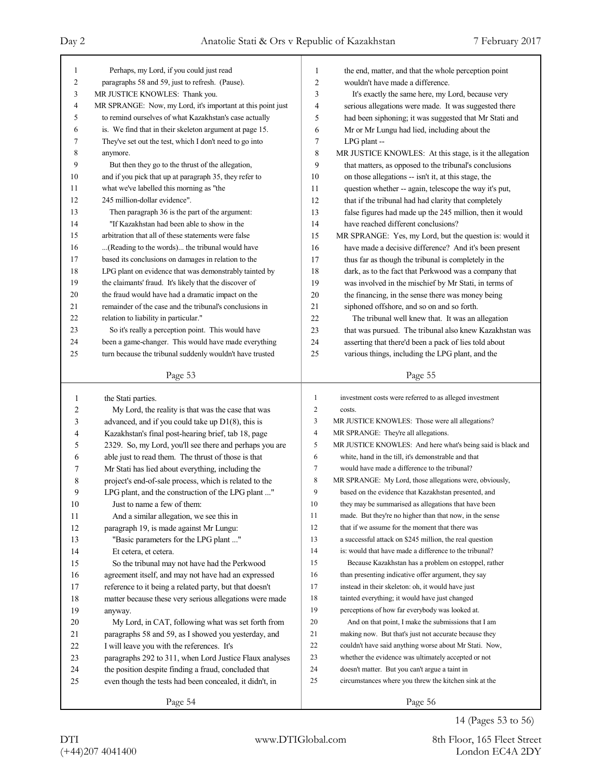| 1      | Perhaps, my Lord, if you could just read                    | 1              | the end, matter, and that the whole perception point        |  |  |
|--------|-------------------------------------------------------------|----------------|-------------------------------------------------------------|--|--|
| 2      | paragraphs 58 and 59, just to refresh. (Pause).             | $\sqrt{2}$     | wouldn't have made a difference.                            |  |  |
| 3      | MR JUSTICE KNOWLES: Thank you.                              | 3              | It's exactly the same here, my Lord, because very           |  |  |
| 4      | MR SPRANGE: Now, my Lord, it's important at this point just | $\overline{4}$ | serious allegations were made. It was suggested there       |  |  |
| 5      | to remind ourselves of what Kazakhstan's case actually      | 5              | had been siphoning; it was suggested that Mr Stati and      |  |  |
| 6      | is. We find that in their skeleton argument at page 15.     | 6              | Mr or Mr Lungu had lied, including about the                |  |  |
| 7      | They've set out the test, which I don't need to go into     | 7              | LPG plant --                                                |  |  |
| 8      | anymore.                                                    | $\,$ 8 $\,$    | MR JUSTICE KNOWLES: At this stage, is it the allegation     |  |  |
| 9      | But then they go to the thrust of the allegation,           | 9              | that matters, as opposed to the tribunal's conclusions      |  |  |
| 10     | and if you pick that up at paragraph 35, they refer to      | 10             | on those allegations -- isn't it, at this stage, the        |  |  |
| 11     | what we've labelled this morning as "the                    | 11             | question whether -- again, telescope the way it's put,      |  |  |
| 12     | 245 million-dollar evidence".                               | 12             | that if the tribunal had had clarity that completely        |  |  |
| 13     | Then paragraph 36 is the part of the argument:              | 13             | false figures had made up the 245 million, then it would    |  |  |
| 14     | "If Kazakhstan had been able to show in the                 | 14             | have reached different conclusions?                         |  |  |
| 15     | arbitration that all of these statements were false         | 15             | MR SPRANGE: Yes, my Lord, but the question is: would it     |  |  |
| 16     | (Reading to the words) the tribunal would have              | 16             | have made a decisive difference? And it's been present      |  |  |
| 17     | based its conclusions on damages in relation to the         | 17             | thus far as though the tribunal is completely in the        |  |  |
| 18     | LPG plant on evidence that was demonstrably tainted by      | 18             | dark, as to the fact that Perkwood was a company that       |  |  |
| 19     | the claimants' fraud. It's likely that the discover of      | 19             | was involved in the mischief by Mr Stati, in terms of       |  |  |
| 20     | the fraud would have had a dramatic impact on the           | 20             | the financing, in the sense there was money being           |  |  |
| 21     | remainder of the case and the tribunal's conclusions in     | 21             | siphoned offshore, and so on and so forth.                  |  |  |
| 22     | relation to liability in particular."                       | 22             | The tribunal well knew that. It was an allegation           |  |  |
| 23     | So it's really a perception point. This would have          | 23             | that was pursued. The tribunal also knew Kazakhstan was     |  |  |
| 24     | been a game-changer. This would have made everything        | 24             | asserting that there'd been a pack of lies told about       |  |  |
| 25     | turn because the tribunal suddenly wouldn't have trusted    | 25             | various things, including the LPG plant, and the            |  |  |
|        |                                                             |                |                                                             |  |  |
|        | Page 53                                                     |                | Page 55                                                     |  |  |
|        |                                                             |                |                                                             |  |  |
|        |                                                             |                |                                                             |  |  |
| 1      | the Stati parties.                                          | $\mathbf{1}$   | investment costs were referred to as alleged investment     |  |  |
| 2      | My Lord, the reality is that was the case that was          | $\mathbf{2}$   | costs.                                                      |  |  |
| 3      | advanced, and if you could take up $D1(8)$ , this is        | 3              | MR JUSTICE KNOWLES: Those were all allegations?             |  |  |
| 4      | Kazakhstan's final post-hearing brief, tab 18, page         | $\overline{4}$ | MR SPRANGE: They're all allegations.                        |  |  |
| 5      | 2329. So, my Lord, you'll see there and perhaps you are     | 5              | MR JUSTICE KNOWLES: And here what's being said is black and |  |  |
| 6      | able just to read them. The thrust of those is that         | 6              | white, hand in the till, it's demonstrable and that         |  |  |
| 7      | Mr Stati has lied about everything, including the           | 7              | would have made a difference to the tribunal?               |  |  |
| 8      | project's end-of-sale process, which is related to the      | 8              | MR SPRANGE: My Lord, those allegations were, obviously,     |  |  |
| 9      | LPG plant, and the construction of the LPG plant "          | 9              | based on the evidence that Kazakhstan presented, and        |  |  |
| $10\,$ | Just to name a few of them:                                 | 10             | they may be summarised as allegations that have been        |  |  |
| 11     | And a similar allegation, we see this in                    | 11             | made. But they're no higher than that now, in the sense     |  |  |
| $12\,$ | paragraph 19, is made against Mr Lungu:                     | 12             | that if we assume for the moment that there was             |  |  |
| 13     | "Basic parameters for the LPG plant "                       | 13             | a successful attack on \$245 million, the real question     |  |  |
| 14     | Et cetera, et cetera.                                       | 14             | is: would that have made a difference to the tribunal?      |  |  |
| 15     | So the tribunal may not have had the Perkwood               | 15             | Because Kazakhstan has a problem on estoppel, rather        |  |  |
| 16     | agreement itself, and may not have had an expressed         | 16             | than presenting indicative offer argument, they say         |  |  |
| 17     | reference to it being a related party, but that doesn't     | 17             | instead in their skeleton: oh, it would have just           |  |  |
| 18     | matter because these very serious allegations were made     | 18             | tainted everything; it would have just changed              |  |  |
| 19     | anyway.                                                     | 19             | perceptions of how far everybody was looked at.             |  |  |
| $20\,$ | My Lord, in CAT, following what was set forth from          | 20             | And on that point, I make the submissions that I am         |  |  |
| 21     | paragraphs 58 and 59, as I showed you yesterday, and        | 21             | making now. But that's just not accurate because they       |  |  |
| $22\,$ | I will leave you with the references. It's                  | 22             | couldn't have said anything worse about Mr Stati. Now,      |  |  |
| $23\,$ | paragraphs 292 to 311, when Lord Justice Flaux analyses     | 23             | whether the evidence was ultimately accepted or not         |  |  |
| 24     | the position despite finding a fraud, concluded that        | 24             | doesn't matter. But you can't argue a taint in              |  |  |
| 25     | even though the tests had been concealed, it didn't, in     | 25             | circumstances where you threw the kitchen sink at the       |  |  |
|        | Page 54                                                     |                | Page 56                                                     |  |  |

14 (Pages 53 to 56)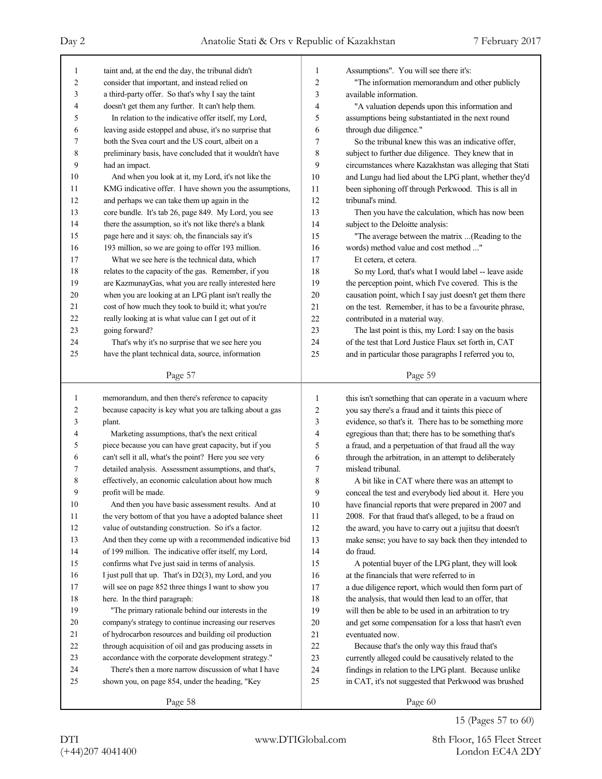| $\mathbf{1}$   | taint and, at the end the day, the tribunal didn't       | 1              | Assumptions". You will see there it's:                   |
|----------------|----------------------------------------------------------|----------------|----------------------------------------------------------|
| $\overline{c}$ | consider that important, and instead relied on           | $\overline{2}$ | "The information memorandum and other publicly           |
| 3              | a third-party offer. So that's why I say the taint       | 3              | available information.                                   |
| $\overline{4}$ | doesn't get them any further. It can't help them.        | 4              | "A valuation depends upon this information and           |
| 5              | In relation to the indicative offer itself, my Lord,     | 5              | assumptions being substantiated in the next round        |
| 6              | leaving aside estoppel and abuse, it's no surprise that  | 6              | through due diligence."                                  |
| 7              | both the Svea court and the US court, albeit on a        | 7              | So the tribunal knew this was an indicative offer,       |
| 8              | preliminary basis, have concluded that it wouldn't have  | 8              | subject to further due diligence. They knew that in      |
| 9              | had an impact.                                           | 9              | circumstances where Kazakhstan was alleging that Stati   |
| 10             | And when you look at it, my Lord, it's not like the      | 10             | and Lungu had lied about the LPG plant, whether they'd   |
| 11             | KMG indicative offer. I have shown you the assumptions,  | 11             | been siphoning off through Perkwood. This is all in      |
| 12             | and perhaps we can take them up again in the             | 12             | tribunal's mind.                                         |
| 13             | core bundle. It's tab 26, page 849. My Lord, you see     | 13             | Then you have the calculation, which has now been        |
| 14             | there the assumption, so it's not like there's a blank   | 14             | subject to the Deloitte analysis:                        |
| 15             | page here and it says: oh, the financials say it's       | 15             | "The average between the matrix (Reading to the          |
| 16             | 193 million, so we are going to offer 193 million.       | 16             | words) method value and cost method "                    |
| 17             | What we see here is the technical data, which            | 17             | Et cetera, et cetera.                                    |
| 18             | relates to the capacity of the gas. Remember, if you     | 18             | So my Lord, that's what I would label -- leave aside     |
| 19             | are KazmunayGas, what you are really interested here     | 19             | the perception point, which I've covered. This is the    |
| 20             | when you are looking at an LPG plant isn't really the    | 20             | causation point, which I say just doesn't get them there |
| 21             | cost of how much they took to build it; what you're      | 21             | on the test. Remember, it has to be a favourite phrase,  |
| 22             | really looking at is what value can I get out of it      | 22             | contributed in a material way.                           |
| 23             | going forward?                                           | 23             | The last point is this, my Lord: I say on the basis      |
| 24             | That's why it's no surprise that we see here you         | 24             | of the test that Lord Justice Flaux set forth in, CAT    |
| 25             | have the plant technical data, source, information       | 25             | and in particular those paragraphs I referred you to,    |
|                |                                                          |                |                                                          |
|                | Page 57                                                  |                | Page 59                                                  |
|                |                                                          |                |                                                          |
|                |                                                          |                |                                                          |
| 1              | memorandum, and then there's reference to capacity       | 1              | this isn't something that can operate in a vacuum where  |
| 2              | because capacity is key what you are talking about a gas | $\overline{2}$ | you say there's a fraud and it taints this piece of      |
| 3              | plant.                                                   | 3              | evidence, so that's it. There has to be something more   |
| 4              | Marketing assumptions, that's the next critical          | 4              | egregious than that; there has to be something that's    |
| 5              | piece because you can have great capacity, but if you    | 5              | a fraud, and a perpetuation of that fraud all the way    |
| 6              | can't sell it all, what's the point? Here you see very   | 6              | through the arbitration, in an attempt to deliberately   |
| 7              | detailed analysis. Assessment assumptions, and that's,   | 7              | mislead tribunal.                                        |
| 8              | effectively, an economic calculation about how much      | 8              | A bit like in CAT where there was an attempt to          |
| 9              | profit will be made.                                     | 9              | conceal the test and everybody lied about it. Here you   |
| $10\,$         | And then you have basic assessment results. And at       | $10\,$         | have financial reports that were prepared in 2007 and    |
| 11             | the very bottom of that you have a adopted balance sheet | 11             | 2008. For that fraud that's alleged, to be a fraud on    |
| 12             | value of outstanding construction. So it's a factor.     | 12             | the award, you have to carry out a jujitsu that doesn't  |
| 13             | And then they come up with a recommended indicative bid  | 13             | make sense; you have to say back then they intended to   |
| 14             | of 199 million. The indicative offer itself, my Lord,    | 14             | do fraud.                                                |
| 15             | confirms what I've just said in terms of analysis.       | 15             | A potential buyer of the LPG plant, they will look       |
| 16             | I just pull that up. That's in D2(3), my Lord, and you   | 16             | at the financials that were referred to in               |
| 17             | will see on page 852 three things I want to show you     | 17             | a due diligence report, which would then form part of    |
| 18             | here. In the third paragraph:                            | 18             | the analysis, that would then lead to an offer, that     |
| 19             | "The primary rationale behind our interests in the       | 19             | will then be able to be used in an arbitration to try    |
| 20             | company's strategy to continue increasing our reserves   | 20             | and get some compensation for a loss that hasn't even    |
| 21             | of hydrocarbon resources and building oil production     | 21             | eventuated now.                                          |
| $22\,$         | through acquisition of oil and gas producing assets in   | 22             | Because that's the only way this fraud that's            |
| 23             | accordance with the corporate development strategy."     | 23             | currently alleged could be causatively related to the    |
| 24             | There's then a more narrow discussion of what I have     | 24             | findings in relation to the LPG plant. Because unlike    |
| 25             | shown you, on page 854, under the heading, "Key          | 25             | in CAT, it's not suggested that Perkwood was brushed     |
|                | Page 58                                                  |                | Page 60                                                  |

15 (Pages 57 to 60)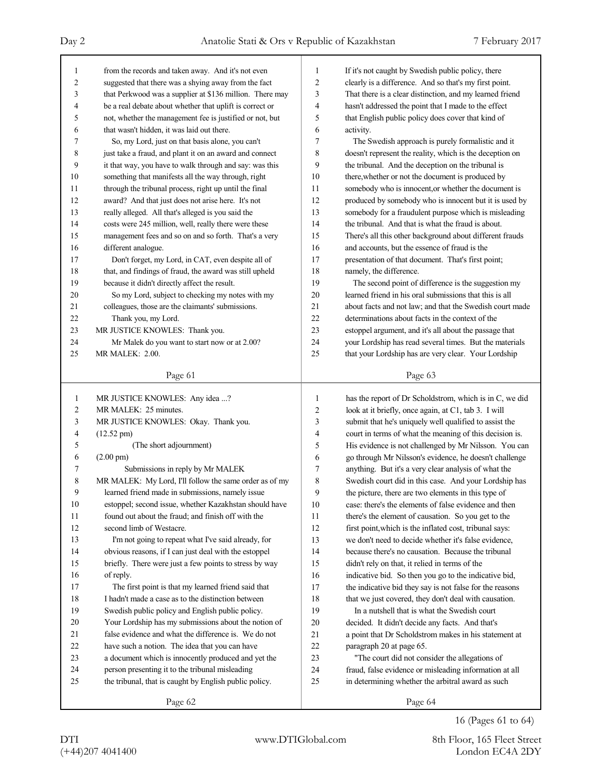| $\mathbf{1}$   | from the records and taken away. And it's not even       | 1      | If it's not caught by Swedish public policy, there       |  |  |
|----------------|----------------------------------------------------------|--------|----------------------------------------------------------|--|--|
| $\overline{c}$ | suggested that there was a shying away from the fact     | 2      | clearly is a difference. And so that's my first point.   |  |  |
| 3              | that Perkwood was a supplier at \$136 million. There may | 3      | That there is a clear distinction, and my learned friend |  |  |
| 4              | be a real debate about whether that uplift is correct or | 4      | hasn't addressed the point that I made to the effect     |  |  |
| 5              | not, whether the management fee is justified or not, but | 5      | that English public policy does cover that kind of       |  |  |
| 6              | that wasn't hidden, it was laid out there.               | 6      | activity.                                                |  |  |
| 7              | So, my Lord, just on that basis alone, you can't         | 7      | The Swedish approach is purely formalistic and it        |  |  |
| 8              | just take a fraud, and plant it on an award and connect  | 8      | doesn't represent the reality, which is the deception on |  |  |
| 9              | it that way, you have to walk through and say: was this  | 9      | the tribunal. And the deception on the tribunal is       |  |  |
| 10             | something that manifests all the way through, right      | 10     | there, whether or not the document is produced by        |  |  |
| 11             | through the tribunal process, right up until the final   | 11     | somebody who is innocent, or whether the document is     |  |  |
| 12             | award? And that just does not arise here. It's not       | 12     | produced by somebody who is innocent but it is used by   |  |  |
| 13             | really alleged. All that's alleged is you said the       | 13     | somebody for a fraudulent purpose which is misleading    |  |  |
| 14             | costs were 245 million, well, really there were these    | 14     | the tribunal. And that is what the fraud is about.       |  |  |
| 15             | management fees and so on and so forth. That's a very    | 15     | There's all this other background about different frauds |  |  |
| 16             | different analogue.                                      | 16     | and accounts, but the essence of fraud is the            |  |  |
| 17             | Don't forget, my Lord, in CAT, even despite all of       | 17     | presentation of that document. That's first point;       |  |  |
| 18             | that, and findings of fraud, the award was still upheld  | 18     | namely, the difference.                                  |  |  |
| 19             | because it didn't directly affect the result.            | 19     | The second point of difference is the suggestion my      |  |  |
| $20\,$         | So my Lord, subject to checking my notes with my         | 20     | learned friend in his oral submissions that this is all  |  |  |
| 21             | colleagues, those are the claimants' submissions.        | 21     | about facts and not law; and that the Swedish court made |  |  |
| 22             | Thank you, my Lord.                                      | 22     | determinations about facts in the context of the         |  |  |
| 23             | MR JUSTICE KNOWLES: Thank you.                           | 23     | estoppel argument, and it's all about the passage that   |  |  |
| 24             | Mr Malek do you want to start now or at 2.00?            | 24     | your Lordship has read several times. But the materials  |  |  |
| 25             | MR MALEK: 2.00.                                          | 25     | that your Lordship has are very clear. Your Lordship     |  |  |
|                |                                                          |        |                                                          |  |  |
|                | Page 61                                                  |        | Page 63                                                  |  |  |
|                |                                                          |        |                                                          |  |  |
|                |                                                          |        |                                                          |  |  |
| $\mathbf{1}$   | MR JUSTICE KNOWLES: Any idea ?                           | 1      | has the report of Dr Scholdstrom, which is in C, we did  |  |  |
| $\overline{c}$ | MR MALEK: 25 minutes.                                    | 2      | look at it briefly, once again, at C1, tab 3. I will     |  |  |
| 3              | MR JUSTICE KNOWLES: Okay. Thank you.                     | 3      | submit that he's uniquely well qualified to assist the   |  |  |
| $\overline{4}$ | $(12.52 \text{ pm})$                                     | 4      | court in terms of what the meaning of this decision is.  |  |  |
| 5              | (The short adjournment)                                  | 5      | His evidence is not challenged by Mr Nilsson. You can    |  |  |
| 6              | $(2.00 \text{ pm})$                                      | 6      | go through Mr Nilsson's evidence, he doesn't challenge   |  |  |
| 7              | Submissions in reply by Mr MALEK                         | 7      | anything. But it's a very clear analysis of what the     |  |  |
| 8              | MR MALEK: My Lord, I'll follow the same order as of my   | 8      | Swedish court did in this case. And your Lordship has    |  |  |
| 9              | learned friend made in submissions, namely issue         | 9      | the picture, there are two elements in this type of      |  |  |
| 10             | estoppel; second issue, whether Kazakhstan should have   | $10\,$ | case: there's the elements of false evidence and then    |  |  |
| 11             | found out about the fraud; and finish off with the       | 11     | there's the element of causation. So you get to the      |  |  |
| 12             | second limb of Westacre.                                 | 12     | first point, which is the inflated cost, tribunal says:  |  |  |
| 13             | I'm not going to repeat what I've said already, for      | 13     | we don't need to decide whether it's false evidence,     |  |  |
| 14             | obvious reasons, if I can just deal with the estoppel    | 14     | because there's no causation. Because the tribunal       |  |  |
| 15             | briefly. There were just a few points to stress by way   | 15     | didn't rely on that, it relied in terms of the           |  |  |
| 16             | of reply.                                                | 16     | indicative bid. So then you go to the indicative bid,    |  |  |
| 17             | The first point is that my learned friend said that      | 17     | the indicative bid they say is not false for the reasons |  |  |
| $18\,$         | I hadn't made a case as to the distinction between       | 18     | that we just covered, they don't deal with causation.    |  |  |
| 19             | Swedish public policy and English public policy.         | 19     | In a nutshell that is what the Swedish court             |  |  |
| 20             | Your Lordship has my submissions about the notion of     | 20     | decided. It didn't decide any facts. And that's          |  |  |
| 21             | false evidence and what the difference is. We do not     | 21     | a point that Dr Scholdstrom makes in his statement at    |  |  |
| 22             | have such a notion. The idea that you can have           | $22\,$ | paragraph 20 at page 65.                                 |  |  |
| 23             | a document which is innocently produced and yet the      | 23     | "The court did not consider the allegations of           |  |  |
| 24             | person presenting it to the tribunal misleading          | 24     | fraud, false evidence or misleading information at all   |  |  |
| 25             | the tribunal, that is caught by English public policy.   | 25     | in determining whether the arbitral award as such        |  |  |
|                | Page 62                                                  |        | Page 64                                                  |  |  |

16 (Pages 61 to 64)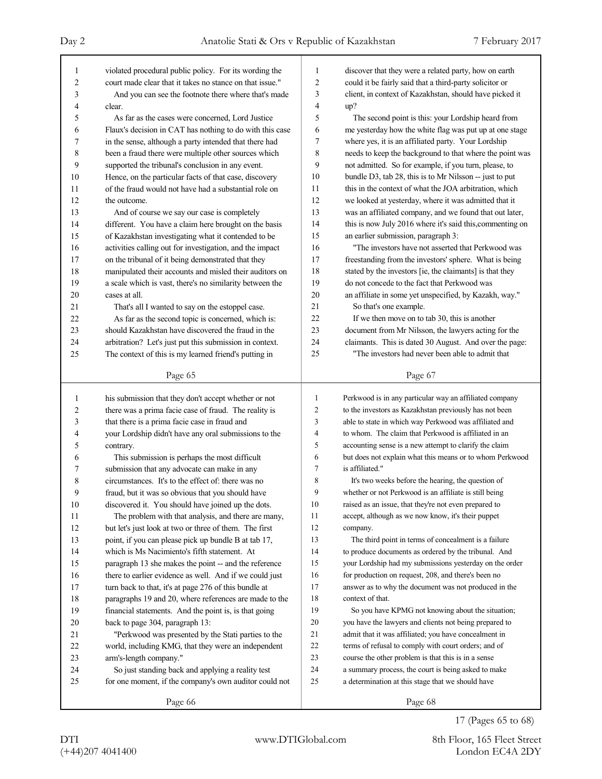| 1              | violated procedural public policy. For its wording the   | 1              | discover that they were a related party, how on earth     |
|----------------|----------------------------------------------------------|----------------|-----------------------------------------------------------|
| $\overline{2}$ | court made clear that it takes no stance on that issue." | 2              | could it be fairly said that a third-party solicitor or   |
| 3              | And you can see the footnote there where that's made     | 3              | client, in context of Kazakhstan, should have picked it   |
| 4              | clear.                                                   | 4              | up?                                                       |
| 5              | As far as the cases were concerned, Lord Justice         | 5              | The second point is this: your Lordship heard from        |
| 6              | Flaux's decision in CAT has nothing to do with this case | 6              | me yesterday how the white flag was put up at one stage   |
| 7              | in the sense, although a party intended that there had   | 7              | where yes, it is an affiliated party. Your Lordship       |
| 8              | been a fraud there were multiple other sources which     | 8              | needs to keep the background to that where the point was  |
| 9              | supported the tribunal's conclusion in any event.        | 9              | not admitted. So for example, if you turn, please, to     |
| 10             | Hence, on the particular facts of that case, discovery   | 10             | bundle D3, tab 28, this is to Mr Nilsson -- just to put   |
| 11             | of the fraud would not have had a substantial role on    | 11             | this in the context of what the JOA arbitration, which    |
| 12             | the outcome.                                             | 12             | we looked at yesterday, where it was admitted that it     |
| 13             | And of course we say our case is completely              | 13             | was an affiliated company, and we found that out later,   |
| 14             | different. You have a claim here brought on the basis    | 14             | this is now July 2016 where it's said this, commenting on |
| 15             | of Kazakhstan investigating what it contended to be      | 15             | an earlier submission, paragraph 3:                       |
| 16             | activities calling out for investigation, and the impact | 16             | "The investors have not asserted that Perkwood was        |
| 17             | on the tribunal of it being demonstrated that they       | 17             | freestanding from the investors' sphere. What is being    |
| 18             | manipulated their accounts and misled their auditors on  | 18             | stated by the investors [ie, the claimants] is that they  |
| 19             | a scale which is vast, there's no similarity between the | 19             | do not concede to the fact that Perkwood was              |
| 20             | cases at all.                                            | 20             | an affiliate in some yet unspecified, by Kazakh, way."    |
| 21             | That's all I wanted to say on the estoppel case.         | 21             | So that's one example.                                    |
| 22             | As far as the second topic is concerned, which is:       | 22             | If we then move on to tab 30, this is another             |
| 23             | should Kazakhstan have discovered the fraud in the       | 23             | document from Mr Nilsson, the lawyers acting for the      |
| 24             | arbitration? Let's just put this submission in context.  | 24             | claimants. This is dated 30 August. And over the page:    |
| 25             | The context of this is my learned friend's putting in    | 25             | "The investors had never been able to admit that          |
|                |                                                          |                |                                                           |
|                | Page 65                                                  |                | Page 67                                                   |
|                |                                                          |                |                                                           |
|                |                                                          |                |                                                           |
| 1              | his submission that they don't accept whether or not     | 1              | Perkwood is in any particular way an affiliated company   |
| 2              | there was a prima facie case of fraud. The reality is    | $\overline{c}$ | to the investors as Kazakhstan previously has not been    |
| 3              | that there is a prima facie case in fraud and            | 3              | able to state in which way Perkwood was affiliated and    |
| 4              | your Lordship didn't have any oral submissions to the    | $\overline{4}$ | to whom. The claim that Perkwood is affiliated in an      |
| 5              | contrary.                                                | 5              | accounting sense is a new attempt to clarify the claim    |
| 6              | This submission is perhaps the most difficult            | 6              | but does not explain what this means or to whom Perkwood  |
| 7              | submission that any advocate can make in any             | 7              | is affiliated."                                           |
| 8              | circumstances. It's to the effect of: there was no       | 8              | It's two weeks before the hearing, the question of        |
| 9              | fraud, but it was so obvious that you should have        | 9              | whether or not Perkwood is an affiliate is still being    |
| $10\,$         | discovered it. You should have joined up the dots.       | 10             | raised as an issue, that they're not even prepared to     |
| 11             | The problem with that analysis, and there are many,      | 11             | accept, although as we now know, it's their puppet        |
| 12             | but let's just look at two or three of them. The first   | 12             | company.                                                  |
| 13             | point, if you can please pick up bundle B at tab 17,     | 13             | The third point in terms of concealment is a failure      |
| 14             | which is Ms Nacimiento's fifth statement. At             | 14             | to produce documents as ordered by the tribunal. And      |
| 15             | paragraph 13 she makes the point -- and the reference    | 15             | your Lordship had my submissions yesterday on the order   |
| 16             | there to earlier evidence as well. And if we could just  | 16             | for production on request, 208, and there's been no       |
| 17             | turn back to that, it's at page 276 of this bundle at    | 17             | answer as to why the document was not produced in the     |
| 18             | paragraphs 19 and 20, where references are made to the   | 18             | context of that.                                          |
| 19             | financial statements. And the point is, is that going    | 19             | So you have KPMG not knowing about the situation;         |
| 20             | back to page 304, paragraph 13:                          | 20             | you have the lawyers and clients not being prepared to    |
| 21             | "Perkwood was presented by the Stati parties to the      | 21             | admit that it was affiliated; you have concealment in     |
| 22             | world, including KMG, that they were an independent      | 22             | terms of refusal to comply with court orders; and of      |
| 23             | arm's-length company."                                   | 23             | course the other problem is that this is in a sense       |
| 24             | So just standing back and applying a reality test        | 24             | a summary process, the court is being asked to make       |
| 25             | for one moment, if the company's own auditor could not   | 25             | a determination at this stage that we should have         |

17 (Pages 65 to 68)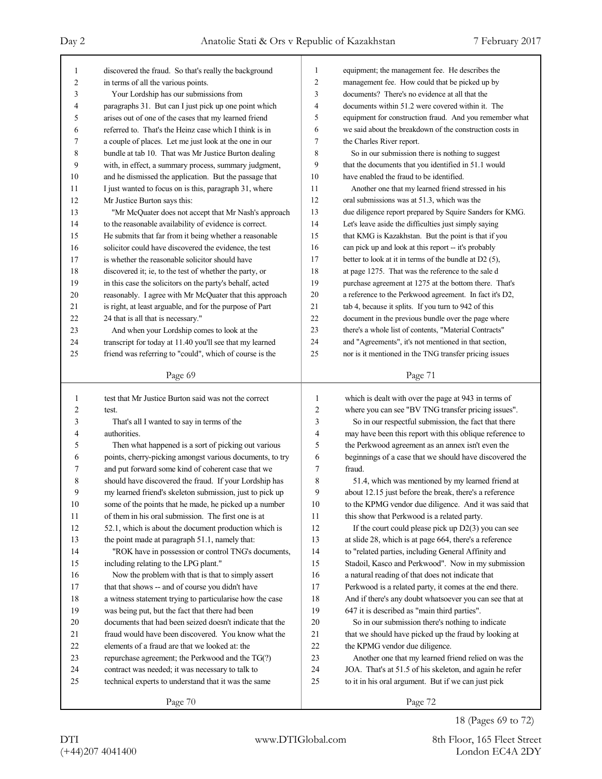| 1  | discovered the fraud. So that's really the background    | equipment; the management fee. He describes the<br>1 |                                                          |  |
|----|----------------------------------------------------------|------------------------------------------------------|----------------------------------------------------------|--|
| 2  | in terms of all the various points.                      | $\overline{c}$                                       | management fee. How could that be picked up by           |  |
| 3  | Your Lordship has our submissions from                   | 3                                                    | documents? There's no evidence at all that the           |  |
| 4  | paragraphs 31. But can I just pick up one point which    | 4                                                    | documents within 51.2 were covered within it. The        |  |
| 5  | arises out of one of the cases that my learned friend    | 5                                                    | equipment for construction fraud. And you remember what  |  |
| 6  | referred to. That's the Heinz case which I think is in   | 6                                                    | we said about the breakdown of the construction costs in |  |
| 7  | a couple of places. Let me just look at the one in our   | $\tau$                                               | the Charles River report.                                |  |
| 8  | bundle at tab 10. That was Mr Justice Burton dealing     | 8                                                    | So in our submission there is nothing to suggest         |  |
| 9  | with, in effect, a summary process, summary judgment,    | 9                                                    | that the documents that you identified in 51.1 would     |  |
| 10 | and he dismissed the application. But the passage that   | 10                                                   | have enabled the fraud to be identified.                 |  |
| 11 | I just wanted to focus on is this, paragraph 31, where   | 11                                                   | Another one that my learned friend stressed in his       |  |
| 12 | Mr Justice Burton says this:                             | 12                                                   | oral submissions was at 51.3, which was the              |  |
| 13 | "Mr McQuater does not accept that Mr Nash's approach     | 13                                                   | due diligence report prepared by Squire Sanders for KMG. |  |
| 14 | to the reasonable availability of evidence is correct.   | 14                                                   | Let's leave aside the difficulties just simply saying    |  |
| 15 | He submits that far from it being whether a reasonable   | 15                                                   | that KMG is Kazakhstan. But the point is that if you     |  |
| 16 | solicitor could have discovered the evidence, the test   | 16                                                   | can pick up and look at this report -- it's probably     |  |
| 17 | is whether the reasonable solicitor should have          | 17                                                   | better to look at it in terms of the bundle at D2 (5),   |  |
| 18 | discovered it; ie, to the test of whether the party, or  | 18                                                   | at page 1275. That was the reference to the sale d       |  |
| 19 | in this case the solicitors on the party's behalf, acted | 19                                                   | purchase agreement at 1275 at the bottom there. That's   |  |
| 20 | reasonably. I agree with Mr McQuater that this approach  | 20                                                   | a reference to the Perkwood agreement. In fact it's D2,  |  |
| 21 | is right, at least arguable, and for the purpose of Part | 21                                                   | tab 4, because it splits. If you turn to 942 of this     |  |
| 22 | 24 that is all that is necessary."                       | 22                                                   | document in the previous bundle over the page where      |  |
| 23 | And when your Lordship comes to look at the              | 23                                                   | there's a whole list of contents, "Material Contracts"   |  |
| 24 | transcript for today at 11.40 you'll see that my learned | 24                                                   | and "Agreements", it's not mentioned in that section,    |  |
| 25 | friend was referring to "could", which of course is the  | 25                                                   | nor is it mentioned in the TNG transfer pricing issues   |  |
|    |                                                          |                                                      |                                                          |  |
|    | Page 69                                                  |                                                      | Page 71                                                  |  |
|    |                                                          |                                                      |                                                          |  |
|    |                                                          |                                                      |                                                          |  |
| 1  | test that Mr Justice Burton said was not the correct     | 1                                                    | which is dealt with over the page at 943 in terms of     |  |
| 2  | test.                                                    | $\overline{c}$                                       | where you can see "BV TNG transfer pricing issues".      |  |
| 3  | That's all I wanted to say in terms of the               | 3                                                    | So in our respectful submission, the fact that there     |  |
| 4  | authorities.                                             | 4                                                    | may have been this report with this oblique reference to |  |
| 5  | Then what happened is a sort of picking out various      | 5                                                    | the Perkwood agreement as an annex isn't even the        |  |
| 6  | points, cherry-picking amongst various documents, to try | 6                                                    | beginnings of a case that we should have discovered the  |  |
| 7  | and put forward some kind of coherent case that we       | 7                                                    | fraud.                                                   |  |
| 8  | should have discovered the fraud. If your Lordship has   | 8                                                    | 51.4, which was mentioned by my learned friend at        |  |
| 9  | my learned friend's skeleton submission, just to pick up | 9                                                    | about 12.15 just before the break, there's a reference   |  |
| 10 | some of the points that he made, he picked up a number   | 10                                                   | to the KPMG vendor due diligence. And it was said that   |  |
| 11 | of them in his oral submission. The first one is at      | 11                                                   | this show that Perkwood is a related party.              |  |
| 12 | 52.1, which is about the document production which is    | 12                                                   | If the court could please pick up $D2(3)$ you can see    |  |
| 13 | the point made at paragraph 51.1, namely that:           | 13                                                   | at slide 28, which is at page 664, there's a reference   |  |
| 14 | "ROK have in possession or control TNG's documents,      | 14                                                   | to "related parties, including General Affinity and      |  |
| 15 | including relating to the LPG plant."                    | 15                                                   | Stadoil, Kasco and Perkwood". Now in my submission       |  |
| 16 | Now the problem with that is that to simply assert       | 16                                                   | a natural reading of that does not indicate that         |  |
| 17 | that that shows -- and of course you didn't have         | 17                                                   | Perkwood is a related party, it comes at the end there.  |  |
| 18 | a witness statement trying to particularise how the case | 18                                                   | And if there's any doubt whatsoever you can see that at  |  |
| 19 | was being put, but the fact that there had been          | 19                                                   | 647 it is described as "main third parties".             |  |
| 20 | documents that had been seized doesn't indicate that the | 20                                                   | So in our submission there's nothing to indicate         |  |
| 21 | fraud would have been discovered. You know what the      | 21                                                   | that we should have picked up the fraud by looking at    |  |
| 22 | elements of a fraud are that we looked at: the           | 22                                                   | the KPMG vendor due diligence.                           |  |
| 23 | repurchase agreement; the Perkwood and the TG(?)         | 23                                                   | Another one that my learned friend relied on was the     |  |
| 24 | contract was needed; it was necessary to talk to         | 24                                                   | JOA. That's at 51.5 of his skeleton, and again he refer  |  |
| 25 | technical experts to understand that it was the same     | 25                                                   | to it in his oral argument. But if we can just pick      |  |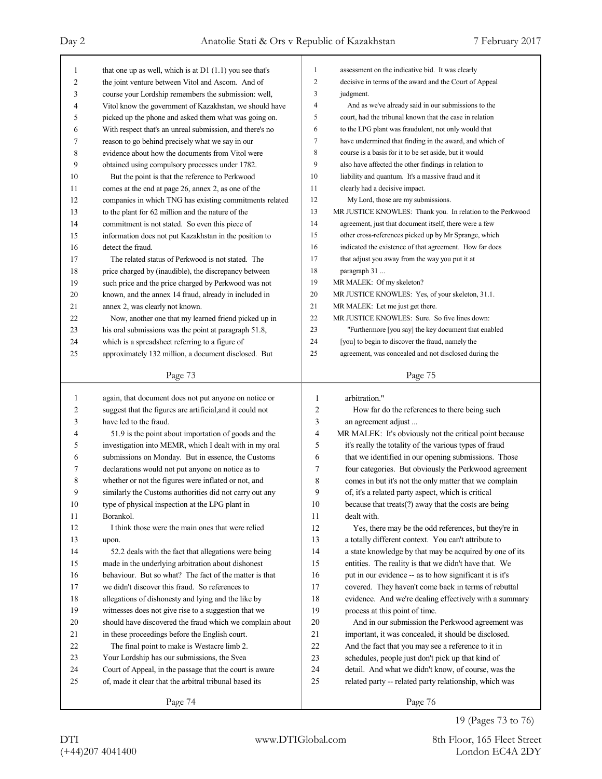| 1              | that one up as well, which is at $DI(1.1)$ you see that's | $\mathbf{1}$   | assessment on the indicative bid. It was clearly           |
|----------------|-----------------------------------------------------------|----------------|------------------------------------------------------------|
| $\overline{2}$ | the joint venture between Vitol and Ascom. And of         | 2              | decisive in terms of the award and the Court of Appeal     |
| 3              | course your Lordship remembers the submission: well,      | 3              | judgment.                                                  |
| 4              | Vitol know the government of Kazakhstan, we should have   | $\overline{4}$ | And as we've already said in our submissions to the        |
| 5              | picked up the phone and asked them what was going on.     | 5              | court, had the tribunal known that the case in relation    |
| 6              | With respect that's an unreal submission, and there's no  | 6              | to the LPG plant was fraudulent, not only would that       |
| 7              | reason to go behind precisely what we say in our          | 7              | have undermined that finding in the award, and which of    |
| 8              | evidence about how the documents from Vitol were          | 8              | course is a basis for it to be set aside, but it would     |
| 9              | obtained using compulsory processes under 1782.           | 9              | also have affected the other findings in relation to       |
| 10             | But the point is that the reference to Perkwood           | 10             | liability and quantum. It's a massive fraud and it         |
| 11             | comes at the end at page 26, annex 2, as one of the       | 11             | clearly had a decisive impact.                             |
| 12             | companies in which TNG has existing commitments related   | 12             | My Lord, those are my submissions.                         |
| 13             | to the plant for 62 million and the nature of the         | 13             | MR JUSTICE KNOWLES: Thank you. In relation to the Perkwood |
| 14             | commitment is not stated. So even this piece of           | 14             | agreement, just that document itself, there were a few     |
| 15             | information does not put Kazakhstan in the position to    | 15             | other cross-references picked up by Mr Sprange, which      |
| 16             | detect the fraud.                                         | 16             | indicated the existence of that agreement. How far does    |
| 17             | The related status of Perkwood is not stated. The         | 17             | that adjust you away from the way you put it at            |
| 18             | price charged by (inaudible), the discrepancy between     | 18             | paragraph 31                                               |
| 19             | such price and the price charged by Perkwood was not      | 19             | MR MALEK: Of my skeleton?                                  |
| 20             | known, and the annex 14 fraud, already in included in     | 20             | MR JUSTICE KNOWLES: Yes, of your skeleton, 31.1.           |
| 21             | annex 2, was clearly not known.                           | 21             | MR MALEK: Let me just get there.                           |
| 22             | Now, another one that my learned friend picked up in      | 22             | MR JUSTICE KNOWLES: Sure. So five lines down:              |
| 23             | his oral submissions was the point at paragraph 51.8,     | 23             | "Furthermore [you say] the key document that enabled       |
| 24             | which is a spreadsheet referring to a figure of           | 24             | [you] to begin to discover the fraud, namely the           |
| 25             | approximately 132 million, a document disclosed. But      | 25             | agreement, was concealed and not disclosed during the      |
|                |                                                           |                |                                                            |
|                | Page 73                                                   |                | Page 75                                                    |
|                |                                                           |                |                                                            |
|                |                                                           |                |                                                            |
| 1              | again, that document does not put anyone on notice or     | 1              | arbitration."                                              |
| 2              | suggest that the figures are artificial, and it could not | $\overline{c}$ | How far do the references to there being such              |
| 3              | have led to the fraud.                                    | 3              | an agreement adjust                                        |
| 4              | 51.9 is the point about importation of goods and the      | 4              | MR MALEK: It's obviously not the critical point because    |
| 5              | investigation into MEMR, which I dealt with in my oral    | 5              | it's really the totality of the various types of fraud     |
| 6              | submissions on Monday. But in essence, the Customs        | 6              | that we identified in our opening submissions. Those       |
| 7              | declarations would not put anyone on notice as to         | 7              | four categories. But obviously the Perkwood agreement      |
| 8              | whether or not the figures were inflated or not, and      | 8              | comes in but it's not the only matter that we complain     |
| 9              | similarly the Customs authorities did not carry out any   | 9              | of, it's a related party aspect, which is critical         |
| 10             | type of physical inspection at the LPG plant in           | 10             | because that treats(?) away that the costs are being       |
| 11             | Borankol.                                                 | 11             | dealt with.                                                |
| 12             | I think those were the main ones that were relied         | 12             | Yes, there may be the odd references, but they're in       |
| 13             | upon.                                                     | 13             | a totally different context. You can't attribute to        |
| 14             | 52.2 deals with the fact that allegations were being      | 14             | a state knowledge by that may be acquired by one of its    |
| 15             | made in the underlying arbitration about dishonest        | 15             | entities. The reality is that we didn't have that. We      |
| 16             | behaviour. But so what? The fact of the matter is that    | 16             | put in our evidence -- as to how significant it is it's    |
| 17             | we didn't discover this fraud. So references to           | 17             | covered. They haven't come back in terms of rebuttal       |
| 18             | allegations of dishonesty and lying and the like by       | 18             | evidence. And we're dealing effectively with a summary     |
| 19             | witnesses does not give rise to a suggestion that we      | 19             | process at this point of time.                             |
| 20             | should have discovered the fraud which we complain about  | 20             | And in our submission the Perkwood agreement was           |
| 21             | in these proceedings before the English court.            | 21             | important, it was concealed, it should be disclosed.       |
| 22             | The final point to make is Westacre limb 2.               | 22             | And the fact that you may see a reference to it in         |
| 23             | Your Lordship has our submissions, the Svea               | 23             | schedules, people just don't pick up that kind of          |
| 24             | Court of Appeal, in the passage that the court is aware   | 24             | detail. And what we didn't know, of course, was the        |
| 25             | of, made it clear that the arbitral tribunal based its    | 25             | related party -- related party relationship, which was     |

19 (Pages 73 to 76)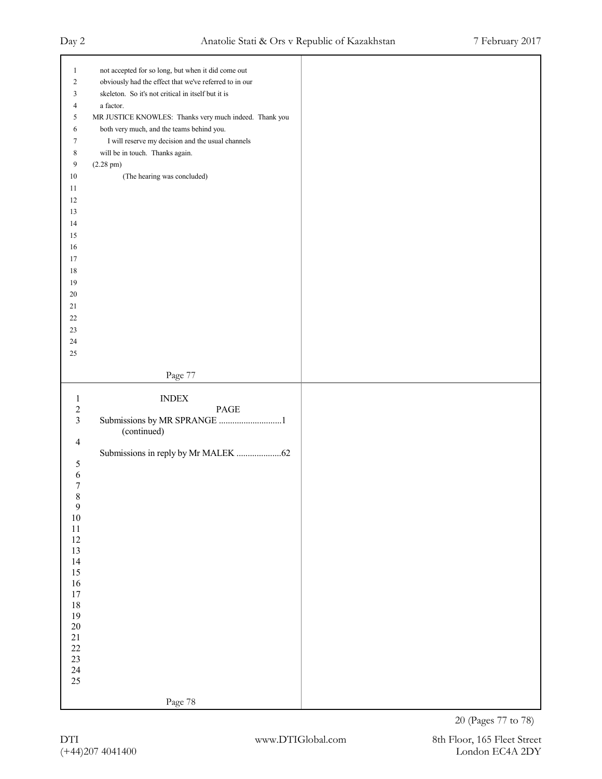| $\mathbf{1}$     | not accepted for so long, but when it did come out     |  |
|------------------|--------------------------------------------------------|--|
| $\boldsymbol{2}$ | obviously had the effect that we've referred to in our |  |
|                  |                                                        |  |
| 3                | skeleton. So it's not critical in itself but it is     |  |
| 4                | a factor.                                              |  |
| 5                | MR JUSTICE KNOWLES: Thanks very much indeed. Thank you |  |
| 6                | both very much, and the teams behind you.              |  |
| 7                | I will reserve my decision and the usual channels      |  |
| 8                | will be in touch. Thanks again.                        |  |
| 9                | $(2.28 \text{ pm})$                                    |  |
| $10\,$           | (The hearing was concluded)                            |  |
| $11\,$           |                                                        |  |
| $12\,$           |                                                        |  |
| 13               |                                                        |  |
| 14               |                                                        |  |
|                  |                                                        |  |
| $15\,$           |                                                        |  |
| $16\,$           |                                                        |  |
| 17               |                                                        |  |
| $18\,$           |                                                        |  |
| $19\,$           |                                                        |  |
| $20\,$           |                                                        |  |
| 21               |                                                        |  |
| $22\,$           |                                                        |  |
| $23\,$           |                                                        |  |
| $24\,$           |                                                        |  |
| $25\,$           |                                                        |  |
|                  |                                                        |  |
|                  | Page 77                                                |  |
|                  |                                                        |  |
|                  |                                                        |  |
|                  |                                                        |  |
| $\mathbf{1}$     | <b>INDEX</b>                                           |  |
| $\sqrt{2}$       | PAGE                                                   |  |
| $\overline{3}$   | Submissions by MR SPRANGE 1                            |  |
|                  | (continued)                                            |  |
| $\overline{4}$   |                                                        |  |
|                  |                                                        |  |
| $\sqrt{5}$       |                                                        |  |
| 6                |                                                        |  |
| 7                |                                                        |  |
| 8                |                                                        |  |
| $\overline{9}$   |                                                        |  |
| $10\,$           |                                                        |  |
| $11\,$           |                                                        |  |
| $12\,$           |                                                        |  |
| 13               |                                                        |  |
| 14               |                                                        |  |
| 15               |                                                        |  |
| $16\,$           |                                                        |  |
| $17\,$           |                                                        |  |
| $18\,$           |                                                        |  |
| 19               |                                                        |  |
| $20\,$           |                                                        |  |
| 21               |                                                        |  |
| $22\,$           |                                                        |  |
| $23\,$           |                                                        |  |
| $24\,$<br>25     |                                                        |  |
|                  | Page 78                                                |  |

20 (Pages 77 to 78)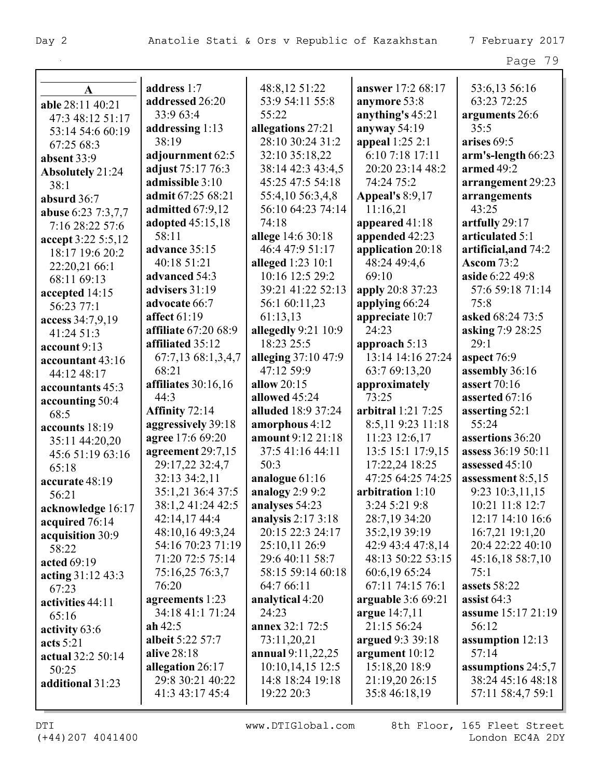|--|--|

| A                                | address 1:7             | 48:8,12 51:22       | answer 17:2 68:17      | 53:6,13 56:16        |
|----------------------------------|-------------------------|---------------------|------------------------|----------------------|
| able 28:11 40:21                 | addressed 26:20         | 53:9 54:11 55:8     | anymore 53:8           | 63:23 72:25          |
| 47:3 48:12 51:17                 | 33:9 63:4               | 55:22               | anything's 45:21       | arguments 26:6       |
| 53:14 54:6 60:19                 | addressing 1:13         | allegations 27:21   | anyway 54:19           | 35:5                 |
| 67:25 68:3                       | 38:19                   | 28:10 30:24 31:2    | appeal 1:25 2:1        | arises 69:5          |
| absent 33:9                      | adjournment 62:5        | 32:10 35:18,22      | 6:10 7:18 17:11        | arm's-length 66:23   |
| Absolutely 21:24                 | adjust 75:17 76:3       | 38:14 42:3 43:4,5   | 20:20 23:14 48:2       | armed $49:2$         |
| 38:1                             | admissible 3:10         | 45:25 47:5 54:18    | 74:24 75:2             | arrangement 29:23    |
| absurd 36:7                      | admit 67:25 68:21       | 55:4,10 56:3,4,8    | <b>Appeal's 8:9,17</b> | arrangements         |
| abuse 6:23 7:3,7,7               | admitted 67:9,12        | 56:10 64:23 74:14   | 11:16,21               | 43:25                |
| 7:16 28:22 57:6                  | adopted 45:15,18        | 74:18               | appeared 41:18         | artfully 29:17       |
| accept 3:22 5:5,12               | 58:11                   | allege 14:6 30:18   | appended 42:23         | articulated 5:1      |
| 18:17 19:6 20:2                  | advance 35:15           | 46:4 47:9 51:17     | application 20:18      | artificial, and 74:2 |
| 22:20,21 66:1                    | 40:18 51:21             | alleged 1:23 10:1   | 48:24 49:4,6           | <b>Ascom 73:2</b>    |
| 68:11 69:13                      | advanced 54:3           | 10:16 12:5 29:2     | 69:10                  | aside 6:22 49:8      |
| accepted 14:15                   | advisers 31:19          | 39:21 41:22 52:13   | apply 20:8 37:23       | 57:6 59:18 71:14     |
| 56:23 77:1                       | advocate 66:7           | 56:1 60:11,23       | applying 66:24         | 75:8                 |
| access 34:7,9,19                 | affect 61:19            | 61:13,13            | appreciate 10:7        | asked 68:24 73:5     |
| 41:24 51:3                       | affiliate 67:20 68:9    | allegedly 9:21 10:9 | 24:23                  | asking 7:9 28:25     |
| account 9:13                     | affiliated 35:12        | 18:23 25:5          | approach 5:13          | 29:1                 |
| accountant 43:16                 | 67:7,13 68:1,3,4,7      | alleging 37:10 47:9 | 13:14 14:16 27:24      | aspect 76:9          |
| 44:12 48:17                      | 68:21                   | 47:12 59:9          | 63:7 69:13,20          | assembly 36:16       |
| accountants 45:3                 | affiliates $30:16,16$   | allow 20:15         | approximately          | assert 70:16         |
| accounting 50:4                  | 44:3                    | allowed 45:24       | 73:25                  | asserted 67:16       |
| 68:5                             | Affinity 72:14          | alluded 18:9 37:24  | arbitral 1:21 7:25     | asserting $52:1$     |
| accounts 18:19                   | aggressively 39:18      | amorphous 4:12      | 8:5,119:23 11:18       | 55:24                |
| 35:11 44:20,20                   | agree 17:6 69:20        | amount 9:12 21:18   | 11:23 12:6,17          | assertions 36:20     |
| 45:6 51:19 63:16                 | agreement 29:7,15       | 37:5 41:16 44:11    | 13:5 15:1 17:9,15      | assess 36:19 50:11   |
| 65:18                            | 29:17,22 32:4,7         | 50:3                | 17:22,24 18:25         | assessed 45:10       |
| accurate 48:19                   | 32:13 34:2,11           | analogue 61:16      | 47:25 64:25 74:25      | assessment $8:5,15$  |
| 56:21                            | 35:1,21 36:4 37:5       | analogy $2:99:2$    | arbitration 1:10       | 9:23 10:3,11,15      |
| acknowledge 16:17                | 38:1,2 41:24 42:5       | analyses 54:23      | 3:24 5:21 9:8          | 10:21 11:8 12:7      |
| acquired 76:14                   | 42:14,17 44:4           | analysis 2:17 3:18  | 28:7,19 34:20          | 12:17 14:10 16:6     |
| acquisition 30:9                 | 48:10,16 49:3,24        | 20:15 22:3 24:17    | 35:2,19 39:19          | 16:7,21 19:1,20      |
| 58:22                            | 54:16 70:23 71:19       | 25:10,11 26:9       | 42:9 43:4 47:8,14      | 20:4 22:22 40:10     |
| acted 69:19                      | 71:20 72:5 75:14        | 29:6 40:11 58:7     | 48:13 50:22 53:15      | 45:16,18 58:7,10     |
| acting 31:12 43:3                | 75:16,25 76:3,7         | 58:15 59:14 60:18   | 60:6,19 65:24          | 75:1                 |
| 67:23                            | 76:20                   | 64:7 66:11          | 67:11 74:15 76:1       | assets 58:22         |
| activities 44:11                 | agreements 1:23         | analytical 4:20     | arguable 3:6 69:21     | assist 64:3          |
| 65:16                            | 34:18 41:1 71:24        | 24:23               | argue 14:7,11          | assume 15:17 21:19   |
| activity 63:6                    | $ah\,42:5$              | annex 32:1 72:5     | 21:15 56:24            | 56:12                |
|                                  | <b>albeit 5:22 57:7</b> | 73:11,20,21         | argued 9:3 39:18       | assumption $12:13$   |
| acts $5:21$<br>actual 32:2 50:14 | alive 28:18             | annual 9:11,22,25   | argument $10:12$       | 57:14                |
|                                  | allegation 26:17        | 10:10,14,15 12:5    | 15:18,20 18:9          | assumptions 24:5,7   |
| 50:25<br>additional 31:23        | 29:8 30:21 40:22        | 14:8 18:24 19:18    | 21:19,20 26:15         | 38:24 45:16 48:18    |
|                                  | 41:3 43:17 45:4         | 19:22 20:3          | 35:8 46:18,19          | 57:11 58:4,7 59:1    |
|                                  |                         |                     |                        |                      |

DTI WWW.DTIGlobal.com 8th Floor, 165 Fleet Street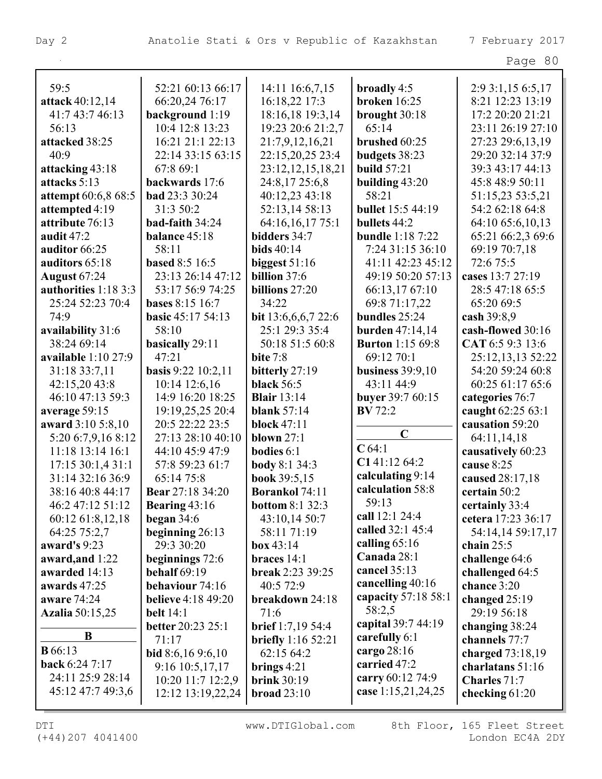| 59:5                        | 52:21 60:13 66:17         | 14:11 16:6,7,15            | broadly 4:5              | 2:9 3:1,15 6:5,17  |
|-----------------------------|---------------------------|----------------------------|--------------------------|--------------------|
| attack 40:12,14             | 66:20,24 76:17            | 16:18,22 17:3              | <b>broken</b> 16:25      | 8:21 12:23 13:19   |
| 41:7 43:7 46:13             | background 1:19           | 18:16,18 19:3,14           | brought 30:18            | 17:2 20:20 21:21   |
| 56:13                       | 10:4 12:8 13:23           | 19:23 20:6 21:2,7          | 65:14                    | 23:11 26:19 27:10  |
| attacked 38:25              | 16:21 21:1 22:13          | 21:7,9,12,16,21            | brushed 60:25            | 27:23 29:6,13,19   |
| 40:9                        | 22:14 33:15 63:15         | 22:15,20,25 23:4           | budgets 38:23            | 29:20 32:14 37:9   |
| attacking 43:18             | 67:8 69:1                 | 23:12,12,15,18,21          | <b>build</b> 57:21       | 39:3 43:17 44:13   |
| attacks 5:13                | backwards 17:6            | 24:8,17 25:6,8             | building $43:20$         | 45:8 48:9 50:11    |
| <b>attempt</b> 60:6,8 68:5  | <b>bad</b> 23:3 30:24     | 40:12,23 43:18             | 58:21                    | 51:15,23 53:5,21   |
| attempted 4:19              | 31:3 50:2                 | 52:13,14 58:13             | <b>bullet</b> 15:5 44:19 | 54:2 62:18 64:8    |
| attribute 76:13             | bad-faith 34:24           | 64:16,16,17 75:1           | bullets 44:2             | 64:10 65:6,10,13   |
| audit $47:2$                | balance 45:18             | bidders 34:7               | <b>bundle</b> 1:18 7:22  | 65:21 66:2,3 69:6  |
| auditor 66:25               | 58:11                     | bids $40:14$               | 7:24 31:15 36:10         | 69:19 70:7,18      |
| auditors 65:18              | <b>based 8:5 16:5</b>     | biggest $51:16$            | 41:11 42:23 45:12        | 72:6 75:5          |
| <b>August 67:24</b>         | 23:13 26:14 47:12         | billion 37:6               | 49:19 50:20 57:13        | cases 13:7 27:19   |
| <b>authorities</b> 1:18 3:3 | 53:17 56:9 74:25          | billions 27:20             | 66:13,17 67:10           | 28:5 47:18 65:5    |
| 25:24 52:23 70:4            | <b>bases</b> 8:15 16:7    | 34:22                      | 69:8 71:17,22            | 65:20 69:5         |
| 74:9                        | <b>basic</b> 45:17 54:13  | bit $13:6,6,6,7$ 22:6      | bundles 25:24            | cash $39:8,9$      |
| availability 31:6           | 58:10                     | 25:1 29:3 35:4             | <b>burden</b> $47:14,14$ | cash-flowed 30:16  |
| 38:24 69:14                 | basically 29:11           | 50:18 51:5 60:8            | <b>Burton</b> 1:15 69:8  | CAT 6:5 9:3 13:6   |
| available 1:10 27:9         | 47:21                     | <b>bite</b> 7:8            | 69:12 70:1               | 25:12,13,13 52:22  |
| 31:18 33:7,11               | basis 9:22 10:2,11        | bitterly 27:19             | business $39:9,10$       | 54:20 59:24 60:8   |
| 42:15,20 43:8               | 10:14 12:6,16             | <b>black</b> 56:5          | 43:11 44:9               | 60:25 61:17 65:6   |
| 46:10 47:13 59:3            | 14:9 16:20 18:25          | <b>Blair</b> 13:14         | buyer 39:7 60:15         | categories 76:7    |
| average 59:15               | 19:19,25,25 20:4          | <b>blank</b> 57:14         | <b>BV</b> 72:2           | caught 62:25 63:1  |
| award 3:10 5:8,10           | 20:5 22:22 23:5           | <b>block</b> 47:11         |                          | causation 59:20    |
| 5:20 6:7,9,16 8:12          | 27:13 28:10 40:10         | blown $27:1$               | $\mathbf C$              | 64:11,14,18        |
| 11:18 13:14 16:1            | 44:10 45:9 47:9           | <b>bodies</b> 6:1          | $C$ 64:1                 | causatively 60:23  |
| 17:15 30:1,4 31:1           | 57:8 59:23 61:7           | <b>body</b> 8:1 34:3       | C141:12 64:2             | cause 8:25         |
| 31:14 32:16 36:9            | 65:14 75:8                | book 39:5,15               | calculating 9:14         | caused 28:17,18    |
| 38:16 40:8 44:17            | Bear 27:18 34:20          | <b>Borankol</b> 74:11      | calculation 58:8         | certain 50:2       |
| 46:2 47:12 51:12            | Bearing $43:16$           | <b>bottom 8:1 32:3</b>     | 59:13                    | certainly 33:4     |
| 60:12 61:8,12,18            | began $34:6$              | 43:10,14 50:7              | call 12:1 24:4           | cetera 17:23 36:17 |
| 64:25 75:2,7                | beginning 26:13           | 58:11 71:19                | called 32:1 45:4         | 54:14,14 59:17,17  |
| award's 9:23                | 29:3 30:20                | $\mathbf{box}$ 43:14       | calling $65:16$          | chain $25:5$       |
| award, and 1:22             | beginnings $72:6$         | braces $14:1$              | Canada 28:1              | challenge 64:6     |
| awarded 14:13               | <b>behalf</b> 69:19       | break 2:23 39:25           | cancel 35:13             | challenged 64:5    |
| awards 47:25                | behaviour 74:16           | 40:5 72:9                  | cancelling 40:16         | chance 3:20        |
| aware 74:24                 | <b>believe</b> 4:18 49:20 | breakdown 24:18            | capacity 57:18 58:1      | changed $25:19$    |
| <b>Azalia</b> 50:15,25      | <b>belt</b> 14:1          | 71:6                       | 58:2,5                   | 29:19 56:18        |
|                             | <b>better</b> 20:23 25:1  | <b>brief</b> $1:7,19,54:4$ | capital 39:7 44:19       | changing 38:24     |
| B                           | 71:17                     | <b>briefly</b> $1:1652:21$ | carefully 6:1            | channels 77:7      |
| <b>B</b> 66:13              | bid 8:6,16 9:6,10         | 62:15 64:2                 | cargo 28:16              | charged $73:18,19$ |
| back 6:24 7:17              | $9:16$ 10:5,17,17         | brings $4:21$              | carried 47:2             | charlatans 51:16   |
| 24:11 25:9 28:14            | 10:20 11:7 12:2,9         | <b>brink</b> 30:19         | carry 60:12 74:9         | Charles 71:7       |
| 45:12 47:7 49:3,6           | 12:12 13:19,22,24         | broad $23:10$              | case 1:15,21,24,25       | checking $61:20$   |
|                             |                           |                            |                          |                    |

(+44)207 4041400 London EC4A 2DY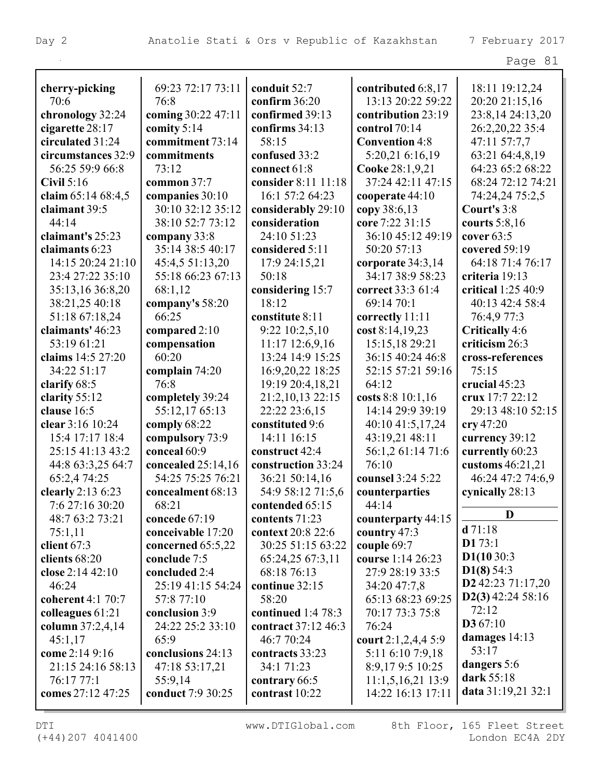|                     |                      |                     |                       | Page 81                    |
|---------------------|----------------------|---------------------|-----------------------|----------------------------|
| cherry-picking      | 69:23 72:17 73:11    | conduit 52:7        | contributed 6:8,17    | 18:11 19:12,24             |
| 70:6                | 76:8                 | confirm 36:20       | 13:13 20:22 59:22     | 20:20 21:15,16             |
| chronology 32:24    | coming 30:22 47:11   | confirmed 39:13     | contribution 23:19    | 23:8,14 24:13,20           |
| cigarette 28:17     | comity 5:14          | confirms 34:13      | control 70:14         | 26:2,20,22 35:4            |
| circulated 31:24    | commitment 73:14     | 58:15               | <b>Convention 4:8</b> | 47:11 57:7,7               |
| circumstances 32:9  | commitments          | confused 33:2       | 5:20,21 6:16,19       | 63:21 64:4,8,19            |
| 56:25 59:9 66:8     | 73:12                | connect 61:8        | Cooke 28:1,9,21       | 64:23 65:2 68:22           |
| Civil $5:16$        | common 37:7          | consider 8:11 11:18 | 37:24 42:11 47:15     | 68:24 72:12 74:21          |
| claim 65:14 68:4,5  | companies 30:10      | 16:1 57:2 64:23     | cooperate 44:10       | 74:24,24 75:2,5            |
| claimant 39:5       | 30:10 32:12 35:12    | considerably 29:10  | copy 38:6,13          | Court's 3:8                |
| 44:14               | 38:10 52:7 73:12     | consideration       | core 7:22 31:15       | courts $5:8,16$            |
| claimant's 25:23    | company 33:8         | 24:10 51:23         | 36:10 45:12 49:19     | cover $63:5$               |
| claimants 6:23      | 35:14 38:5 40:17     | considered 5:11     | 50:20 57:13           | covered 59:19              |
| 14:15 20:24 21:10   | 45:4,5 51:13,20      | 17:9 24:15,21       | corporate 34:3,14     | 64:18 71:4 76:17           |
| 23:4 27:22 35:10    | 55:18 66:23 67:13    | 50:18               | 34:17 38:9 58:23      | criteria 19:13             |
| 35:13,16 36:8,20    | 68:1,12              | considering 15:7    | correct 33:3 61:4     | critical 1:25 40:9         |
| 38:21,25 40:18      | company's 58:20      | 18:12               | 69:14 70:1            | 40:13 42:4 58:4            |
| 51:18 67:18,24      | 66:25                | constitute 8:11     | correctly 11:11       | 76:4,9 77:3                |
| claimants' 46:23    | compared 2:10        | 9:22 10:2,5,10      | cost 8:14,19,23       | Critically 4:6             |
| 53:19 61:21         | compensation         | $11:17$ $12:6,9,16$ | 15:15,18 29:21        | criticism 26:3             |
| claims 14:5 27:20   | 60:20                | 13:24 14:9 15:25    | 36:15 40:24 46:8      | cross-references           |
| 34:22 51:17         | complain 74:20       | 16:9,20,22 18:25    | 52:15 57:21 59:16     | 75:15                      |
| clarify 68:5        | 76:8                 | 19:19 20:4,18,21    | 64:12                 | crucial 45:23              |
| clarity 55:12       | completely 39:24     | 21:2,10,13 22:15    | costs 8:8 10:1,16     | crux 17:7 22:12            |
| clause 16:5         | 55:12,17 65:13       | 22:22 23:6,15       | 14:14 29:9 39:19      | 29:13 48:10 52:15          |
| clear 3:16 10:24    | comply 68:22         | constituted 9:6     | 40:10 41:5,17,24      | $\operatorname{cry}$ 47:20 |
| 15:4 17:17 18:4     | compulsory 73:9      | 14:11 16:15         | 43:19,21 48:11        | currency 39:12             |
| 25:15 41:13 43:2    | conceal 60:9         | construct 42:4      | 56:1,2 61:14 71:6     | currently 60:23            |
| 44:8 63:3,25 64:7   | concealed $25:14,16$ | construction 33:24  | 76:10                 | customs $46:21,21$         |
| 65:2,4 74:25        | 54:25 75:25 76:21    | 36:21 50:14,16      | counsel 3:24 5:22     | 46:24 47:2 74:6,9          |
| clearly $2:136:23$  | concealment 68:13    | 54:9 58:12 71:5,6   | counterparties        | cynically 28:13            |
| 7:6 27:16 30:20     | 68:21                | contended 65:15     | 44:14                 |                            |
| 48:7 63:2 73:21     | concede 67:19        | contents 71:23      | counterparty 44:15    | D                          |
| 75:1,11             | conceivable 17:20    | context 20:8 22:6   | country 47:3          | d71:18                     |
| client $67:3$       | concerned $65:5,22$  | 30:25 51:15 63:22   | couple 69:7           | D173:1                     |
| clients $68:20$     | conclude 7:5         | 65:24,25 67:3,11    | course 1:14 26:23     | D1(1030:3)                 |
| close $2:14\,42:10$ | concluded 2:4        | 68:18 76:13         | 27:9 28:19 33:5       | D1(8) 54:3                 |
| 46:24               | 25:19 41:15 54:24    | continue 32:15      | 34:20 47:7,8          | D2 42:23 71:17,20          |
| coherent 4:1 70:7   | 57:8 77:10           | 58:20               | 65:13 68:23 69:25     | $D2(3)$ 42:24 58:16        |
| colleagues 61:21    | conclusion 3:9       | continued 1:4 78:3  | 70:17 73:3 75:8       | 72:12                      |
| column 37:2,4,14    | 24:22 25:2 33:10     | contract 37:12 46:3 | 76:24                 | D367:10                    |
| 45:1,17             | 65:9                 | 46:7 70:24          | court $2:1,2,4,4,5:9$ | damages $14:13$<br>53:17   |
| come 2:14 9:16      | conclusions 24:13    | contracts 33:23     | 5:11 6:10 7:9,18      |                            |
| 21:15 24:16 58:13   | 47:18 53:17,21       | 34:1 71:23          | 8:9,179:5 10:25       | dangers 5:6<br>dark 55:18  |
| 76:17 77:1          | 55:9,14              | contrary 66:5       | 11:1,5,16,2113:9      | data 31:19,21 32:1         |
| comes 27:12 47:25   | conduct 7:9 30:25    | contrast 10:22      | 14:22 16:13 17:11     |                            |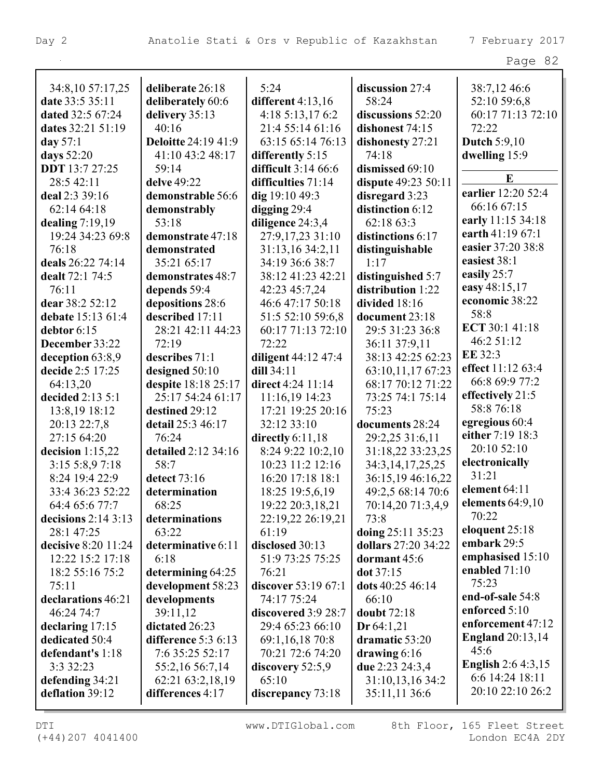| 34:8,10 57:17,25      | deliberate 26:18           | 5:24                | discussion 27:4      | 38:7,12 46:6              |
|-----------------------|----------------------------|---------------------|----------------------|---------------------------|
| date 33:5 35:11       | deliberately 60:6          | different $4:13,16$ | 58:24                | 52:10 59:6,8              |
| dated 32:5 67:24      | delivery 35:13             | 4:18 5:13,17 6:2    | discussions 52:20    | 60:17 71:13 72:10         |
| dates 32:21 51:19     | 40:16                      | 21:4 55:14 61:16    | dishonest 74:15      | 72:22                     |
| day $57:1$            | <b>Deloitte 24:19 41:9</b> | 63:15 65:14 76:13   | dishonesty 27:21     | <b>Dutch 5:9,10</b>       |
| days 52:20            | 41:10 43:2 48:17           | differently 5:15    | 74:18                | dwelling 15:9             |
| <b>DDT</b> 13:7 27:25 | 59:14                      | difficult 3:14 66:6 | dismissed 69:10      |                           |
| 28:5 42:11            | delve 49:22                | difficulties 71:14  | dispute 49:23 50:11  | E                         |
| deal 2:3 39:16        | demonstrable 56:6          | dig 19:10 49:3      | disregard 3:23       | earlier 12:20 52:4        |
| 62:14 64:18           | demonstrably               | digging $29:4$      | distinction 6:12     | 66:16 67:15               |
| dealing $7:19,19$     | 53:18                      | diligence 24:3,4    | 62:18 63:3           | early 11:15 34:18         |
| 19:24 34:23 69:8      | demonstrate 47:18          | 27:9,17,23 31:10    | distinctions 6:17    | earth 41:19 67:1          |
| 76:18                 | demonstrated               | 31:13,16 34:2,11    | distinguishable      | easier 37:20 38:8         |
| deals 26:22 74:14     | 35:21 65:17                | 34:19 36:6 38:7     | 1:17                 | easiest 38:1              |
| dealt 72:1 74:5       | demonstrates 48:7          | 38:12 41:23 42:21   | distinguished 5:7    | easily 25:7               |
| 76:11                 | depends 59:4               | 42:23 45:7,24       | distribution 1:22    | easy 48:15,17             |
| dear 38:2 52:12       | depositions 28:6           | 46:6 47:17 50:18    | divided 18:16        | economic 38:22            |
| debate 15:13 61:4     | described 17:11            | 51:5 52:10 59:6,8   | document 23:18       | 58:8                      |
| debtor 6:15           | 28:21 42:11 44:23          | 60:17 71:13 72:10   | 29:5 31:23 36:8      | ECT 30:1 41:18            |
| December 33:22        | 72:19                      | 72:22               | 36:11 37:9,11        | 46:2 51:12                |
| deception 63:8,9      | describes 71:1             | diligent 44:12 47:4 | 38:13 42:25 62:23    | EE 32:3                   |
| decide 2:5 17:25      | designed 50:10             | dill 34:11          | 63:10,11,17 67:23    | effect 11:12 63:4         |
| 64:13,20              | despite 18:18 25:17        | direct 4:24 11:14   | 68:17 70:12 71:22    | 66:8 69:9 77:2            |
| decided 2:13 5:1      | 25:17 54:24 61:17          | 11:16,19 14:23      | 73:25 74:1 75:14     | effectively 21:5          |
| 13:8,19 18:12         | destined 29:12             | 17:21 19:25 20:16   | 75:23                | 58:8 76:18                |
| 20:13 22:7,8          | detail 25:3 46:17          | 32:12 33:10         | documents 28:24      | egregious 60:4            |
| 27:15 64:20           | 76:24                      | directly $6:11,18$  | 29:2,25 31:6,11      | either 7:19 18:3          |
| decision $1:15,22$    | detailed 2:12 34:16        | 8:24 9:22 10:2,10   | 31:18,22 33:23,25    | 20:10 52:10               |
| 3:15 5:8,9 7:18       | 58:7                       | 10:23 11:2 12:16    | 34:3, 14, 17, 25, 25 | electronically            |
| 8:24 19:4 22:9        | detect 73:16               | 16:20 17:18 18:1    | 36:15,19 46:16,22    | 31:21                     |
| 33:4 36:23 52:22      | determination              | 18:25 19:5,6,19     | 49:2,5 68:14 70:6    | element 64:11             |
| 64:4 65:6 77:7        | 68:25                      | 19:22 20:3,18,21    | 70:14,20 71:3,4,9    | elements $64:9,10$        |
| decisions $2:14$ 3:13 | determinations             | 22:19,22 26:19,21   | 73:8                 | 70:22                     |
| 28:1 47:25            | 63:22                      | 61:19               | doing 25:11 35:23    | eloquent 25:18            |
| decisive 8:20 11:24   | determinative 6:11         | disclosed 30:13     | dollars 27:20 34:22  | embark 29:5               |
| 12:22 15:2 17:18      | 6:18                       | 51:9 73:25 75:25    | dormant $45:6$       | emphasised 15:10          |
| 18:2 55:16 75:2       | determining 64:25          | 76:21               | dot 37:15            | enabled $71:10$           |
| 75:11                 | development 58:23          | discover 53:19 67:1 | dots 40:25 46:14     | 75:23                     |
| declarations 46:21    | developments               | 74:17 75:24         | 66:10                | end-of-sale 54:8          |
| 46:24 74:7            | 39:11,12                   | discovered 3:9 28:7 | <b>doubt</b> 72:18   | enforced 5:10             |
| declaring 17:15       | dictated 26:23             | 29:4 65:23 66:10    | Dr 64:1,21           | enforcement 47:12         |
| dedicated 50:4        | difference $5:36:13$       | 69:1,16,18 70:8     | dramatic 53:20       | <b>England</b> 20:13,14   |
| defendant's 1:18      | 7:6 35:25 52:17            | 70:21 72:6 74:20    | drawing $6:16$       | 45:6                      |
| 3:3 32:23             | 55:2,16 56:7,14            | discovery $52:5,9$  | due 2:23 24:3,4      | <b>English 2:6 4:3,15</b> |
| defending 34:21       | 62:21 63:2,18,19           | 65:10               | 31:10,13,16 34:2     | 6:6 14:24 18:11           |
| deflation 39:12       | differences 4:17           | discrepancy 73:18   | 35:11,11 36:6        | 20:10 22:10 26:2          |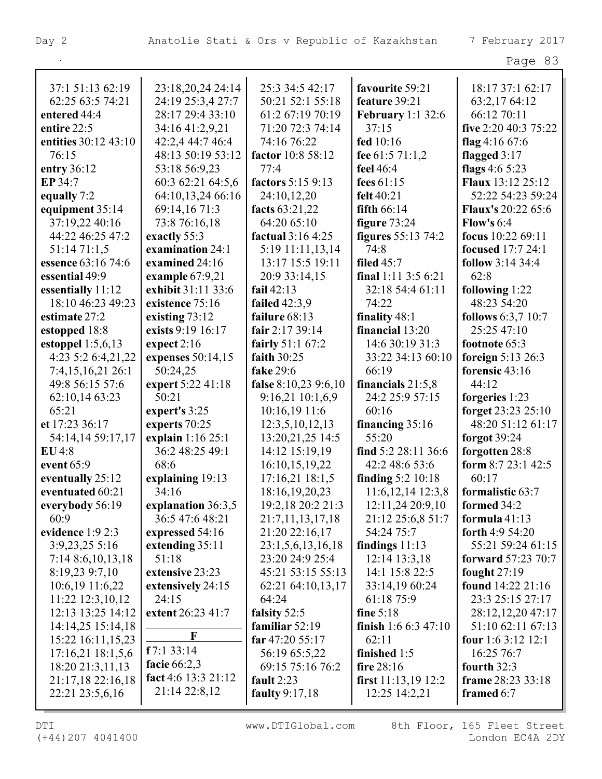| 29 O<br>ı |  |
|-----------|--|
|-----------|--|

| 37:1 51:13 62:19      | 23:18,20,24 24:14   | 25:3 34:5 42:17      | favourite 59:21          | 18:17 37:1 62:17          |
|-----------------------|---------------------|----------------------|--------------------------|---------------------------|
| 62:25 63:5 74:21      | 24:19 25:3,4 27:7   | 50:21 52:1 55:18     | feature 39:21            | 63:2,17 64:12             |
| entered 44:4          | 28:17 29:4 33:10    | 61:2 67:19 70:19     | <b>February</b> 1:1 32:6 | 66:12 70:11               |
| entire 22:5           | 34:16 41:2,9,21     | 71:20 72:3 74:14     | 37:15                    | five 2:20 40:3 75:22      |
| entities 30:12 43:10  | 42:2,4 44:7 46:4    | 74:16 76:22          | fed 10:16                | flag 4:16 $67:6$          |
| 76:15                 | 48:13 50:19 53:12   | factor 10:8 58:12    | fee 61:5 71:1,2          | flagged $3:17$            |
| entry 36:12           | 53:18 56:9,23       | 77:4                 | feel 46:4                | flags $4:65:23$           |
| EP 34:7               | 60:3 62:21 64:5,6   | factors 5:15 9:13    | fees $61:15$             | <b>Flaux</b> 13:12 25:12  |
| equally 7:2           | 64:10,13,24 66:16   | 24:10,12,20          | felt $40:21$             | 52:22 54:23 59:24         |
| equipment 35:14       | 69:14,16 71:3       | facts 63:21,22       | fifth $66:14$            | <b>Flaux's 20:22 65:6</b> |
| 37:19,22 40:16        | 73:8 76:16,18       | 64:20 65:10          | figure $73:24$           | Flow's $6:4$              |
| 44:22 46:25 47:2      | exactly 55:3        | factual 3:16 4:25    | figures $55:13\,74:2$    | focus 10:22 69:11         |
| 51:1471:1,5           | examination 24:1    | 5:19 11:11,13,14     | 74:8                     | <b>focused</b> 17:7 24:1  |
| essence 63:16 74:6    | examined 24:16      | 13:17 15:5 19:11     | filed $45:7$             | follow 3:14 34:4          |
| essential 49:9        | example $67:9,21$   | 20:9 33:14,15        | final 1:11 3:5 6:21      | 62:8                      |
| essentially 11:12     | exhibit 31:11 33:6  | fail $42:13$         | 32:18 54:4 61:11         | following 1:22            |
| 18:10 46:23 49:23     | existence 75:16     | <b>failed</b> 42:3,9 | 74:22                    | 48:23 54:20               |
| estimate 27:2         | existing 73:12      | failure 68:13        | finality 48:1            | <b>follows</b> 6:3,7 10:7 |
| estopped 18:8         | exists 9:19 16:17   | fair $2:1739:14$     | financial 13:20          | 25:25 47:10               |
| estoppel $1:5,6,13$   | expect $2:16$       | fairly 51:1 67:2     | 14:6 30:19 31:3          | footnote 65:3             |
| 4:23 5:2 6:4,21,22    | expenses 50:14,15   | faith $30:25$        | 33:22 34:13 60:10        | foreign $5:13$ 26:3       |
| 7:4,15,16,21 26:1     | 50:24,25            | fake 29:6            | 66:19                    | forensic 43:16            |
| 49:8 56:15 57:6       | expert 5:22 41:18   | false 8:10,23 9:6,10 | financials $21:5,8$      | 44:12                     |
| 62:10,14 63:23        | 50:21               | 9:16,21 10:1,6,9     | 24:2 25:9 57:15          | forgeries 1:23            |
| 65:21                 | expert's 3:25       | 10:16,19 11:6        | 60:16                    | forget 23:23 25:10        |
| et 17:23 36:17        | experts 70:25       | 12:3,5,10,12,13      | financing $35:16$        | 48:20 51:12 61:17         |
| 54:14,14 59:17,17     | explain 1:16 25:1   | 13:20,21,25 14:5     | 55:20                    | forgot 39:24              |
| EU4:8                 | 36:2 48:25 49:1     | 14:12 15:19,19       | find 5:2 28:11 36:6      | forgotten 28:8            |
| event 65:9            | 68:6                | 16:10,15,19,22       | 42:2 48:6 53:6           | form $8:723:142:5$        |
| eventually 25:12      | explaining 19:13    | $17:16,21$ $18:1,5$  | finding $5:2 10:18$      | 60:17                     |
| eventuated 60:21      | 34:16               | 18:16,19,20,23       | 11:6, 12, 14 12:3, 8     | formalistic 63:7          |
| everybody 56:19       | explanation 36:3,5  | 19:2,18 20:2 21:3    | 12:11,2420:9,10          | formed 34:2               |
| 60:9                  | 36:5 47:6 48:21     | 21:7,11,13,17,18     | 21:12 25:6,8 51:7        | formula $41:13$           |
| evidence 1:9 2:3      | expressed 54:16     | 21:20 22:16,17       | 54:24 75:7               | forth $4:954:20$          |
| 3:9,23,25 5:16        | extending 35:11     | 23:1,5,6,13,16,18    | findings $11:13$         | 55:21 59:24 61:15         |
| 7:14 8:6, 10, 13, 18  | 51:18               | 23:20 24:9 25:4      | 12:14 13:3,18            | forward 57:23 70:7        |
| 8:19,23 9:7,10        | extensive 23:23     | 45:21 53:15 55:13    | 14:1 15:8 22:5           | fought $27:19$            |
| 10:6,19 11:6,22       | extensively 24:15   | 62:21 64:10,13,17    | 33:14,19 60:24           | found 14:22 21:16         |
| 11:22 12:3,10,12      | 24:15               | 64:24                | 61:18 75:9               | 23:3 25:15 27:17          |
| 12:13 13:25 14:12     | extent 26:23 41:7   | falsity 52:5         | fine $5:18$              | 28:12,12,20 47:17         |
| 14:14,25 15:14,18     | F                   | familiar $52:19$     | finish $1:66:347:10$     | 51:10 62:11 67:13         |
| 15:22 16:11,15,23     | f7:133:14           | far $47:2055:17$     | 62:11                    | four 1:6 3:12 12:1        |
| $17:16,21$ $18:1,5,6$ | facie 66:2,3        | 56:19 65:5,22        | finished 1:5             | 16:25 76:7                |
| 18:20 21:3,11,13      | fact 4:6 13:3 21:12 | 69:15 75:16 76:2     | fire 28:16               | fourth $32:3$             |
| 21:17,18 22:16,18     | 21:14 22:8,12       | fault $2:23$         | first $11:13,19$ $12:2$  | frame 28:23 33:18         |
| 22:21 23:5,6,16       |                     | faulty 9:17,18       | $12:25$ $14:2,21$        | framed 6:7                |
|                       |                     |                      |                          |                           |

(+44)207 4041400 London EC4A 2DY

DTI WWW.DTIGlobal.com 8th Floor, 165 Fleet Street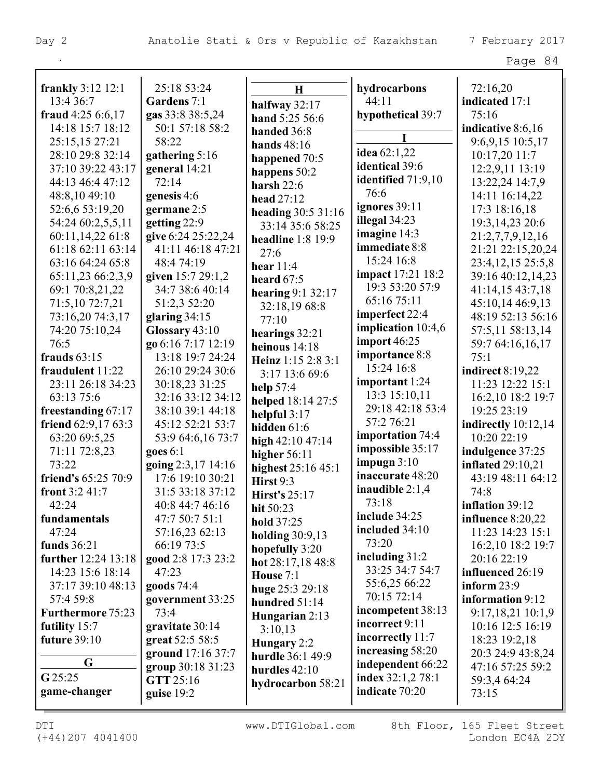| <b>frankly</b> 3:12 12:1 | 25:18 53:24        | H                                | hydrocarbons             | 72:16,20                 |
|--------------------------|--------------------|----------------------------------|--------------------------|--------------------------|
| 13:4 36:7                | Gardens 7:1        | halfway 32:17                    | 44:11                    | indicated 17:1           |
| fraud 4:25 6:6,17        | gas 33:8 38:5,24   | hand 5:25 56:6                   | hypothetical 39:7        | 75:16                    |
| 14:18 15:7 18:12         | 50:1 57:18 58:2    | handed 36:8                      |                          | indicative 8:6,16        |
| 25:15,15 27:21           | 58:22              | <b>hands</b> 48:16               |                          | 9:6,9,15 10:5,17         |
| 28:10 29:8 32:14         | gathering 5:16     | happened 70:5                    | idea $62:1,22$           | 10:17,20 11:7            |
| 37:10 39:22 43:17        | general 14:21      | happens 50:2                     | identical 39:6           | 12:2,9,11 13:19          |
| 44:13 46:4 47:12         | 72:14              | harsh $22:6$                     | identified 71:9,10       | 13:22,24 14:7,9          |
| 48:8,10 49:10            | genesis 4:6        | head 27:12                       | 76:6                     | 14:11 16:14,22           |
| 52:6,6 53:19,20          | germane 2:5        | heading 30:5 31:16               | ignores 39:11            | 17:3 18:16,18            |
| 54:24 60:2,5,5,11        | getting 22:9       | 33:14 35:6 58:25                 | illegal 34:23            | 19:3, 14, 23 20:6        |
| 60:11,14,22 61:8         | give 6:24 25:22,24 | headline $1:8$ 19:9              | imagine 14:3             | 21:2,7,7,9,12,16         |
| 61:18 62:11 63:14        | 41:11 46:18 47:21  | 27:6                             | immediate 8:8            | 21:21 22:15,20,24        |
| 63:16 64:24 65:8         | 48:474:19          | hear $11:4$                      | 15:24 16:8               | 23:4, 12, 15 25:5, 8     |
| 65:11,23 66:2,3,9        | given 15:7 29:1,2  | heard $67:5$                     | <b>impact</b> 17:21 18:2 | 39:16 40:12,14,23        |
| 69:1 70:8,21,22          | 34:7 38:6 40:14    | hearing 9:1 32:17                | 19:3 53:20 57:9          | 41:14,15 43:7,18         |
| 71:5,10 72:7,21          | 51:2,3 52:20       | 32:18,1968:8                     | 65:16 75:11              | 45:10,14 46:9,13         |
| 73:16,20 74:3,17         | glaring $34:15$    | 77:10                            | imperfect 22:4           | 48:19 52:13 56:16        |
| 74:20 75:10,24           | Glossary 43:10     | hearings 32:21                   | implication 10:4,6       | 57:5,11 58:13,14         |
| 76:5                     | go 6:16 7:17 12:19 | heinous $14:18$                  | import 46:25             | 59:7 64:16,16,17         |
| frauds $63:15$           | 13:18 19:7 24:24   | Heinz 1:15 2:8 3:1               | importance 8:8           | 75:1                     |
| fraudulent 11:22         | 26:10 29:24 30:6   | 3:17 13:6 69:6                   | 15:24 16:8               | indirect 8:19,22         |
| 23:11 26:18 34:23        | 30:18,23 31:25     | help $57:4$                      | important 1:24           | 11:23 12:22 15:1         |
| 63:13 75:6               | 32:16 33:12 34:12  | helped 18:14 27:5                | 13:3 15:10,11            | 16:2,10 18:2 19:7        |
| freestanding 67:17       | 38:10 39:1 44:18   |                                  | 29:18 42:18 53:4         | 19:25 23:19              |
| friend $62:9,1763:3$     | 45:12 52:21 53:7   | helpful $3:17$<br>hidden 61:6    | 57:2 76:21               | indirectly $10:12,14$    |
| 63:20 69:5,25            | 53:9 64:6,16 73:7  |                                  | importation 74:4         | 10:20 22:19              |
| 71:11 72:8,23            | goes 6:1           | high 42:10 47:14<br>higher 56:11 | impossible 35:17         | indulgence 37:25         |
| 73:22                    | going 2:3,17 14:16 | highest 25:16 45:1               | impugn $3:10$            | <b>inflated</b> 29:10,21 |
| friend's 65:25 70:9      | 17:6 19:10 30:21   | Hirst 9:3                        | inaccurate 48:20         | 43:19 48:11 64:12        |
| front 3:2 41:7           | 31:5 33:18 37:12   | <b>Hirst's 25:17</b>             | inaudible $2:1,4$        | 74:8                     |
| 42:24                    | 40:8 44:7 46:16    |                                  | 73:18                    | inflation 39:12          |
| fundamentals             | 47:7 50:7 51:1     | hit 50:23                        | include 34:25            | influence $8:20,22$      |
| 47:24                    | 57:16,23 62:13     | hold 37:25                       | included 34:10           | 11:23 14:23 15:1         |
| funds 36:21              | 66:19 73:5         | <b>holding 30:9,13</b>           | 73:20                    | 16:2,10 18:2 19:7        |
| further 12:24 13:18      | good 2:8 17:3 23:2 | hopefully 3:20                   | including $31:2$         | 20:16 22:19              |
| 14:23 15:6 18:14         | 47:23              | hot 28:17,18 48:8                | 33:25 34:7 54:7          | influenced 26:19         |
| 37:17 39:10 48:13        | goods 74:4         | House 7:1                        | 55:6,25 66:22            | inform $23:9$            |
| 57:4 59:8                | government 33:25   | huge 25:3 29:18                  | 70:15 72:14              | information 9:12         |
| Furthermore 75:23        | 73:4               | hundred 51:14                    | incompetent 38:13        | 9:17,18,21 10:1,9        |
| futility 15:7            | gravitate 30:14    | Hungarian 2:13                   | incorrect 9:11           | 10:16 12:5 16:19         |
| <b>future 39:10</b>      | great 52:5 58:5    | 3:10,13                          | incorrectly 11:7         | 18:23 19:2,18            |
|                          | ground 17:16 37:7  | Hungary 2:2                      | increasing 58:20         | 20:3 24:9 43:8,24        |
| G                        | group 30:18 31:23  | hurdle 36:1 49:9                 | independent 66:22        | 47:16 57:25 59:2         |
| G 25:25                  | GTT 25:16          | hurdles 42:10                    | index 32:1,2 78:1        | 59:3,4 64:24             |
| game-changer             | guise $19:2$       | hydrocarbon 58:21                | indicate 70:20           | 73:15                    |
|                          |                    |                                  |                          |                          |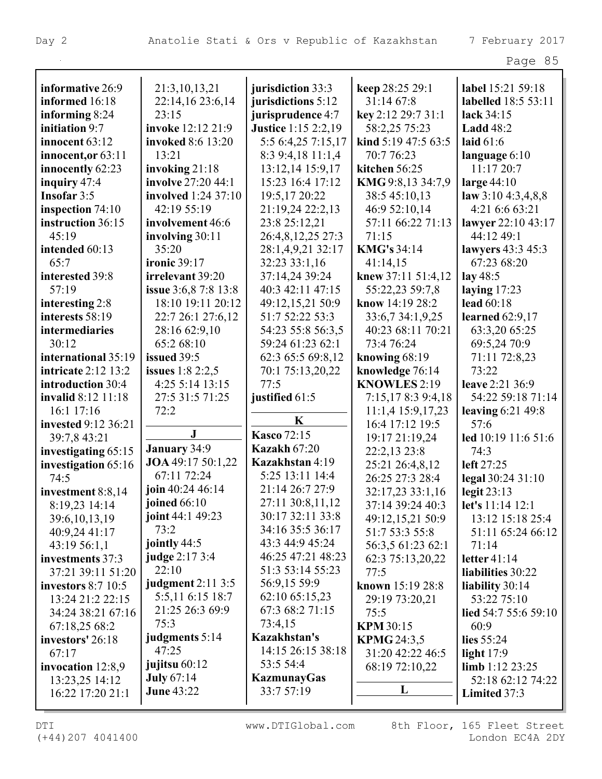| informative 26:9                  | 21:3,10,13,21               | jurisdiction 33:3          | keep 28:25 29:1                    | label 15:21 59:18           |
|-----------------------------------|-----------------------------|----------------------------|------------------------------------|-----------------------------|
| informed 16:18                    | 22:14,16 23:6,14            | jurisdictions 5:12         | 31:14 67:8                         | labelled 18:5 53:11         |
| informing 8:24                    | 23:15                       | jurisprudence 4:7          | key 2:12 29:7 31:1                 | lack 34:15                  |
| initiation 9:7                    | invoke 12:12 21:9           | <b>Justice</b> 1:15 2:2,19 | 58:2,25 75:23                      | <b>Ladd</b> 48:2            |
| innocent $63:12$                  | invoked 8:6 13:20           | 5:5 6:4,25 7:15,17         | kind 5:19 47:5 63:5                | laid $61:6$                 |
| innocent, or 63:11                | 13:21                       | 8:3 9:4,18 11:1,4          | 70:7 76:23                         | language 6:10               |
| innocently 62:23                  | invoking 21:18              | 13:12,14 15:9,17           | kitchen 56:25                      | 11:17 20:7                  |
| inquiry 47:4                      | involve 27:20 44:1          | 15:23 16:4 17:12           | KMG 9:8,13 34:7,9                  | large $44:10$               |
| Insofar 3:5                       | involved 1:24 37:10         | 19:5,17 20:22              | 38:5 45:10,13                      | law 3:10 4:3,4,8,8          |
| inspection $74:10$                | 42:19 55:19                 | 21:19,24 22:2,13           | 46:9 52:10,14                      | 4:21 6:6 63:21              |
| instruction 36:15                 | involvement 46:6            | 23:8 25:12,21              | 57:11 66:22 71:13                  | lawyer 22:10 43:17          |
| 45:19                             | involving $30:11$           | 26:4,8,12,25 27:3          | 71:15                              | 44:12 49:1                  |
| intended 60:13                    | 35:20                       | 28:1,4,9,21 32:17          | <b>KMG's 34:14</b>                 | lawyers 43:3 45:3           |
| 65:7                              | <b>ironic 39:17</b>         | 32:23 33:1,16              | 41:14,15                           | 67:23 68:20                 |
| interested 39:8                   | irrelevant 39:20            | 37:14,24 39:24             | knew 37:11 51:4,12                 | lay 48:5                    |
| 57:19                             | <b>issue</b> 3:6,8 7:8 13:8 | 40:3 42:11 47:15           | 55:22,23 59:7,8                    | laying $17:23$              |
| interesting 2:8                   | 18:10 19:11 20:12           | 49:12,15,21 50:9           | know 14:19 28:2                    | lead 60:18                  |
| interests 58:19                   | 22:7 26:1 27:6,12           | 51:7 52:22 53:3            | 33:6,734:1,9,25                    | learned $62:9,17$           |
| intermediaries                    | 28:16 62:9,10               | 54:23 55:8 56:3,5          | 40:23 68:11 70:21                  | 63:3,20 65:25               |
| 30:12                             | 65:2 68:10                  | 59:24 61:23 62:1           | 73:4 76:24                         | 69:5,24 70:9                |
| international 35:19               | issued 39:5                 | 62:3 65:5 69:8,12          | knowing $68:19$                    | 71:11 72:8,23               |
| <b>intricate 2:12 13:2</b>        | issues $1:82:2,5$           | 70:1 75:13,20,22           | knowledge 76:14                    | 73:22                       |
| introduction 30:4                 | 4:25 5:14 13:15             | 77:5                       | <b>KNOWLES 2:19</b>                | leave 2:21 36:9             |
| invalid 8:12 11:18                | 27:5 31:5 71:25             |                            |                                    | 54:22 59:18 71:14           |
|                                   | 72:2                        | justified 61:5             | 7:15,178:39:4,18                   |                             |
| 16:1 17:16<br>invested 9:12 36:21 |                             | K                          | 11:1,4 15:9,17,23                  | leaving $6:21$ 49:8<br>57:6 |
|                                   | J                           | <b>Kasco</b> 72:15         | 16:4 17:12 19:5                    |                             |
| 39:7,8 43:21                      | January 34:9                | <b>Kazakh 67:20</b>        | 19:17 21:19,24                     | led 10:19 11:6 51:6<br>74:3 |
| investigating 65:15               | JOA 49:17 50:1,22           | Kazakhstan 4:19            | 22:2,13 23:8                       |                             |
| investigation 65:16<br>74:5       | 67:11 72:24                 | 5:25 13:11 14:4            | 25:21 26:4,8,12<br>26:25 27:3 28:4 | left 27:25                  |
|                                   | join 40:24 46:14            | 21:14 26:7 27:9            |                                    | legal 30:24 31:10           |
| investment 8:8,14                 | joined $66:10$              | 27:11 30:8,11,12           | 32:17,23 33:1,16                   | legit $23:13$               |
| 8:19,23 14:14                     | joint 44:1 49:23            | 30:17 32:11 33:8           | 37:14 39:24 40:3                   | let's $11:14$ 12:1          |
| 39:6,10,13,19                     | 73:2                        | 34:16 35:5 36:17           | 49:12,15,21 50:9                   | 13:12 15:18 25:4            |
| 40:9,24 41:17                     | jointly 44:5                | 43:3 44:9 45:24            | 51:7 53:3 55:8                     | 51:11 65:24 66:12           |
| 43:19 56:1,1                      | judge 2:17 3:4              | 46:25 47:21 48:23          | 56:3,5 61:23 62:1                  | 71:14                       |
| investments 37:3                  | 22:10                       | 51:3 53:14 55:23           | 62:3 75:13,20,22                   | letter $41:14$              |
| 37:21 39:11 51:20                 | <b>judgment</b> 2:11 3:5    | 56:9,15 59:9               | 77:5                               | liabilities 30:22           |
| <b>investors</b> 8:7 10:5         | 5:5,11 6:15 18:7            | 62:10 65:15,23             | known 15:19 28:8                   | liability 30:14             |
| 13:24 21:2 22:15                  | 21:25 26:3 69:9             | 67:3 68:2 71:15            | 29:19 73:20,21                     | 53:22 75:10                 |
| 34:24 38:21 67:16                 | 75:3                        | 73:4,15                    | 75:5                               | lied 54:7 55:6 59:10        |
| 67:18,25 68:2                     | judgments 5:14              | Kazakhstan's               | <b>KPM 30:15</b>                   | 60:9                        |
| investors' 26:18                  | 47:25                       | 14:15 26:15 38:18          | <b>KPMG 24:3,5</b>                 | lies $55:24$                |
| 67:17                             | jujitsu 60:12               | 53:5 54:4                  | 31:20 42:22 46:5                   | light $17:9$                |
| invocation $12:8,9$               | <b>July 67:14</b>           | KazmunayGas                | 68:19 72:10,22                     | limb $1:12\,23:25$          |
| 13:23,25 14:12                    | <b>June 43:22</b>           | 33:7 57:19                 | L                                  | 52:18 62:12 74:22           |
| 16:22 17:20 21:1                  |                             |                            |                                    | Limited 37:3                |

(+44)207 4041400 London EC4A 2DY DTI WWW.DTIGlobal.com 8th Floor, 165 Fleet Street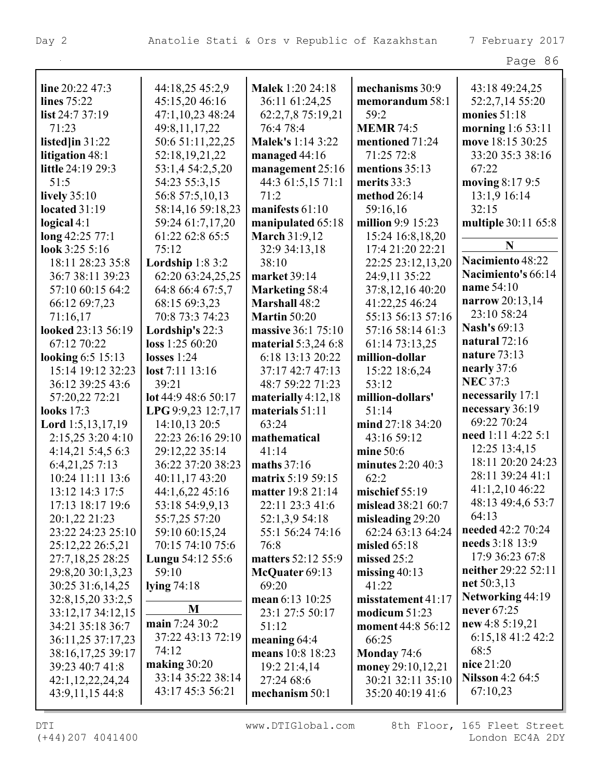| aae |  |
|-----|--|
|-----|--|

| line 20:22 47:3            | 44:18,25 45:2,9             | <b>Malek 1:20 24:18</b>  | mechanisms 30:9    | 43:18 49:24,25          |
|----------------------------|-----------------------------|--------------------------|--------------------|-------------------------|
| lines 75:22                | 45:15,20 46:16              | 36:11 61:24,25           | memorandum 58:1    | 52:2,7,14 55:20         |
| list 24:7 37:19            | 47:1,10,23 48:24            | 62:2,7,8 75:19,21        | 59:2               | monies 51:18            |
| 71:23                      | 49:8,11,17,22               | 76:4 78:4                | <b>MEMR 74:5</b>   | morning 1:6 53:11       |
| listed $\lim 31:22$        | 50:6 51:11,22,25            | <b>Malek's 1:14 3:22</b> | mentioned 71:24    | move 18:15 30:25        |
| litigation 48:1            | 52:18,19,21,22              | managed $44:16$          | 71:25 72:8         | 33:20 35:3 38:16        |
| little 24:19 29:3          | 53:1,4 54:2,5,20            | management 25:16         | mentions 35:13     | 67:22                   |
| 51:5                       | 54:23 55:3,15               | 44:3 61:5,15 71:1        | merits $33:3$      | moving 8:17 9:5         |
| lively $35:10$             | 56:8 57:5,10,13             | 71:2                     | method 26:14       | 13:1,9 16:14            |
| located $31:19$            | 58:14,16 59:18,23           | manifests 61:10          | 59:16,16           | 32:15                   |
| logical $4:1$              | 59:24 61:7,17,20            | manipulated 65:18        | million 9:9 15:23  | multiple 30:11 65:8     |
| long 42:25 77:1            | 61:22 62:8 65:5             | <b>March 31:9,12</b>     | 15:24 16:8,18,20   |                         |
| look $3:255:16$            | 75:12                       | 32:9 34:13,18            | 17:4 21:20 22:21   | N                       |
| 18:11 28:23 35:8           | Lordship $1:83:2$           | 38:10                    | 22:25 23:12,13,20  | Nacimiento 48:22        |
| 36:7 38:11 39:23           | 62:20 63:24,25,25           | market 39:14             | 24:9,11 35:22      | Nacimiento's 66:14      |
| 57:10 60:15 64:2           | 64:8 66:4 67:5,7            | <b>Marketing 58:4</b>    | 37:8,12,16 40:20   | name 54:10              |
| 66:12 69:7,23              | 68:15 69:3,23               | Marshall 48:2            | 41:22,25 46:24     | narrow 20:13,14         |
| 71:16,17                   | 70:8 73:3 74:23             | <b>Martin 50:20</b>      | 55:13 56:13 57:16  | 23:10 58:24             |
| looked 23:13 56:19         | Lordship's 22:3             | massive 36:1 75:10       | 57:16 58:14 61:3   | Nash's 69:13            |
| 67:12 70:22                | loss 1:25 60:20             | material 5:3,24 6:8      | 61:14 73:13,25     | natural $72:16$         |
| looking 6:5 15:13          | losses $1:24$               | 6:18 13:13 20:22         | million-dollar     | nature 73:13            |
| 15:14 19:12 32:23          | $\text{lost } 7:11 \ 13:16$ | 37:17 42:7 47:13         | 15:22 18:6,24      | nearly 37:6             |
| 36:12 39:25 43:6           | 39:21                       | 48:7 59:22 71:23         | 53:12              | <b>NEC 37:3</b>         |
| 57:20,22 72:21             | lot 44:9 48:6 50:17         | materially $4:12,18$     | million-dollars'   | necessarily 17:1        |
| looks 17:3                 | LPG 9:9,23 12:7,17          | materials 51:11          | 51:14              | necessary 36:19         |
| <b>Lord</b> $1:5,13,17,19$ | 14:10,13 20:5               | 63:24                    | mind 27:18 34:20   | 69:22 70:24             |
| 2:15,25 3:20 4:10          | 22:23 26:16 29:10           | mathematical             | 43:16 59:12        | need 1:11 4:22 5:1      |
| 4:14,21 5:4,5 6:3          | 29:12,22 35:14              | 41:14                    | mine 50:6          | 12:25 13:4,15           |
| 6:4,21,25 7:13             | 36:22 37:20 38:23           | maths $37:16$            | minutes 2:20 40:3  | 18:11 20:20 24:23       |
| 10:24 11:11 13:6           | 40:11,17 43:20              | matrix 5:19 59:15        | 62:2               | 28:11 39:24 41:1        |
| 13:12 14:3 17:5            | 44:1,6,22 45:16             | matter 19:8 21:14        | mischief 55:19     | 41:1,2,10 46:22         |
| 17:13 18:17 19:6           | 53:18 54:9,9,13             | 22:11 23:3 41:6          | mislead 38:21 60:7 | 48:13 49:4,6 53:7       |
| 20:1,22 21:23              | 55:7,25 57:20               | 52:1,3,9 54:18           | misleading 29:20   | 64:13                   |
| 23:22 24:23 25:10          | 59:10 60:15,24              | 55:1 56:24 74:16         | 62:24 63:13 64:24  | needed 42:2 70:24       |
| 25:12,22 26:5,21           | 70:15 74:10 75:6            | 76:8                     | misled $65:18$     | needs 3:18 13:9         |
| 27:7,18,25 28:25           | <b>Lungu</b> $54:12$ $55:6$ | matters 52:12 55:9       | missed $25:2$      | 17:9 36:23 67:8         |
| 29:8,20 30:1,3,23          | 59:10                       | McQuater 69:13           | missing $40:13$    | neither 29:22 52:11     |
| 30:25 31:6,14,25           | lying $74:18$               | 69:20                    | 41:22              | net $50:3,13$           |
| 32:8,15,20 33:2,5          |                             | mean 6:13 10:25          | misstatement 41:17 | Networking 44:19        |
| 33:12,17 34:12,15          | M                           | 23:1 27:5 50:17          | modicum $51:23$    | never 67:25             |
| 34:21 35:18 36:7           | main 7:24 30:2              | 51:12                    | moment 44:8 56:12  | new 4:8 $5:19,21$       |
| 36:11,25 37:17,23          | 37:22 43:13 72:19           | meaning $64:4$           | 66:25              | 6:15,18 41:2 42:2       |
| 38:16,17,25 39:17          | 74:12                       | means 10:8 18:23         | Monday 74:6        | 68:5                    |
| 39:23 40:7 41:8            | making $30:20$              | 19:2 21:4,14             | money 29:10,12,21  | nice 21:20              |
| 42:1,12,22,24,24           | 33:14 35:22 38:14           | 27:24 68:6               | 30:21 32:11 35:10  | <b>Nilsson</b> 4:2 64:5 |
| 43:9,11,15 44:8            | 43:17 45:3 56:21            | mechanism 50:1           | 35:20 40:19 41:6   | 67:10,23                |
|                            |                             |                          |                    |                         |

(+44)207 4041400 London EC4A 2DY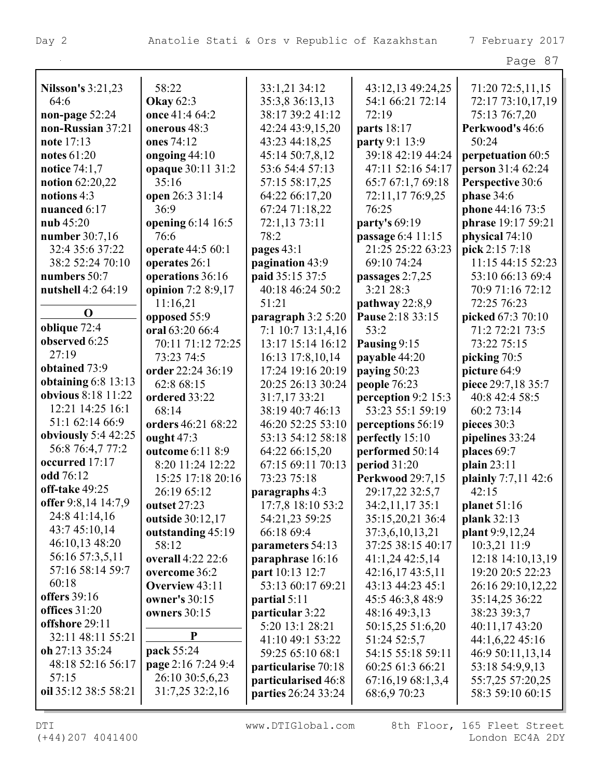|                                     |                                |                                     |                                     | Page 87                                |
|-------------------------------------|--------------------------------|-------------------------------------|-------------------------------------|----------------------------------------|
|                                     |                                |                                     |                                     |                                        |
| <b>Nilsson's 3:21,23</b>            | 58:22                          | 33:1,21 34:12                       | 43:12,13 49:24,25                   | 71:20 72:5,11,15                       |
| 64:6                                | <b>Okay</b> 62:3               | 35:3,8 36:13,13<br>38:17 39:2 41:12 | 54:1 66:21 72:14<br>72:19           | 72:17 73:10,17,19                      |
| non-page 52:24<br>non-Russian 37:21 | once 41:4 64:2<br>onerous 48:3 |                                     |                                     | 75:13 76:7,20                          |
| note $17:13$                        | ones 74:12                     | 42:24 43:9,15,20                    | parts 18:17                         | Perkwood's 46:6<br>50:24               |
| notes $61:20$                       | ongoing 44:10                  | 43:23 44:18,25<br>45:14 50:7,8,12   | party 9:1 13:9<br>39:18 42:19 44:24 |                                        |
| <b>notice</b> 74:1,7                | opaque 30:11 31:2              | 53:6 54:4 57:13                     | 47:11 52:16 54:17                   | perpetuation 60:5<br>person 31:4 62:24 |
| notion 62:20,22                     | 35:16                          | 57:15 58:17,25                      | 65:7 67:1,7 69:18                   | Perspective 30:6                       |
| notions 4:3                         | open 26:3 31:14                | 64:22 66:17,20                      | 72:11,17 76:9,25                    | <b>phase</b> 34:6                      |
| nuanced 6:17                        | 36:9                           | 67:24 71:18,22                      | 76:25                               | phone 44:16 73:5                       |
| nub $45:20$                         | opening 6:14 16:5              | 72:1,13 73:11                       | party's 69:19                       | phrase 19:17 59:21                     |
| number 30:7,16                      | 76:6                           | 78:2                                | passage 6:4 11:15                   | physical 74:10                         |
| 32:4 35:6 37:22                     | operate 44:5 60:1              | pages $43:1$                        | 21:25 25:22 63:23                   | pick 2:15 7:18                         |
| 38:2 52:24 70:10                    | operates 26:1                  | pagination 43:9                     | 69:10 74:24                         | 11:15 44:15 52:23                      |
| numbers 50:7                        | operations 36:16               | paid 35:15 37:5                     | passages $2:7,25$                   | 53:10 66:13 69:4                       |
| nutshell 4:2 64:19                  | opinion 7:2 8:9,17             | 40:18 46:24 50:2                    | 3:21 28:3                           | 70:9 71:16 72:12                       |
|                                     | 11:16,21                       | 51:21                               | pathway $22:8,9$                    | 72:25 76:23                            |
| $\mathbf 0$                         | opposed 55:9                   | paragraph $3:25:20$                 | Pause 2:18 33:15                    | picked 67:3 70:10                      |
| oblique 72:4                        | oral 63:20 66:4                | 7:1 10:7 13:1,4,16                  | 53:2                                | 71:2 72:21 73:5                        |
| observed 6:25                       | 70:11 71:12 72:25              | 13:17 15:14 16:12                   | Pausing 9:15                        | 73:22 75:15                            |
| 27:19                               | 73:23 74:5                     | 16:13 17:8,10,14                    | payable 44:20                       | picking 70:5                           |
| obtained 73:9                       | order 22:24 36:19              | 17:24 19:16 20:19                   | paying 50:23                        | picture 64:9                           |
| obtaining $6:8$ 13:13               | 62:8 68:15                     | 20:25 26:13 30:24                   | people 76:23                        | piece 29:7,18 35:7                     |
| obvious 8:18 11:22                  | ordered 33:22                  | 31:7,17 33:21                       | perception 9:2 15:3                 | 40:8 42:4 58:5                         |
| 12:21 14:25 16:1                    | 68:14                          | 38:19 40:7 46:13                    | 53:23 55:1 59:19                    | 60:2 73:14                             |
| 51:1 62:14 66:9                     | orders 46:21 68:22             | 46:20 52:25 53:10                   | perceptions 56:19                   | pieces 30:3                            |
| obviously $5:442:25$                | ought $47:3$                   | 53:13 54:12 58:18                   | perfectly 15:10                     | pipelines 33:24                        |
| 56:8 76:4,7 77:2                    | outcome 6:11 8:9               | 64:22 66:15,20                      | performed 50:14                     | places 69:7                            |
| occurred 17:17                      | 8:20 11:24 12:22               | 67:15 69:11 70:13                   | period 31:20                        | plain 23:11                            |
| odd 76:12                           | 15:25 17:18 20:16              | 73:23 75:18                         | <b>Perkwood 29:7,15</b>             | plainly 7:7,11 42:6                    |
| off-take 49:25                      | 26:19 65:12                    | paragraphs 4:3                      | 29:17,22 32:5,7                     | 42:15                                  |
| offer 9:8,14 14:7,9                 | outset 27:23                   | 17:7,8 18:10 53:2                   | 34:2,11,17 35:1                     | planet $51:16$                         |
| 24:8 41:14,16                       | outside 30:12,17               | 54:21,23 59:25                      | 35:15,20,21 36:4                    | plank 32:13                            |
| 43:7 45:10,14                       | outstanding 45:19              | 66:18 69:4                          | 37:3,6,10,13,21                     | plant 9:9,12,24                        |
| 46:10,13 48:20                      | 58:12                          | parameters 54:13                    | 37:25 38:15 40:17                   | 10:3,21 11:9                           |
| 56:16 57:3,5,11                     | overall 4:22 22:6              | paraphrase 16:16                    | $41:1,24$ 42:5,14                   | 12:18 14:10,13,19                      |
| 57:16 58:14 59:7                    | overcome 36:2                  | part 10:13 12:7                     | 42:16,17 43:5,11                    | 19:20 20:5 22:23                       |
| 60:18                               | Overview 43:11                 | 53:13 60:17 69:21                   | 43:13 44:23 45:1                    | 26:16 29:10,12,22                      |
| <b>offers</b> 39:16                 | <b>owner's 30:15</b>           | partial $5:11$                      | 45:5 46:3,8 48:9                    | 35:14,25 36:22                         |
| offices $31:20$                     | owners $30:15$                 | particular 3:22                     | 48:16 49:3,13                       | 38:23 39:3,7                           |
| offshore 29:11                      |                                | 5:20 13:1 28:21                     | 50:15,25 51:6,20                    | 40:11,17 43:20                         |
| 32:11 48:11 55:21                   | P                              | 41:10 49:1 53:22                    | 51:24 52:5,7                        | 44:1,6,22 45:16                        |
| oh 27:13 35:24                      | pack 55:24                     | 59:25 65:10 68:1                    | 54:15 55:18 59:11                   | 46:9 50:11,13,14                       |
| 48:18 52:16 56:17                   | page 2:16 7:24 9:4             | particularise 70:18                 | 60:25 61:3 66:21                    | 53:18 54:9,9,13                        |
| 57:15                               | 26:10 30:5,6,23                | particularised 46:8                 | 67:16,19 68:1,3,4                   | 55:7,25 57:20,25                       |
| oil 35:12 38:5 58:21                | 31:7,25 32:2,16                | parties 26:24 33:24                 | 68:6,9 70:23                        | 58:3 59:10 60:15                       |
|                                     |                                |                                     |                                     |                                        |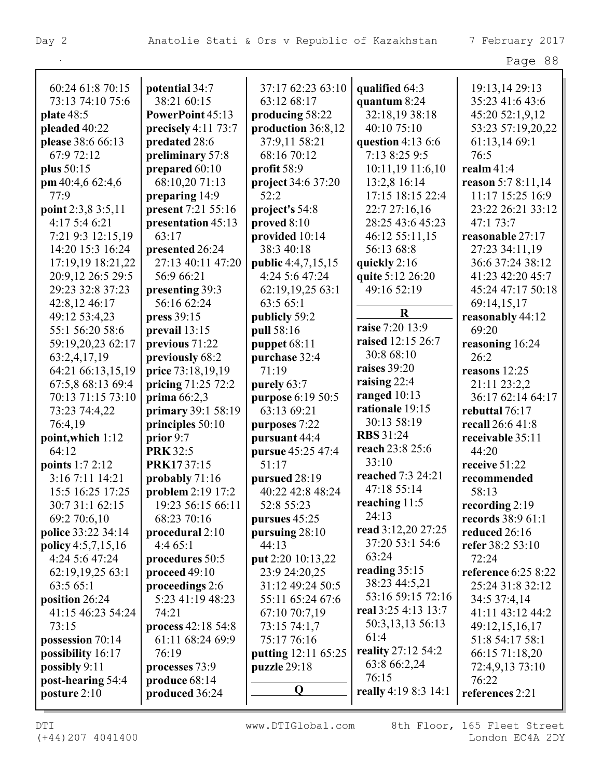|                    |                        |                           |                           | Page 88                    |
|--------------------|------------------------|---------------------------|---------------------------|----------------------------|
|                    |                        |                           |                           |                            |
| 60:24 61:8 70:15   | potential 34:7         | 37:17 62:23 63:10         | qualified 64:3            | 19:13,14 29:13             |
| 73:13 74:10 75:6   | 38:21 60:15            | 63:12 68:17               | quantum 8:24              | 35:23 41:6 43:6            |
| plate 48:5         | PowerPoint 45:13       | producing 58:22           | 32:18,19 38:18            | 45:20 52:1,9,12            |
| pleaded 40:22      | precisely $4:11\,73:7$ | production 36:8,12        | 40:10 75:10               | 53:23 57:19,20,22          |
| please 38:6 66:13  | predated 28:6          | 37:9,11 58:21             | question $4:136:6$        | 61:13,14 69:1              |
| 67:9 72:12         | preliminary 57:8       | 68:16 70:12               | 7:13 8:25 9:5             | 76:5                       |
| plus 50:15         | prepared 60:10         | profit 58:9               | 10:11,19 11:6,10          | realm $41:4$               |
| pm $40:4,662:4,6$  | 68:10,20 71:13         | project 34:6 37:20        | 13:2,8 16:14              | reason 5:7 8:11,14         |
| 77:9               | preparing 14:9         | 52:2                      | 17:15 18:15 22:4          | 11:17 15:25 16:9           |
| point 2:3,8 3:5,11 | present 7:21 55:16     | project's 54:8            | 22:7 27:16,16             | 23:22 26:21 33:12          |
| 4:17 5:4 6:21      | presentation 45:13     | proved 8:10               | 28:25 43:6 45:23          | 47:1 73:7                  |
| 7:21 9:3 12:15,19  | 63:17                  | provided 10:14            | 46:12 55:11,15            | reasonable 27:17           |
| 14:20 15:3 16:24   | presented 26:24        | 38:3 40:18                | 56:13 68:8                | 27:23 34:11,19             |
| 17:19,19 18:21,22  | 27:13 40:11 47:20      | <b>public</b> 4:4,7,15,15 | quickly 2:16              | 36:6 37:24 38:12           |
| 20:9,12 26:5 29:5  | 56:9 66:21             | 4:24 5:6 47:24            | quite 5:12 26:20          | 41:23 42:20 45:7           |
| 29:23 32:8 37:23   | presenting 39:3        | 62:19,19,25 63:1          | 49:16 52:19               | 45:24 47:17 50:18          |
| 42:8,12 46:17      | 56:16 62:24            | 63:5 65:1                 |                           | 69:14,15,17                |
| 49:12 53:4,23      | press 39:15            | publicly 59:2             | $\bf R$                   | reasonably 44:12           |
| 55:1 56:20 58:6    | prevail 13:15          | pull 58:16                | raise 7:20 13:9           | 69:20                      |
| 59:19,20,23 62:17  | previous 71:22         | puppet 68:11              | raised 12:15 26:7         | reasoning 16:24            |
| 63:2,4,17,19       | previously 68:2        | purchase 32:4             | 30:8 68:10                | 26:2                       |
| 64:21 66:13,15,19  | price 73:18,19,19      | 71:19                     | raises 39:20              | reasons $12:25$            |
| 67:5,8 68:13 69:4  | pricing 71:25 72:2     | purely 63:7               | raising $22:4$            | 21:11 23:2,2               |
| 70:13 71:15 73:10  | prima $66:2,3$         | purpose 6:19 50:5         | ranged 10:13              | 36:17 62:14 64:17          |
| 73:23 74:4,22      | primary 39:1 58:19     | 63:13 69:21               | rationale 19:15           | rebuttal 76:17             |
| 76:4,19            | principles 50:10       | purposes 7:22             | 30:13 58:19               | recall 26:6 41:8           |
| point, which 1:12  | prior $9:7$            | pursuant 44:4             | <b>RBS</b> 31:24          | receivable 35:11           |
| 64:12              | <b>PRK 32:5</b>        | pursue 45:25 47:4         | reach 23:8 25:6           | 44:20                      |
| points 1:7 2:12    | PRK1737:15             | 51:17                     | 33:10                     | receive 51:22              |
| 3:16 7:11 14:21    | probably $71:16$       | pursued 28:19             | reached 7:3 24:21         | recommended                |
| 15:5 16:25 17:25   | problem 2:19 17:2      | 40:22 42:8 48:24          | 47:18 55:14               | 58:13                      |
| 30:7 31:1 62:15    | 19:23 56:15 66:11      | 52:8 55:23                | reaching $11:5$           | recording $2:19$           |
| 69:2 70:6,10       | 68:23 70:16            | pursues 45:25             | 24:13                     | records 38:9 61:1          |
| police 33:22 34:14 | procedural 2:10        | pursuing 28:10            | read 3:12,20 27:25        | reduced 26:16              |
| policy 4:5,7,15,16 | 4:465:1                | 44:13                     | 37:20 53:1 54:6           | refer 38:2 53:10           |
| 4:24 5:6 47:24     | procedures 50:5        | put 2:20 10:13,22         | 63:24                     | 72:24                      |
| 62:19,19,25 63:1   | proceed 49:10          | 23:9 24:20,25             | reading $35:15$           | <b>reference</b> 6:25 8:22 |
| 63:5 65:1          | proceedings 2:6        | 31:12 49:24 50:5          | 38:23 44:5,21             | 25:24 31:8 32:12           |
| position 26:24     | 5:23 41:19 48:23       | 55:11 65:24 67:6          | 53:16 59:15 72:16         | 34:5 37:4,14               |
| 41:15 46:23 54:24  | 74:21                  | 67:10 70:7,19             | real 3:25 4:13 13:7       | 41:11 43:12 44:2           |
| 73:15              | process 42:18 54:8     | 73:15 74:1,7              | 50:3,13,13 56:13          | 49:12,15,16,17             |
| possession 70:14   | 61:11 68:24 69:9       | 75:17 76:16               | 61:4                      | 51:8 54:17 58:1            |
| possibility 16:17  | 76:19                  | putting 12:11 65:25       | <b>reality</b> 27:12 54:2 | 66:15 71:18,20             |
| possibly 9:11      | processes 73:9         | puzzle 29:18              | 63:8 66:2,24              | 72:4,9,13 73:10            |
| post-hearing 54:4  | produce 68:14          |                           | 76:15                     | 76:22                      |
| posture $2:10$     | produced 36:24         | $\mathbf 0$               | really 4:19 8:3 14:1      | references 2:21            |
|                    |                        |                           |                           |                            |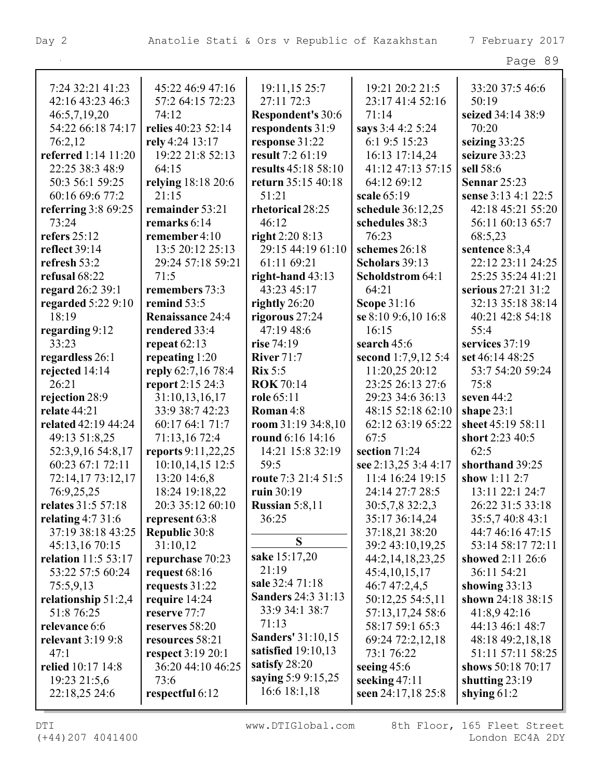| 19:21 20:2 21:5<br>33:20 37:5 46:6<br>7:24 32:21 41:23<br>45:22 46:9 47:16<br>19:11,15 25:7<br>27:11 72:3<br>42:16 43:23 46:3<br>57:2 64:15 72:23<br>23:17 41:4 52:16<br>50:19<br>46:5,7,19,20<br>74:12<br><b>Respondent's 30:6</b><br>71:14<br>seized 34:14 38:9<br>54:22 66:18 74:17<br>relies 40:23 52:14<br>respondents 31:9<br>says 3:4 4:2 5:24<br>70:20<br>76:2,12<br>rely 4:24 13:17<br>response 31:22<br>6:1 9:5 15:23<br>seizing $33:25$<br>result 7:2 61:19<br><b>referred</b> 1:14 11:20<br>19:22 21:8 52:13<br>16:13 17:14,24<br>seizure 33:23<br>22:25 38:3 48:9<br>41:12 47:13 57:15<br>64:15<br>results 45:18 58:10<br>sell 58:6<br>relying 18:18 20:6<br>return 35:15 40:18<br>64:12 69:12<br>50:3 56:1 59:25<br><b>Sennar 25:23</b><br>60:16 69:6 77:2<br>21:15<br>51:21<br>scale 65:19<br>sense 3:13 4:1 22:5<br>referring $3:869:25$<br>remainder 53:21<br>rhetorical 28:25<br>schedule 36:12,25<br>42:18 45:21 55:20<br>73:24<br>remarks 6:14<br>46:12<br>schedules 38:3<br>56:11 60:13 65:7<br>refers 25:12<br>remember 4:10<br>right $2:208:13$<br>76:23<br>68:5,23<br>29:15 44:19 61:10<br>reflect 39:14<br>13:5 20:12 25:13<br>schemes 26:18<br>sentence 8:3,4<br>refresh 53:2<br>22:12 23:11 24:25<br>29:24 57:18 59:21<br>61:11 69:21<br>Scholars 39:13<br>refusal 68:22<br>71:5<br>right-hand $43:13$<br>Scholdstrom 64:1<br>25:25 35:24 41:21<br>regard 26:2 39:1<br>remembers 73:3<br>43:23 45:17<br>64:21<br>serious 27:21 31:2<br>rightly 26:20<br>32:13 35:18 38:14<br>regarded 5:22 9:10<br>remind 53:5<br><b>Scope 31:16</b><br>18:19<br>rigorous 27:24<br>se 8:10 9:6,10 16:8<br><b>Renaissance 24:4</b><br>40:21 42:8 54:18<br>47:19 48:6<br>regarding 9:12<br>rendered 33:4<br>16:15<br>55:4<br>services 37:19<br>33:23<br>repeat $62:13$<br><b>rise</b> 74:19<br>search 45:6<br>regardless 26:1<br>repeating 1:20<br><b>River</b> 71:7<br>second $1:7,9,12,5:4$<br>set 46:14 48:25<br>reply 62:7,16 78:4<br>11:20,25 20:12<br>rejected 14:14<br>$\mathbf{R}$ ix 5:5<br>53:7 54:20 59:24<br>26:21<br>report 2:15 24:3<br>23:25 26:13 27:6<br>75:8<br><b>ROK</b> 70:14<br>rejection 28:9<br>31:10,13,16,17<br>role 65:11<br>29:23 34:6 36:13<br>seven 44:2<br>relate 44:21<br>Roman 4:8<br>33:9 38:7 42:23<br>48:15 52:18 62:10<br>shape $23:1$<br>related 42:19 44:24<br>60:17 64:1 71:7<br>room $31:1934:8,10$<br>62:12 63:19 65:22<br>sheet 45:19 58:11<br>49:13 51:8,25<br>round 6:16 14:16<br>67:5<br>71:13,16 72:4<br>short 2:23 40:5<br>reports 9:11,22,25<br>section 71:24<br>62:5<br>52:3,9,16 54:8,17<br>14:21 15:8 32:19<br>60:23 67:1 72:11<br>10:10,14,15 12:5<br>see 2:13,25 3:4 4:17<br>59:5<br>shorthand 39:25<br>72:14,17 73:12,17<br>route 7:3 21:4 51:5<br>13:20 14:6,8<br>11:4 16:24 19:15<br>show $1:11\,2:7$<br>18:24 19:18,22<br>ruin 30:19<br>13:11 22:1 24:7<br>76:9,25,25<br>24:14 27:7 28:5<br>26:22 31:5 33:18<br>relates $31:5, 57:18$<br>20:3 35:12 60:10<br>30:5,7,8 32:2,3<br>Russian $5:8,11$<br>relating $4:731:6$<br>36:25<br>35:17 36:14,24<br>35:5,7 40:8 43:1<br>represent 63:8<br>37:19 38:18 43:25<br><b>Republic 30:8</b><br>44:7 46:16 47:15<br>37:18,21 38:20<br>S<br>45:13,16 70:15<br>31:10,12<br>39:2 43:10,19,25<br>53:14 58:17 72:11<br>sake 15:17,20<br>relation 11:5 53:17<br>showed 2:11 26:6<br>repurchase 70:23<br>44:2, 14, 18, 23, 25<br>21:19<br>53:22 57:5 60:24<br>request 68:16<br>45:4,10,15,17<br>36:11 54:21<br>sale 32:4 71:18<br>requests 31:22<br>46:7 47:2,4,5<br>showing $33:13$<br>75:5,9,13<br><b>Sanders 24:3 31:13</b><br>relationship 51:2,4<br>shown 24:18 38:15<br>require 14:24<br>50:12,25 54:5,11<br>33:9 34:1 38:7<br>51:8 76:25<br>reserve 77:7<br>57:13,17,24 58:6<br>41:8,9 42:16<br>71:13<br>58:17 59:1 65:3<br>44:13 46:1 48:7<br>relevance 6:6<br>reserves 58:20<br><b>Sanders' 31:10,15</b><br>relevant 3:19 9:8<br>resources 58:21<br>69:24 72:2,12,18<br>48:18 49:2,18,18<br>satisfied $19:10,13$<br>47:1<br><b>respect</b> 3:19 20:1<br>73:1 76:22<br>51:11 57:11 58:25<br>satisfy 28:20<br>relied 10:17 14:8<br>36:20 44:10 46:25<br>shows 50:18 70:17<br>seeing $45:6$<br>saying 5:9 9:15,25<br>73:6<br>seeking 47:11<br>19:23 21:5,6<br>shutting $23:19$<br>16:6 18:1,18<br>respectful 6:12<br>seen 24:17,18 25:8<br>shying $61:2$<br>22:18,25 24:6 |  |  |  |
|-------------------------------------------------------------------------------------------------------------------------------------------------------------------------------------------------------------------------------------------------------------------------------------------------------------------------------------------------------------------------------------------------------------------------------------------------------------------------------------------------------------------------------------------------------------------------------------------------------------------------------------------------------------------------------------------------------------------------------------------------------------------------------------------------------------------------------------------------------------------------------------------------------------------------------------------------------------------------------------------------------------------------------------------------------------------------------------------------------------------------------------------------------------------------------------------------------------------------------------------------------------------------------------------------------------------------------------------------------------------------------------------------------------------------------------------------------------------------------------------------------------------------------------------------------------------------------------------------------------------------------------------------------------------------------------------------------------------------------------------------------------------------------------------------------------------------------------------------------------------------------------------------------------------------------------------------------------------------------------------------------------------------------------------------------------------------------------------------------------------------------------------------------------------------------------------------------------------------------------------------------------------------------------------------------------------------------------------------------------------------------------------------------------------------------------------------------------------------------------------------------------------------------------------------------------------------------------------------------------------------------------------------------------------------------------------------------------------------------------------------------------------------------------------------------------------------------------------------------------------------------------------------------------------------------------------------------------------------------------------------------------------------------------------------------------------------------------------------------------------------------------------------------------------------------------------------------------------------------------------------------------------------------------------------------------------------------------------------------------------------------------------------------------------------------------------------------------------------------------------------------------------------------------------------------------------------------------------------------------------------------------------------------------------------------------------------------------------------------------------------------------------------------------------------------------------------------------------------------------------------------------------------------------------------------------------------------------------------------------------------------------------------------------------------------------------------------------------------------------------------------------------------------------------------------------------------------------------------------------------------------------------------------------|--|--|--|
|                                                                                                                                                                                                                                                                                                                                                                                                                                                                                                                                                                                                                                                                                                                                                                                                                                                                                                                                                                                                                                                                                                                                                                                                                                                                                                                                                                                                                                                                                                                                                                                                                                                                                                                                                                                                                                                                                                                                                                                                                                                                                                                                                                                                                                                                                                                                                                                                                                                                                                                                                                                                                                                                                                                                                                                                                                                                                                                                                                                                                                                                                                                                                                                                                                                                                                                                                                                                                                                                                                                                                                                                                                                                                                                                                                                                                                                                                                                                                                                                                                                                                                                                                                                                                                                                                     |  |  |  |
|                                                                                                                                                                                                                                                                                                                                                                                                                                                                                                                                                                                                                                                                                                                                                                                                                                                                                                                                                                                                                                                                                                                                                                                                                                                                                                                                                                                                                                                                                                                                                                                                                                                                                                                                                                                                                                                                                                                                                                                                                                                                                                                                                                                                                                                                                                                                                                                                                                                                                                                                                                                                                                                                                                                                                                                                                                                                                                                                                                                                                                                                                                                                                                                                                                                                                                                                                                                                                                                                                                                                                                                                                                                                                                                                                                                                                                                                                                                                                                                                                                                                                                                                                                                                                                                                                     |  |  |  |
|                                                                                                                                                                                                                                                                                                                                                                                                                                                                                                                                                                                                                                                                                                                                                                                                                                                                                                                                                                                                                                                                                                                                                                                                                                                                                                                                                                                                                                                                                                                                                                                                                                                                                                                                                                                                                                                                                                                                                                                                                                                                                                                                                                                                                                                                                                                                                                                                                                                                                                                                                                                                                                                                                                                                                                                                                                                                                                                                                                                                                                                                                                                                                                                                                                                                                                                                                                                                                                                                                                                                                                                                                                                                                                                                                                                                                                                                                                                                                                                                                                                                                                                                                                                                                                                                                     |  |  |  |
|                                                                                                                                                                                                                                                                                                                                                                                                                                                                                                                                                                                                                                                                                                                                                                                                                                                                                                                                                                                                                                                                                                                                                                                                                                                                                                                                                                                                                                                                                                                                                                                                                                                                                                                                                                                                                                                                                                                                                                                                                                                                                                                                                                                                                                                                                                                                                                                                                                                                                                                                                                                                                                                                                                                                                                                                                                                                                                                                                                                                                                                                                                                                                                                                                                                                                                                                                                                                                                                                                                                                                                                                                                                                                                                                                                                                                                                                                                                                                                                                                                                                                                                                                                                                                                                                                     |  |  |  |
|                                                                                                                                                                                                                                                                                                                                                                                                                                                                                                                                                                                                                                                                                                                                                                                                                                                                                                                                                                                                                                                                                                                                                                                                                                                                                                                                                                                                                                                                                                                                                                                                                                                                                                                                                                                                                                                                                                                                                                                                                                                                                                                                                                                                                                                                                                                                                                                                                                                                                                                                                                                                                                                                                                                                                                                                                                                                                                                                                                                                                                                                                                                                                                                                                                                                                                                                                                                                                                                                                                                                                                                                                                                                                                                                                                                                                                                                                                                                                                                                                                                                                                                                                                                                                                                                                     |  |  |  |
|                                                                                                                                                                                                                                                                                                                                                                                                                                                                                                                                                                                                                                                                                                                                                                                                                                                                                                                                                                                                                                                                                                                                                                                                                                                                                                                                                                                                                                                                                                                                                                                                                                                                                                                                                                                                                                                                                                                                                                                                                                                                                                                                                                                                                                                                                                                                                                                                                                                                                                                                                                                                                                                                                                                                                                                                                                                                                                                                                                                                                                                                                                                                                                                                                                                                                                                                                                                                                                                                                                                                                                                                                                                                                                                                                                                                                                                                                                                                                                                                                                                                                                                                                                                                                                                                                     |  |  |  |
|                                                                                                                                                                                                                                                                                                                                                                                                                                                                                                                                                                                                                                                                                                                                                                                                                                                                                                                                                                                                                                                                                                                                                                                                                                                                                                                                                                                                                                                                                                                                                                                                                                                                                                                                                                                                                                                                                                                                                                                                                                                                                                                                                                                                                                                                                                                                                                                                                                                                                                                                                                                                                                                                                                                                                                                                                                                                                                                                                                                                                                                                                                                                                                                                                                                                                                                                                                                                                                                                                                                                                                                                                                                                                                                                                                                                                                                                                                                                                                                                                                                                                                                                                                                                                                                                                     |  |  |  |
|                                                                                                                                                                                                                                                                                                                                                                                                                                                                                                                                                                                                                                                                                                                                                                                                                                                                                                                                                                                                                                                                                                                                                                                                                                                                                                                                                                                                                                                                                                                                                                                                                                                                                                                                                                                                                                                                                                                                                                                                                                                                                                                                                                                                                                                                                                                                                                                                                                                                                                                                                                                                                                                                                                                                                                                                                                                                                                                                                                                                                                                                                                                                                                                                                                                                                                                                                                                                                                                                                                                                                                                                                                                                                                                                                                                                                                                                                                                                                                                                                                                                                                                                                                                                                                                                                     |  |  |  |
|                                                                                                                                                                                                                                                                                                                                                                                                                                                                                                                                                                                                                                                                                                                                                                                                                                                                                                                                                                                                                                                                                                                                                                                                                                                                                                                                                                                                                                                                                                                                                                                                                                                                                                                                                                                                                                                                                                                                                                                                                                                                                                                                                                                                                                                                                                                                                                                                                                                                                                                                                                                                                                                                                                                                                                                                                                                                                                                                                                                                                                                                                                                                                                                                                                                                                                                                                                                                                                                                                                                                                                                                                                                                                                                                                                                                                                                                                                                                                                                                                                                                                                                                                                                                                                                                                     |  |  |  |
|                                                                                                                                                                                                                                                                                                                                                                                                                                                                                                                                                                                                                                                                                                                                                                                                                                                                                                                                                                                                                                                                                                                                                                                                                                                                                                                                                                                                                                                                                                                                                                                                                                                                                                                                                                                                                                                                                                                                                                                                                                                                                                                                                                                                                                                                                                                                                                                                                                                                                                                                                                                                                                                                                                                                                                                                                                                                                                                                                                                                                                                                                                                                                                                                                                                                                                                                                                                                                                                                                                                                                                                                                                                                                                                                                                                                                                                                                                                                                                                                                                                                                                                                                                                                                                                                                     |  |  |  |
|                                                                                                                                                                                                                                                                                                                                                                                                                                                                                                                                                                                                                                                                                                                                                                                                                                                                                                                                                                                                                                                                                                                                                                                                                                                                                                                                                                                                                                                                                                                                                                                                                                                                                                                                                                                                                                                                                                                                                                                                                                                                                                                                                                                                                                                                                                                                                                                                                                                                                                                                                                                                                                                                                                                                                                                                                                                                                                                                                                                                                                                                                                                                                                                                                                                                                                                                                                                                                                                                                                                                                                                                                                                                                                                                                                                                                                                                                                                                                                                                                                                                                                                                                                                                                                                                                     |  |  |  |
|                                                                                                                                                                                                                                                                                                                                                                                                                                                                                                                                                                                                                                                                                                                                                                                                                                                                                                                                                                                                                                                                                                                                                                                                                                                                                                                                                                                                                                                                                                                                                                                                                                                                                                                                                                                                                                                                                                                                                                                                                                                                                                                                                                                                                                                                                                                                                                                                                                                                                                                                                                                                                                                                                                                                                                                                                                                                                                                                                                                                                                                                                                                                                                                                                                                                                                                                                                                                                                                                                                                                                                                                                                                                                                                                                                                                                                                                                                                                                                                                                                                                                                                                                                                                                                                                                     |  |  |  |
|                                                                                                                                                                                                                                                                                                                                                                                                                                                                                                                                                                                                                                                                                                                                                                                                                                                                                                                                                                                                                                                                                                                                                                                                                                                                                                                                                                                                                                                                                                                                                                                                                                                                                                                                                                                                                                                                                                                                                                                                                                                                                                                                                                                                                                                                                                                                                                                                                                                                                                                                                                                                                                                                                                                                                                                                                                                                                                                                                                                                                                                                                                                                                                                                                                                                                                                                                                                                                                                                                                                                                                                                                                                                                                                                                                                                                                                                                                                                                                                                                                                                                                                                                                                                                                                                                     |  |  |  |
|                                                                                                                                                                                                                                                                                                                                                                                                                                                                                                                                                                                                                                                                                                                                                                                                                                                                                                                                                                                                                                                                                                                                                                                                                                                                                                                                                                                                                                                                                                                                                                                                                                                                                                                                                                                                                                                                                                                                                                                                                                                                                                                                                                                                                                                                                                                                                                                                                                                                                                                                                                                                                                                                                                                                                                                                                                                                                                                                                                                                                                                                                                                                                                                                                                                                                                                                                                                                                                                                                                                                                                                                                                                                                                                                                                                                                                                                                                                                                                                                                                                                                                                                                                                                                                                                                     |  |  |  |
|                                                                                                                                                                                                                                                                                                                                                                                                                                                                                                                                                                                                                                                                                                                                                                                                                                                                                                                                                                                                                                                                                                                                                                                                                                                                                                                                                                                                                                                                                                                                                                                                                                                                                                                                                                                                                                                                                                                                                                                                                                                                                                                                                                                                                                                                                                                                                                                                                                                                                                                                                                                                                                                                                                                                                                                                                                                                                                                                                                                                                                                                                                                                                                                                                                                                                                                                                                                                                                                                                                                                                                                                                                                                                                                                                                                                                                                                                                                                                                                                                                                                                                                                                                                                                                                                                     |  |  |  |
|                                                                                                                                                                                                                                                                                                                                                                                                                                                                                                                                                                                                                                                                                                                                                                                                                                                                                                                                                                                                                                                                                                                                                                                                                                                                                                                                                                                                                                                                                                                                                                                                                                                                                                                                                                                                                                                                                                                                                                                                                                                                                                                                                                                                                                                                                                                                                                                                                                                                                                                                                                                                                                                                                                                                                                                                                                                                                                                                                                                                                                                                                                                                                                                                                                                                                                                                                                                                                                                                                                                                                                                                                                                                                                                                                                                                                                                                                                                                                                                                                                                                                                                                                                                                                                                                                     |  |  |  |
|                                                                                                                                                                                                                                                                                                                                                                                                                                                                                                                                                                                                                                                                                                                                                                                                                                                                                                                                                                                                                                                                                                                                                                                                                                                                                                                                                                                                                                                                                                                                                                                                                                                                                                                                                                                                                                                                                                                                                                                                                                                                                                                                                                                                                                                                                                                                                                                                                                                                                                                                                                                                                                                                                                                                                                                                                                                                                                                                                                                                                                                                                                                                                                                                                                                                                                                                                                                                                                                                                                                                                                                                                                                                                                                                                                                                                                                                                                                                                                                                                                                                                                                                                                                                                                                                                     |  |  |  |
|                                                                                                                                                                                                                                                                                                                                                                                                                                                                                                                                                                                                                                                                                                                                                                                                                                                                                                                                                                                                                                                                                                                                                                                                                                                                                                                                                                                                                                                                                                                                                                                                                                                                                                                                                                                                                                                                                                                                                                                                                                                                                                                                                                                                                                                                                                                                                                                                                                                                                                                                                                                                                                                                                                                                                                                                                                                                                                                                                                                                                                                                                                                                                                                                                                                                                                                                                                                                                                                                                                                                                                                                                                                                                                                                                                                                                                                                                                                                                                                                                                                                                                                                                                                                                                                                                     |  |  |  |
|                                                                                                                                                                                                                                                                                                                                                                                                                                                                                                                                                                                                                                                                                                                                                                                                                                                                                                                                                                                                                                                                                                                                                                                                                                                                                                                                                                                                                                                                                                                                                                                                                                                                                                                                                                                                                                                                                                                                                                                                                                                                                                                                                                                                                                                                                                                                                                                                                                                                                                                                                                                                                                                                                                                                                                                                                                                                                                                                                                                                                                                                                                                                                                                                                                                                                                                                                                                                                                                                                                                                                                                                                                                                                                                                                                                                                                                                                                                                                                                                                                                                                                                                                                                                                                                                                     |  |  |  |
|                                                                                                                                                                                                                                                                                                                                                                                                                                                                                                                                                                                                                                                                                                                                                                                                                                                                                                                                                                                                                                                                                                                                                                                                                                                                                                                                                                                                                                                                                                                                                                                                                                                                                                                                                                                                                                                                                                                                                                                                                                                                                                                                                                                                                                                                                                                                                                                                                                                                                                                                                                                                                                                                                                                                                                                                                                                                                                                                                                                                                                                                                                                                                                                                                                                                                                                                                                                                                                                                                                                                                                                                                                                                                                                                                                                                                                                                                                                                                                                                                                                                                                                                                                                                                                                                                     |  |  |  |
|                                                                                                                                                                                                                                                                                                                                                                                                                                                                                                                                                                                                                                                                                                                                                                                                                                                                                                                                                                                                                                                                                                                                                                                                                                                                                                                                                                                                                                                                                                                                                                                                                                                                                                                                                                                                                                                                                                                                                                                                                                                                                                                                                                                                                                                                                                                                                                                                                                                                                                                                                                                                                                                                                                                                                                                                                                                                                                                                                                                                                                                                                                                                                                                                                                                                                                                                                                                                                                                                                                                                                                                                                                                                                                                                                                                                                                                                                                                                                                                                                                                                                                                                                                                                                                                                                     |  |  |  |
|                                                                                                                                                                                                                                                                                                                                                                                                                                                                                                                                                                                                                                                                                                                                                                                                                                                                                                                                                                                                                                                                                                                                                                                                                                                                                                                                                                                                                                                                                                                                                                                                                                                                                                                                                                                                                                                                                                                                                                                                                                                                                                                                                                                                                                                                                                                                                                                                                                                                                                                                                                                                                                                                                                                                                                                                                                                                                                                                                                                                                                                                                                                                                                                                                                                                                                                                                                                                                                                                                                                                                                                                                                                                                                                                                                                                                                                                                                                                                                                                                                                                                                                                                                                                                                                                                     |  |  |  |
|                                                                                                                                                                                                                                                                                                                                                                                                                                                                                                                                                                                                                                                                                                                                                                                                                                                                                                                                                                                                                                                                                                                                                                                                                                                                                                                                                                                                                                                                                                                                                                                                                                                                                                                                                                                                                                                                                                                                                                                                                                                                                                                                                                                                                                                                                                                                                                                                                                                                                                                                                                                                                                                                                                                                                                                                                                                                                                                                                                                                                                                                                                                                                                                                                                                                                                                                                                                                                                                                                                                                                                                                                                                                                                                                                                                                                                                                                                                                                                                                                                                                                                                                                                                                                                                                                     |  |  |  |
|                                                                                                                                                                                                                                                                                                                                                                                                                                                                                                                                                                                                                                                                                                                                                                                                                                                                                                                                                                                                                                                                                                                                                                                                                                                                                                                                                                                                                                                                                                                                                                                                                                                                                                                                                                                                                                                                                                                                                                                                                                                                                                                                                                                                                                                                                                                                                                                                                                                                                                                                                                                                                                                                                                                                                                                                                                                                                                                                                                                                                                                                                                                                                                                                                                                                                                                                                                                                                                                                                                                                                                                                                                                                                                                                                                                                                                                                                                                                                                                                                                                                                                                                                                                                                                                                                     |  |  |  |
|                                                                                                                                                                                                                                                                                                                                                                                                                                                                                                                                                                                                                                                                                                                                                                                                                                                                                                                                                                                                                                                                                                                                                                                                                                                                                                                                                                                                                                                                                                                                                                                                                                                                                                                                                                                                                                                                                                                                                                                                                                                                                                                                                                                                                                                                                                                                                                                                                                                                                                                                                                                                                                                                                                                                                                                                                                                                                                                                                                                                                                                                                                                                                                                                                                                                                                                                                                                                                                                                                                                                                                                                                                                                                                                                                                                                                                                                                                                                                                                                                                                                                                                                                                                                                                                                                     |  |  |  |
|                                                                                                                                                                                                                                                                                                                                                                                                                                                                                                                                                                                                                                                                                                                                                                                                                                                                                                                                                                                                                                                                                                                                                                                                                                                                                                                                                                                                                                                                                                                                                                                                                                                                                                                                                                                                                                                                                                                                                                                                                                                                                                                                                                                                                                                                                                                                                                                                                                                                                                                                                                                                                                                                                                                                                                                                                                                                                                                                                                                                                                                                                                                                                                                                                                                                                                                                                                                                                                                                                                                                                                                                                                                                                                                                                                                                                                                                                                                                                                                                                                                                                                                                                                                                                                                                                     |  |  |  |
|                                                                                                                                                                                                                                                                                                                                                                                                                                                                                                                                                                                                                                                                                                                                                                                                                                                                                                                                                                                                                                                                                                                                                                                                                                                                                                                                                                                                                                                                                                                                                                                                                                                                                                                                                                                                                                                                                                                                                                                                                                                                                                                                                                                                                                                                                                                                                                                                                                                                                                                                                                                                                                                                                                                                                                                                                                                                                                                                                                                                                                                                                                                                                                                                                                                                                                                                                                                                                                                                                                                                                                                                                                                                                                                                                                                                                                                                                                                                                                                                                                                                                                                                                                                                                                                                                     |  |  |  |
|                                                                                                                                                                                                                                                                                                                                                                                                                                                                                                                                                                                                                                                                                                                                                                                                                                                                                                                                                                                                                                                                                                                                                                                                                                                                                                                                                                                                                                                                                                                                                                                                                                                                                                                                                                                                                                                                                                                                                                                                                                                                                                                                                                                                                                                                                                                                                                                                                                                                                                                                                                                                                                                                                                                                                                                                                                                                                                                                                                                                                                                                                                                                                                                                                                                                                                                                                                                                                                                                                                                                                                                                                                                                                                                                                                                                                                                                                                                                                                                                                                                                                                                                                                                                                                                                                     |  |  |  |
|                                                                                                                                                                                                                                                                                                                                                                                                                                                                                                                                                                                                                                                                                                                                                                                                                                                                                                                                                                                                                                                                                                                                                                                                                                                                                                                                                                                                                                                                                                                                                                                                                                                                                                                                                                                                                                                                                                                                                                                                                                                                                                                                                                                                                                                                                                                                                                                                                                                                                                                                                                                                                                                                                                                                                                                                                                                                                                                                                                                                                                                                                                                                                                                                                                                                                                                                                                                                                                                                                                                                                                                                                                                                                                                                                                                                                                                                                                                                                                                                                                                                                                                                                                                                                                                                                     |  |  |  |
|                                                                                                                                                                                                                                                                                                                                                                                                                                                                                                                                                                                                                                                                                                                                                                                                                                                                                                                                                                                                                                                                                                                                                                                                                                                                                                                                                                                                                                                                                                                                                                                                                                                                                                                                                                                                                                                                                                                                                                                                                                                                                                                                                                                                                                                                                                                                                                                                                                                                                                                                                                                                                                                                                                                                                                                                                                                                                                                                                                                                                                                                                                                                                                                                                                                                                                                                                                                                                                                                                                                                                                                                                                                                                                                                                                                                                                                                                                                                                                                                                                                                                                                                                                                                                                                                                     |  |  |  |
|                                                                                                                                                                                                                                                                                                                                                                                                                                                                                                                                                                                                                                                                                                                                                                                                                                                                                                                                                                                                                                                                                                                                                                                                                                                                                                                                                                                                                                                                                                                                                                                                                                                                                                                                                                                                                                                                                                                                                                                                                                                                                                                                                                                                                                                                                                                                                                                                                                                                                                                                                                                                                                                                                                                                                                                                                                                                                                                                                                                                                                                                                                                                                                                                                                                                                                                                                                                                                                                                                                                                                                                                                                                                                                                                                                                                                                                                                                                                                                                                                                                                                                                                                                                                                                                                                     |  |  |  |
|                                                                                                                                                                                                                                                                                                                                                                                                                                                                                                                                                                                                                                                                                                                                                                                                                                                                                                                                                                                                                                                                                                                                                                                                                                                                                                                                                                                                                                                                                                                                                                                                                                                                                                                                                                                                                                                                                                                                                                                                                                                                                                                                                                                                                                                                                                                                                                                                                                                                                                                                                                                                                                                                                                                                                                                                                                                                                                                                                                                                                                                                                                                                                                                                                                                                                                                                                                                                                                                                                                                                                                                                                                                                                                                                                                                                                                                                                                                                                                                                                                                                                                                                                                                                                                                                                     |  |  |  |
|                                                                                                                                                                                                                                                                                                                                                                                                                                                                                                                                                                                                                                                                                                                                                                                                                                                                                                                                                                                                                                                                                                                                                                                                                                                                                                                                                                                                                                                                                                                                                                                                                                                                                                                                                                                                                                                                                                                                                                                                                                                                                                                                                                                                                                                                                                                                                                                                                                                                                                                                                                                                                                                                                                                                                                                                                                                                                                                                                                                                                                                                                                                                                                                                                                                                                                                                                                                                                                                                                                                                                                                                                                                                                                                                                                                                                                                                                                                                                                                                                                                                                                                                                                                                                                                                                     |  |  |  |
|                                                                                                                                                                                                                                                                                                                                                                                                                                                                                                                                                                                                                                                                                                                                                                                                                                                                                                                                                                                                                                                                                                                                                                                                                                                                                                                                                                                                                                                                                                                                                                                                                                                                                                                                                                                                                                                                                                                                                                                                                                                                                                                                                                                                                                                                                                                                                                                                                                                                                                                                                                                                                                                                                                                                                                                                                                                                                                                                                                                                                                                                                                                                                                                                                                                                                                                                                                                                                                                                                                                                                                                                                                                                                                                                                                                                                                                                                                                                                                                                                                                                                                                                                                                                                                                                                     |  |  |  |
|                                                                                                                                                                                                                                                                                                                                                                                                                                                                                                                                                                                                                                                                                                                                                                                                                                                                                                                                                                                                                                                                                                                                                                                                                                                                                                                                                                                                                                                                                                                                                                                                                                                                                                                                                                                                                                                                                                                                                                                                                                                                                                                                                                                                                                                                                                                                                                                                                                                                                                                                                                                                                                                                                                                                                                                                                                                                                                                                                                                                                                                                                                                                                                                                                                                                                                                                                                                                                                                                                                                                                                                                                                                                                                                                                                                                                                                                                                                                                                                                                                                                                                                                                                                                                                                                                     |  |  |  |
|                                                                                                                                                                                                                                                                                                                                                                                                                                                                                                                                                                                                                                                                                                                                                                                                                                                                                                                                                                                                                                                                                                                                                                                                                                                                                                                                                                                                                                                                                                                                                                                                                                                                                                                                                                                                                                                                                                                                                                                                                                                                                                                                                                                                                                                                                                                                                                                                                                                                                                                                                                                                                                                                                                                                                                                                                                                                                                                                                                                                                                                                                                                                                                                                                                                                                                                                                                                                                                                                                                                                                                                                                                                                                                                                                                                                                                                                                                                                                                                                                                                                                                                                                                                                                                                                                     |  |  |  |
|                                                                                                                                                                                                                                                                                                                                                                                                                                                                                                                                                                                                                                                                                                                                                                                                                                                                                                                                                                                                                                                                                                                                                                                                                                                                                                                                                                                                                                                                                                                                                                                                                                                                                                                                                                                                                                                                                                                                                                                                                                                                                                                                                                                                                                                                                                                                                                                                                                                                                                                                                                                                                                                                                                                                                                                                                                                                                                                                                                                                                                                                                                                                                                                                                                                                                                                                                                                                                                                                                                                                                                                                                                                                                                                                                                                                                                                                                                                                                                                                                                                                                                                                                                                                                                                                                     |  |  |  |
|                                                                                                                                                                                                                                                                                                                                                                                                                                                                                                                                                                                                                                                                                                                                                                                                                                                                                                                                                                                                                                                                                                                                                                                                                                                                                                                                                                                                                                                                                                                                                                                                                                                                                                                                                                                                                                                                                                                                                                                                                                                                                                                                                                                                                                                                                                                                                                                                                                                                                                                                                                                                                                                                                                                                                                                                                                                                                                                                                                                                                                                                                                                                                                                                                                                                                                                                                                                                                                                                                                                                                                                                                                                                                                                                                                                                                                                                                                                                                                                                                                                                                                                                                                                                                                                                                     |  |  |  |
|                                                                                                                                                                                                                                                                                                                                                                                                                                                                                                                                                                                                                                                                                                                                                                                                                                                                                                                                                                                                                                                                                                                                                                                                                                                                                                                                                                                                                                                                                                                                                                                                                                                                                                                                                                                                                                                                                                                                                                                                                                                                                                                                                                                                                                                                                                                                                                                                                                                                                                                                                                                                                                                                                                                                                                                                                                                                                                                                                                                                                                                                                                                                                                                                                                                                                                                                                                                                                                                                                                                                                                                                                                                                                                                                                                                                                                                                                                                                                                                                                                                                                                                                                                                                                                                                                     |  |  |  |
|                                                                                                                                                                                                                                                                                                                                                                                                                                                                                                                                                                                                                                                                                                                                                                                                                                                                                                                                                                                                                                                                                                                                                                                                                                                                                                                                                                                                                                                                                                                                                                                                                                                                                                                                                                                                                                                                                                                                                                                                                                                                                                                                                                                                                                                                                                                                                                                                                                                                                                                                                                                                                                                                                                                                                                                                                                                                                                                                                                                                                                                                                                                                                                                                                                                                                                                                                                                                                                                                                                                                                                                                                                                                                                                                                                                                                                                                                                                                                                                                                                                                                                                                                                                                                                                                                     |  |  |  |
|                                                                                                                                                                                                                                                                                                                                                                                                                                                                                                                                                                                                                                                                                                                                                                                                                                                                                                                                                                                                                                                                                                                                                                                                                                                                                                                                                                                                                                                                                                                                                                                                                                                                                                                                                                                                                                                                                                                                                                                                                                                                                                                                                                                                                                                                                                                                                                                                                                                                                                                                                                                                                                                                                                                                                                                                                                                                                                                                                                                                                                                                                                                                                                                                                                                                                                                                                                                                                                                                                                                                                                                                                                                                                                                                                                                                                                                                                                                                                                                                                                                                                                                                                                                                                                                                                     |  |  |  |
|                                                                                                                                                                                                                                                                                                                                                                                                                                                                                                                                                                                                                                                                                                                                                                                                                                                                                                                                                                                                                                                                                                                                                                                                                                                                                                                                                                                                                                                                                                                                                                                                                                                                                                                                                                                                                                                                                                                                                                                                                                                                                                                                                                                                                                                                                                                                                                                                                                                                                                                                                                                                                                                                                                                                                                                                                                                                                                                                                                                                                                                                                                                                                                                                                                                                                                                                                                                                                                                                                                                                                                                                                                                                                                                                                                                                                                                                                                                                                                                                                                                                                                                                                                                                                                                                                     |  |  |  |
|                                                                                                                                                                                                                                                                                                                                                                                                                                                                                                                                                                                                                                                                                                                                                                                                                                                                                                                                                                                                                                                                                                                                                                                                                                                                                                                                                                                                                                                                                                                                                                                                                                                                                                                                                                                                                                                                                                                                                                                                                                                                                                                                                                                                                                                                                                                                                                                                                                                                                                                                                                                                                                                                                                                                                                                                                                                                                                                                                                                                                                                                                                                                                                                                                                                                                                                                                                                                                                                                                                                                                                                                                                                                                                                                                                                                                                                                                                                                                                                                                                                                                                                                                                                                                                                                                     |  |  |  |
|                                                                                                                                                                                                                                                                                                                                                                                                                                                                                                                                                                                                                                                                                                                                                                                                                                                                                                                                                                                                                                                                                                                                                                                                                                                                                                                                                                                                                                                                                                                                                                                                                                                                                                                                                                                                                                                                                                                                                                                                                                                                                                                                                                                                                                                                                                                                                                                                                                                                                                                                                                                                                                                                                                                                                                                                                                                                                                                                                                                                                                                                                                                                                                                                                                                                                                                                                                                                                                                                                                                                                                                                                                                                                                                                                                                                                                                                                                                                                                                                                                                                                                                                                                                                                                                                                     |  |  |  |
|                                                                                                                                                                                                                                                                                                                                                                                                                                                                                                                                                                                                                                                                                                                                                                                                                                                                                                                                                                                                                                                                                                                                                                                                                                                                                                                                                                                                                                                                                                                                                                                                                                                                                                                                                                                                                                                                                                                                                                                                                                                                                                                                                                                                                                                                                                                                                                                                                                                                                                                                                                                                                                                                                                                                                                                                                                                                                                                                                                                                                                                                                                                                                                                                                                                                                                                                                                                                                                                                                                                                                                                                                                                                                                                                                                                                                                                                                                                                                                                                                                                                                                                                                                                                                                                                                     |  |  |  |
|                                                                                                                                                                                                                                                                                                                                                                                                                                                                                                                                                                                                                                                                                                                                                                                                                                                                                                                                                                                                                                                                                                                                                                                                                                                                                                                                                                                                                                                                                                                                                                                                                                                                                                                                                                                                                                                                                                                                                                                                                                                                                                                                                                                                                                                                                                                                                                                                                                                                                                                                                                                                                                                                                                                                                                                                                                                                                                                                                                                                                                                                                                                                                                                                                                                                                                                                                                                                                                                                                                                                                                                                                                                                                                                                                                                                                                                                                                                                                                                                                                                                                                                                                                                                                                                                                     |  |  |  |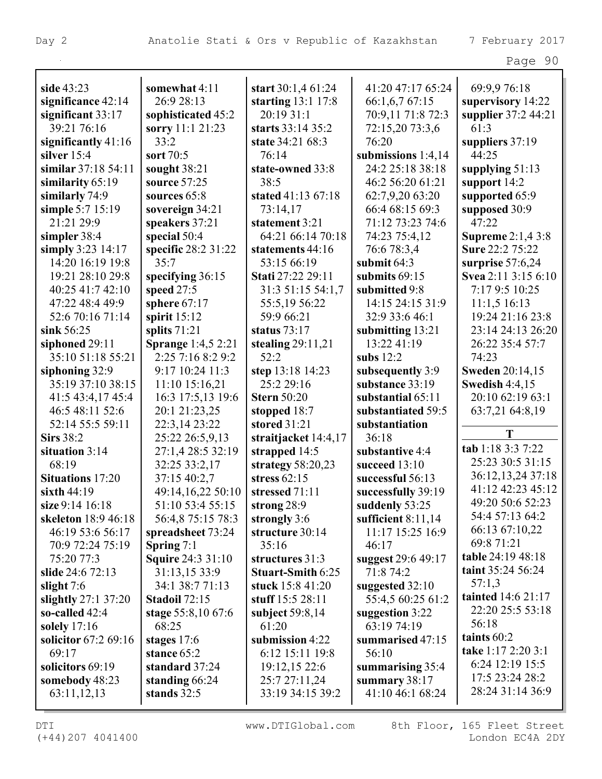| rage | 90 |
|------|----|
|------|----|

| side 43:23              | somewhat 4:11             | start 30:1,4 61:24   | 41:20 47:17 65:24    | 69:9,9 76:18                        |
|-------------------------|---------------------------|----------------------|----------------------|-------------------------------------|
| significance 42:14      | 26:9 28:13                | starting $13:1$ 17:8 | 66:1,6,7 67:15       | supervisory 14:22                   |
| significant $33:17$     | sophisticated 45:2        | 20:19 31:1           | 70:9,11 71:8 72:3    | supplier 37:2 44:21                 |
| 39:21 76:16             | sorry 11:1 21:23          | starts 33:14 35:2    | 72:15,20 73:3,6      | 61:3                                |
| significantly $41:16$   | 33:2                      | state 34:21 68:3     | 76:20                | suppliers 37:19                     |
| silver 15:4             | sort 70:5                 | 76:14                | submissions $1:4,14$ | 44:25                               |
| similar 37:18 54:11     | sought 38:21              | state-owned 33:8     | 24:2 25:18 38:18     | supplying $51:13$                   |
| similarity 65:19        | source 57:25              | 38:5                 | 46:2 56:20 61:21     | support 14:2                        |
| similarly 74:9          | sources 65:8              | stated 41:13 67:18   | 62:7,9,20 63:20      | supported 65:9                      |
| simple 5:7 15:19        | sovereign 34:21           | 73:14,17             | 66:4 68:15 69:3      | supposed 30:9                       |
| 21:21 29:9              | speakers 37:21            | statement 3:21       | 71:12 73:23 74:6     | 47:22                               |
| simpler 38:4            | special 50:4              | 64:21 66:14 70:18    | 74:23 75:4,12        | <b>Supreme</b> 2:1,4 3:8            |
| simply $3:23$ 14:17     | specific 28:2 31:22       | statements 44:16     | 76:6 78:3,4          | Sure 22:2 75:22                     |
| 14:20 16:19 19:8        | 35:7                      | 53:15 66:19          | submit $64:3$        | surprise 57:6,24                    |
| 19:21 28:10 29:8        | specifying 36:15          | Stati 27:22 29:11    | submits 69:15        | Svea 2:11 3:15 6:10                 |
| 40:25 41:7 42:10        | speed 27:5                | 31:3 51:15 54:1,7    | submitted 9:8        | 7:17 9:5 10:25                      |
| 47:22 48:4 49:9         | sphere $67:17$            | 55:5,19 56:22        | 14:15 24:15 31:9     | 11:1,516:13                         |
| 52:6 70:16 71:14        | spirit $15:12$            | 59:9 66:21           | 32:9 33:6 46:1       | 19:24 21:16 23:8                    |
| sink 56:25              | splits 71:21              | status $73:17$       | submitting 13:21     | 23:14 24:13 26:20                   |
| siphoned 29:11          | <b>Sprange</b> 1:4,5 2:21 | stealing $29:11,21$  | 13:22 41:19          | 26:22 35:4 57:7                     |
| 35:10 51:18 55:21       | 2:25 7:16 8:2 9:2         | 52:2                 | subs $12:2$          | 74:23                               |
| siphoning 32:9          | 9:17 10:24 11:3           | step 13:18 14:23     | subsequently 3:9     | <b>Sweden 20:14,15</b>              |
| 35:19 37:10 38:15       | 11:10 15:16,21            | 25:2 29:16           | substance 33:19      | <b>Swedish 4:4,15</b>               |
| 41:5 43:4,17 45:4       | 16:3 17:5,13 19:6         | <b>Stern 50:20</b>   | substantial 65:11    | 20:10 62:19 63:1                    |
| 46:5 48:11 52:6         | 20:1 21:23,25             | stopped 18:7         | substantiated 59:5   | 63:7,21 64:8,19                     |
| 52:14 55:5 59:11        | 22:3,14 23:22             | stored 31:21         | substantiation       |                                     |
| <b>Sirs</b> 38:2        | 25:22 26:5,9,13           | straitjacket 14:4,17 | 36:18                | T                                   |
| situation 3:14          | 27:1,4 28:5 32:19         | strapped 14:5        | substantive 4:4      | tab 1:18 3:3 7:22                   |
| 68:19                   | 32:25 33:2,17             | strategy $58:20,23$  | succeed 13:10        | 25:23 30:5 31:15                    |
| <b>Situations</b> 17:20 | 37:15 40:2,7              | stress $62:15$       | successful 56:13     | 36:12,13,24 37:18                   |
| sixth $44:19$           | 49:14,16,22 50:10         | stressed 71:11       | successfully 39:19   | 41:12 42:23 45:12                   |
| size 9:14 16:18         | 51:10 53:4 55:15          | strong 28:9          | suddenly 53:25       | 49:20 50:6 52:23                    |
| skeleton 18:9 46:18     | 56:4,8 75:15 78:3         | strongly 3:6         | sufficient $8:11,14$ | 54:4 57:13 64:2                     |
| 46:19 53:6 56:17        | spreadsheet 73:24         | structure 30:14      | 11:17 15:25 16:9     | 66:13 67:10,22                      |
| 70:9 72:24 75:19        | Spring $7:1$              | 35:16                | 46:17                | 69:8 71:21                          |
| 75:20 77:3              | Squire 24:3 31:10         | structures 31:3      | suggest 29:6 49:17   | table 24:19 48:18                   |
| slide 24:6 72:13        | 31:13,15 33:9             | Stuart-Smith 6:25    | 71:8 74:2            | taint 35:24 56:24                   |
| slight $7:6$            | 34:1 38:7 71:13           | stuck 15:8 41:20     | suggested 32:10      | 57:1,3                              |
| slightly $27:1$ 37:20   | <b>Stadoil 72:15</b>      | stuff 15:5 28:11     | 55:4,5 60:25 61:2    | tainted 14:6 21:17                  |
| so-called 42:4          | stage 55:8,10 67:6        | subject $59:8,14$    | suggestion 3:22      | 22:20 25:5 53:18                    |
| solely 17:16            | 68:25                     | 61:20                | 63:19 74:19          | 56:18                               |
| solicitor 67:2 69:16    | stages $17:6$             | submission 4:22      | summarised 47:15     | taints 60:2                         |
| 69:17                   | stance 65:2               | 6:12 15:11 19:8      | 56:10                | take 1:17 2:20 3:1                  |
| solicitors 69:19        | standard 37:24            | 19:12,15 22:6        | summarising 35:4     | 6:24 12:19 15:5                     |
| somebody 48:23          | standing 66:24            | 25:7 27:11,24        | summary 38:17        |                                     |
| 63:11,12,13             | stands 32:5               | 33:19 34:15 39:2     | 41:10 46:1 68:24     |                                     |
|                         |                           |                      |                      | 17:5 23:24 28:2<br>28:24 31:14 36:9 |

(+44)207 4041400 London EC4A 2DY

DTI WWW.DTIGlobal.com 8th Floor, 165 Fleet Street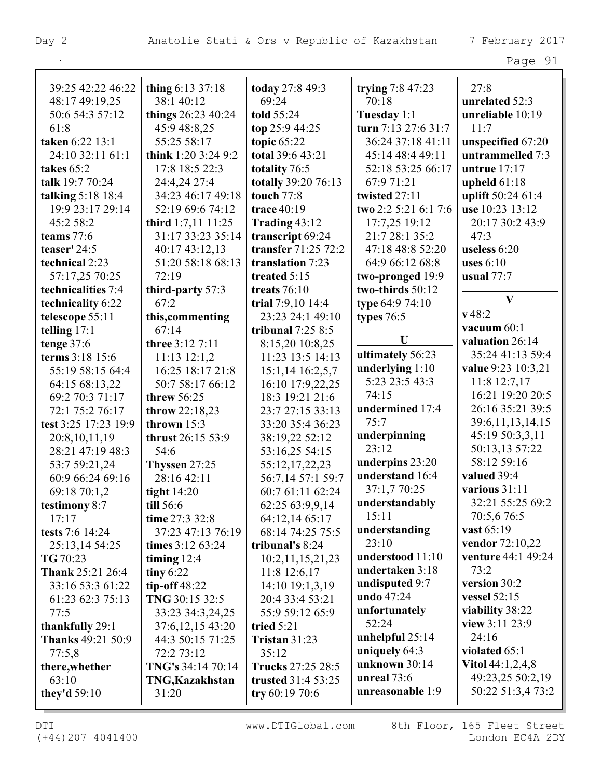| . . |  |
|-----|--|
|-----|--|

| 39:25 42:22 46:22        | thing 6:13 37:18       | today 27:8 49:3           | trying 7:8 47:23     | 27:8                 |
|--------------------------|------------------------|---------------------------|----------------------|----------------------|
| 48:17 49:19,25           | 38:1 40:12             | 69:24                     | 70:18                | unrelated 52:3       |
| 50:6 54:3 57:12          | things 26:23 40:24     | told 55:24                | Tuesday 1:1          | unreliable 10:19     |
| 61:8                     | 45:9 48:8,25           | top 25:9 44:25            | turn 7:13 27:6 31:7  | 11:7                 |
| taken 6:22 13:1          | 55:25 58:17            | topic $65:22$             | 36:24 37:18 41:11    | unspecified 67:20    |
| 24:10 32:11 61:1         | think 1:20 3:24 9:2    | total 39:6 43:21          | 45:14 48:4 49:11     | untrammelled 7:3     |
| takes 65:2               | 17:8 18:5 22:3         | totality 76:5             | 52:18 53:25 66:17    | untrue $17:17$       |
| talk 19:7 70:24          | 24:4,24 27:4           | totally 39:20 76:13       | 67:9 71:21           | upheld $61:18$       |
| talking $5:18$ 18:4      | 34:23 46:17 49:18      | <b>touch</b> 77:8         | twisted 27:11        | uplift 50:24 61:4    |
| 19:9 23:17 29:14         | 52:19 69:6 74:12       | trace 40:19               | two 2:2 5:21 6:1 7:6 | use 10:23 13:12      |
| 45:2 58:2                | third $1:7,11$ $11:25$ | Trading $43:12$           | 17:7,25 19:12        | 20:17 30:2 43:9      |
| teams 77:6               | 31:17 33:23 35:14      | transcript 69:24          | 21:7 28:1 35:2       | 47:3                 |
| teaser' 24:5             | 40:17 43:12,13         | transfer 71:25 72:2       | 47:18 48:8 52:20     | useless 6:20         |
| technical 2:23           | 51:20 58:18 68:13      | translation 7:23          | 64:9 66:12 68:8      | uses $6:10$          |
| 57:17,25 70:25           | 72:19                  | treated 5:15              | two-pronged 19:9     | usual $77:7$         |
| technicalities 7:4       | third-party 57:3       | treats $76:10$            | two-thirds 50:12     |                      |
| technicality 6:22        | 67:2                   | trial 7:9,10 14:4         | type 64:9 74:10      | V                    |
| telescope 55:11          | this, commenting       | 23:23 24:1 49:10          | types $76:5$         | v48:2                |
| telling $17:1$           | 67:14                  | tribunal $7:258:5$        |                      | vacuum 60:1          |
| tenge $37:6$             | three 3:12 7:11        | 8:15,20 10:8,25           | U                    | valuation 26:14      |
| terms 3:18 15:6          | $11:13$ $12:1,2$       | 11:23 13:5 14:13          | ultimately 56:23     | 35:24 41:13 59:4     |
| 55:19 58:15 64:4         | 16:25 18:17 21:8       | 15:1,14 16:2,5,7          | underlying $1:10$    | value 9:23 10:3,21   |
| 64:15 68:13,22           | 50:7 58:17 66:12       | 16:10 17:9,22,25          | 5:23 23:5 43:3       | $11:8$ 12:7,17       |
| 69:2 70:3 71:17          | threw 56:25            | 18:3 19:21 21:6           | 74:15                | 16:21 19:20 20:5     |
| 72:1 75:2 76:17          | throw 22:18,23         | 23:7 27:15 33:13          | undermined 17:4      | 26:16 35:21 39:5     |
| test 3:25 17:23 19:9     | thrown 15:3            | 33:20 35:4 36:23          | 75:7                 | 39:6, 11, 13, 14, 15 |
| 20:8,10,11,19            | thrust 26:15 53:9      | 38:19,22 52:12            | underpinning         | 45:19 50:3,3,11      |
| 28:21 47:19 48:3         | 54:6                   | 53:16,25 54:15            | 23:12                | 50:13,13 57:22       |
| 53:7 59:21,24            | Thyssen 27:25          | 55:12,17,22,23            | underpins 23:20      | 58:12 59:16          |
| 60:9 66:24 69:16         | 28:16 42:11            | 56:7,14 57:1 59:7         | understand 16:4      | valued 39:4          |
| 69:18 70:1,2             | tight $14:20$          | 60:7 61:11 62:24          | 37:1,7 70:25         | various 31:11        |
| testimony 8:7            | till 56:6              | 62:25 63:9,9,14           | understandably       | 32:21 55:25 69:2     |
| 17:17                    | time 27:3 32:8         | 64:12,14 65:17            | 15:11                | 70:5,676:5           |
| tests $7:6$ 14:24        | 37:23 47:13 76:19      | 68:14 74:25 75:5          | understanding        | vast 65:19           |
| 25:13,14 54:25           | times 3:12 63:24       | tribunal's 8:24           | 23:10                | vendor 72:10,22      |
| TG 70:23                 | timing $12:4$          | 10:2,11,15,21,23          | understood 11:10     | venture 44:1 49:24   |
| <b>Thank 25:21 26:4</b>  | tiny $6:22$            | $11:8$ 12:6,17            | undertaken 3:18      | 73:2                 |
| 33:16 53:3 61:22         | tip-off $48:22$        | 14:10 19:1,3,19           | undisputed 9:7       | version 30:2         |
| 61:23 62:3 75:13         | TNG 30:15 32:5         | 20:4 33:4 53:21           | undo 47:24           | vessel $52:15$       |
| 77:5                     | 33:23 34:3,24,25       | 55:9 59:12 65:9           | unfortunately        | viability 38:22      |
| thankfully 29:1          | 37:6, 12, 15 43:20     | tried $5:21$              | 52:24                | view 3:11 23:9       |
| <b>Thanks</b> 49:21 50:9 | 44:3 50:15 71:25       | <b>Tristan 31:23</b>      | unhelpful $25:14$    | 24:16                |
| 77:5,8                   | 72:2 73:12             | 35:12                     | uniquely $64:3$      | violated 65:1        |
| there, whether           | TNG's 34:14 70:14      | Trucks 27:25 28:5         | unknown 30:14        | Vitol $44:1,2,4,8$   |
| 63:10                    | TNG, Kazakhstan        | <b>trusted</b> 31:4 53:25 | unreal 73:6          | 49:23,25 50:2,19     |
| they'd $59:10$           | 31:20                  | try $60:1970:6$           | unreasonable 1:9     | 50:22 51:3,4 73:2    |
|                          |                        |                           |                      |                      |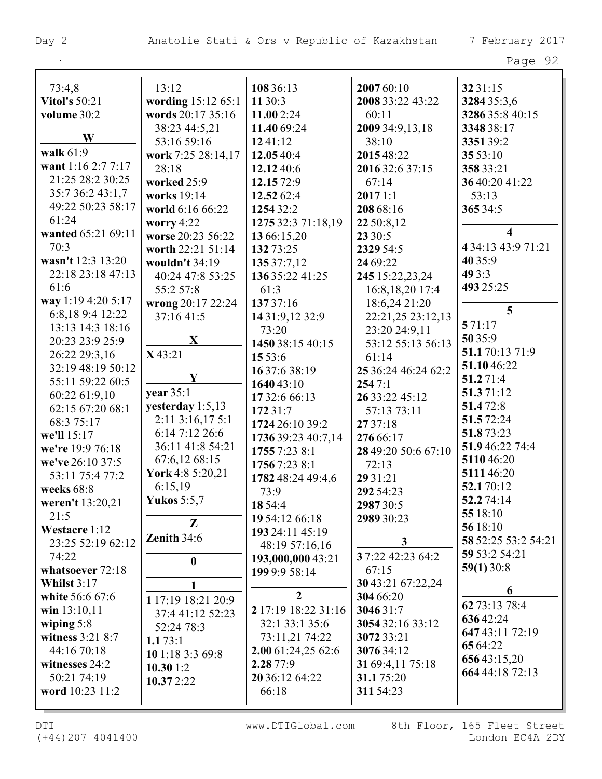|                      |                    |                           |                                  | r ugu                   |
|----------------------|--------------------|---------------------------|----------------------------------|-------------------------|
| 73:4,8               | 13:12              | 108 36:13                 | 2007 60:10                       | 32 31:15                |
| <b>Vitol's 50:21</b> | wording 15:12 65:1 | 11 30:3                   | 2008 33:22 43:22                 | 3284 35:3,6             |
| volume 30:2          | words 20:17 35:16  | 11.002:24                 | 60:11                            | 3286 35:8 40:15         |
|                      | 38:23 44:5,21      | 11.40 69:24               | 2009 34:9,13,18                  | 3348 38:17              |
| W                    | 53:16 59:16        | 1241:12                   | 38:10                            | 335139:2                |
| walk 61:9            | work 7:25 28:14,17 | 12.05 40:4                | 2015 48:22                       | 35 53:10                |
| want 1:16 2:7 7:17   | 28:18              | 12.12 40:6                | 2016 32:6 37:15                  | 358 33:21               |
| 21:25 28:2 30:25     | worked 25:9        | 12.15 72:9                | 67:14                            | 36 40:20 41:22          |
| 35:7 36:2 43:1,7     | works 19:14        | 12.52 62:4                | 20171:1                          | 53:13                   |
| 49:22 50:23 58:17    | world 6:16 66:22   | 1254 32:2                 | 208 68:16                        | 365 34:5                |
| 61:24                | worry $4:22$       | 1275 32:3 71:18,19        | 22 50:8,12                       |                         |
| wanted 65:21 69:11   | worse 20:23 56:22  | 13 66:15,20               | 23 30:5                          | $\overline{\mathbf{4}}$ |
| 70:3                 | worth 22:21 51:14  | 132 73:25                 | 2329 54:5                        | 4 34:13 43:9 71:21      |
| wasn't 12:3 13:20    | wouldn't 34:19     | 135 37:7,12               | 24 69:22                         | 40 35:9                 |
| 22:18 23:18 47:13    | 40:24 47:8 53:25   | 136 35:22 41:25           | 245 15:22,23,24                  | 49 3:3                  |
| 61:6                 | 55:2 57:8          | 61:3                      | 16:8, 18, 20 17:4                | 493 25:25               |
| way 1:19 4:20 5:17   | wrong 20:17 22:24  | 137 37:16                 | 18:6,24 21:20                    |                         |
| 6:8,189:412:22       | 37:16 41:5         | 14 31:9,12 32:9           | 22:21,25 23:12,13                | 5                       |
| 13:13 14:3 18:16     |                    | 73:20                     | 23:20 24:9,11                    | 571:17                  |
| 20:23 23:9 25:9      | $\mathbf X$        | 1450 38:15 40:15          | 53:12 55:13 56:13                | 50 35:9                 |
| 26:22 29:3,16        | X43:21             | 15 53:6                   | 61:14                            | 51.1 70:13 71:9         |
| 32:19 48:19 50:12    |                    | 16 37:6 38:19             | 25 36:24 46:24 62:2              | 51.1046:22              |
| 55:11 59:22 60:5     | $\mathbf Y$        |                           | 2547:1                           | 51.271:4                |
| 60:22 61:9,10        | year 35:1          | 1640 43:10                | 26 33:22 45:12                   | 51.371:12               |
| 62:15 67:20 68:1     | yesterday 1:5,13   | 17 32:6 66:13<br>172 31:7 | 57:13 73:11                      | 51.472:8                |
| 68:3 75:17           | 2:11 3:16,17 5:1   | 1724 26:10 39:2           | 27 37:18                         | 51.572:24               |
| we'll 15:17          | 6:14 7:12 26:6     |                           |                                  | 51.873:23               |
| we're 19:9 76:18     | 36:11 41:8 54:21   | 1736 39:23 40:7,14        | 276 66:17<br>28 49:20 50:6 67:10 | 51.946:22 74:4          |
| we've 26:10 37:5     | 67:6,12 68:15      | 1755 7:23 8:1             |                                  | 511046:20               |
| 53:11 75:4 77:2      | York 4:8 5:20,21   | 1756 7:23 8:1             | 72:13                            | 511146:20               |
| weeks 68:8           | 6:15,19            | 1782 48:24 49:4,6         | 29 31:21                         | 52.170:12               |
| weren't 13:20,21     | <b>Yukos</b> 5:5,7 | 73:9                      | 292 54:23                        | 52.274:14               |
| 21:5                 |                    | 18 54:4                   | 2987 30:5                        | 55 18:10                |
| Westacre 1:12        | $\mathbf{Z}$       | 19 54:12 66:18            | 2989 30:23                       | 56 18:10                |
| 23:25 52:19 62:12    | Zenith $34:6$      | 193 24:11 45:19           | $\mathbf{3}$                     | 58 52:25 53:2 54:21     |
| 74:22                |                    | 48:19 57:16,16            | 37:22 42:23 64:2                 | 59 53:2 54:21           |
| whatsoever 72:18     | $\boldsymbol{0}$   | 193,000,000 43:21         | 67:15                            | 59(1)30:8               |
| Whilst $3:17$        |                    | 199 9:9 58:14             | 30 43:21 67:22,24                |                         |
| white 56:6 67:6      | 1                  | 2                         | 304 66:20                        | 6                       |
| win 13:10,11         | 1 17:19 18:21 20:9 | 2 17:19 18:22 31:16       | 3046 31:7                        | 62 73:13 78:4           |
| wiping $5:8$         | 37:4 41:12 52:23   | 32:1 33:1 35:6            | 3054 32:16 33:12                 | 63642:24                |
| witness 3:21 8:7     | 52:24 78:3         | 73:11,21 74:22            | 3072 33:21                       | 647 43:11 72:19         |
| 44:16 70:18          | 1.173:1            | 2.00 61:24,25 62:6        | 3076 34:12                       | 65 64:22                |
| witnesses 24:2       | 10 1:18 3:3 69:8   | 2.28 77:9                 | 31 69:4,11 75:18                 | 65643:15,20             |
| 50:21 74:19          | 10.301:2           | 20 36:12 64:22            | 31.175:20                        | 664 44:18 72:13         |
| word 10:23 11:2      | 10.372:22          | 66:18                     | 311 54:23                        |                         |
|                      |                    |                           |                                  |                         |
|                      |                    |                           |                                  |                         |